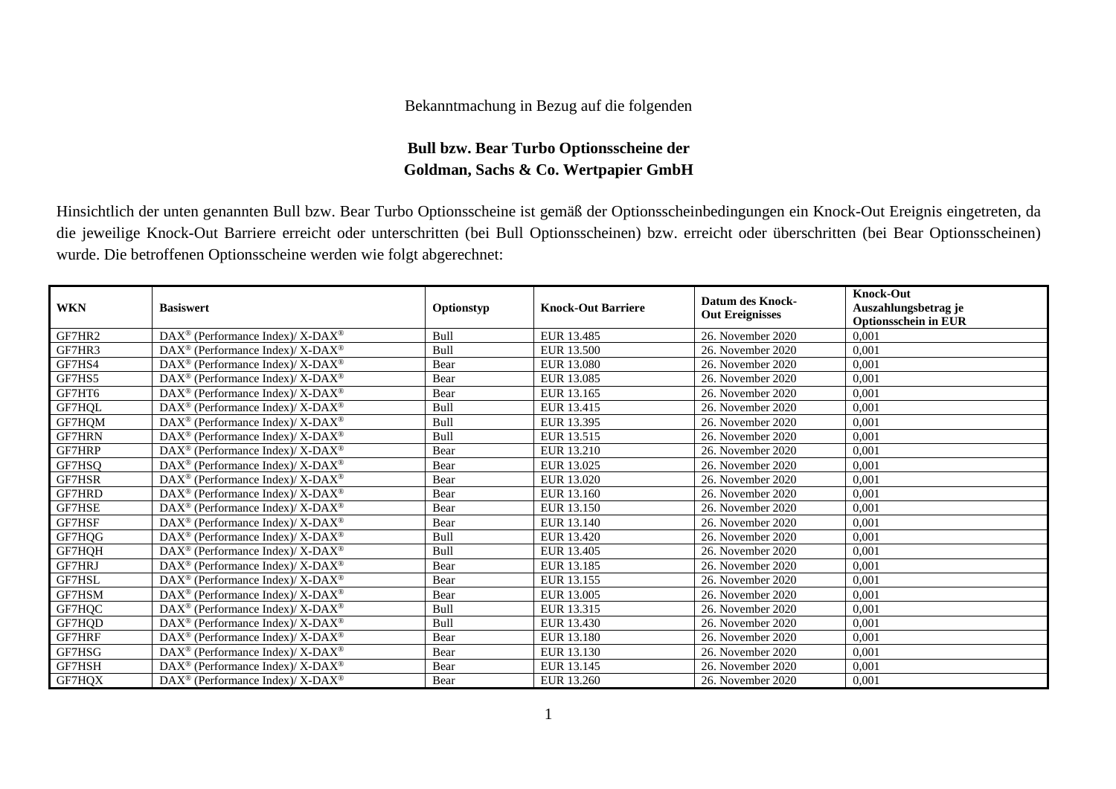## Bekanntmachung in Bezug auf die folgenden

## **Bull bzw. Bear Turbo Optionsscheine der Goldman, Sachs & Co. Wertpapier GmbH**

Hinsichtlich der unten genannten Bull bzw. Bear Turbo Optionsscheine ist gemäß der Optionsscheinbedingungen ein Knock-Out Ereignis eingetreten, da die jeweilige Knock-Out Barriere erreicht oder unterschritten (bei Bull Optionsscheinen) bzw. erreicht oder überschritten (bei Bear Optionsscheinen) wurde. Die betroffenen Optionsscheine werden wie folgt abgerechnet:

| <b>WKN</b>    | <b>Basiswert</b>                                                   | Optionstyp | <b>Knock-Out Barriere</b> | Datum des Knock-<br><b>Out Ereignisses</b> | <b>Knock-Out</b><br>Auszahlungsbetrag je<br><b>Optionsschein in EUR</b> |
|---------------|--------------------------------------------------------------------|------------|---------------------------|--------------------------------------------|-------------------------------------------------------------------------|
| GF7HR2        | $DAX^{\circledast}$ (Performance Index)/ X-DAX <sup>®</sup>        | Bull       | EUR 13.485                | 26. November 2020                          | 0.001                                                                   |
| GF7HR3        | $DAX^{\circledast}$ (Performance Index)/ X-DAX <sup>®</sup>        | Bull       | EUR 13.500                | 26. November 2020                          | 0,001                                                                   |
| GF7HS4        | $DAX^{\circledast}$ (Performance Index)/ X-DAX <sup>®</sup>        | Bear       | EUR 13.080                | 26. November 2020                          | 0.001                                                                   |
| GF7HS5        | $DAX^{\circledast}$ (Performance Index)/ X-DAX <sup>®</sup>        | Bear       | EUR 13.085                | 26. November 2020                          | 0,001                                                                   |
| GF7HT6        | $DAX^{\circledast}$ (Performance Index)/ X-DAX <sup>®</sup>        | Bear       | EUR 13.165                | 26. November 2020                          | 0,001                                                                   |
| GF7HQL        | $\text{DAX}^{\circledast}$ (Performance Index)/ X-DAX <sup>®</sup> | Bull       | EUR 13.415                | 26. November 2020                          | 0,001                                                                   |
| GF7HQM        | $DAX^{\circledcirc}$ (Performance Index)/ X-DAX <sup>®</sup>       | Bull       | EUR 13.395                | 26. November 2020                          | 0,001                                                                   |
| GF7HRN        | $DAX^{\circledast}$ (Performance Index)/ X-DAX <sup>®</sup>        | Bull       | EUR 13.515                | 26. November 2020                          | 0,001                                                                   |
| GF7HRP        | $DAX^{\circledast}$ (Performance Index)/ X-DAX <sup>®</sup>        | Bear       | EUR 13.210                | 26. November 2020                          | 0,001                                                                   |
| GF7HSQ        | DAX <sup>®</sup> (Performance Index)/ X-DAX <sup>®</sup>           | Bear       | EUR 13.025                | 26. November 2020                          | 0.001                                                                   |
| GF7HSR        | $DAX^{\circledcirc}$ (Performance Index)/ X-DAX <sup>®</sup>       | Bear       | EUR 13.020                | 26. November 2020                          | 0.001                                                                   |
| GF7HRD        | $DAX^{\circledast}$ (Performance Index)/ X-DAX <sup>®</sup>        | Bear       | EUR 13.160                | 26. November 2020                          | 0.001                                                                   |
| GF7HSE        | $DAX^{\circledast}$ (Performance Index)/ X-DAX <sup>®</sup>        | Bear       | EUR 13.150                | 26. November 2020                          | 0,001                                                                   |
| GF7HSF        | $DAX^{\circledcirc}$ (Performance Index)/ X-DAX <sup>®</sup>       | Bear       | EUR 13.140                | 26. November 2020                          | 0,001                                                                   |
| GF7HQG        | DAX <sup>®</sup> (Performance Index)/ X-DAX <sup>®</sup>           | Bull       | EUR 13.420                | 26. November 2020                          | 0,001                                                                   |
| GF7HQH        | $DAX^{\circledast}$ (Performance Index)/ X-DAX <sup>®</sup>        | Bull       | EUR 13.405                | 26. November 2020                          | 0,001                                                                   |
| <b>GF7HRJ</b> | $DAX^{\circledast}$ (Performance Index)/ X-DAX <sup>®</sup>        | Bear       | EUR 13.185                | 26. November 2020                          | 0,001                                                                   |
| GF7HSL        | $DAX^{\circledast}$ (Performance Index)/ X-DAX <sup>®</sup>        | Bear       | EUR 13.155                | 26. November 2020                          | 0,001                                                                   |
| GF7HSM        | DAX <sup>®</sup> (Performance Index)/ X-DAX <sup>®</sup>           | Bear       | EUR 13.005                | 26. November 2020                          | 0,001                                                                   |
| GF7HQC        | $DAX^{\otimes}$ (Performance Index)/X-DAX <sup>®</sup>             | Bull       | EUR 13.315                | 26. November 2020                          | 0,001                                                                   |
| GF7HQD        | $\text{DAX}^{\circledast}$ (Performance Index)/ X-DAX <sup>®</sup> | Bull       | EUR 13.430                | 26. November 2020                          | 0,001                                                                   |
| GF7HRF        | $DAX^{\circledast}$ (Performance Index)/ X-DAX <sup>®</sup>        | Bear       | EUR 13.180                | 26. November 2020                          | 0,001                                                                   |
| GF7HSG        | $DAX^{\circledast}$ (Performance Index)/ X-DAX <sup>®</sup>        | Bear       | EUR 13.130                | 26. November 2020                          | 0,001                                                                   |
| GF7HSH        | $\text{DAX}^{\circledast}$ (Performance Index)/ X-DAX <sup>®</sup> | Bear       | EUR 13.145                | 26. November 2020                          | 0,001                                                                   |
| GF7HQX        | DAX <sup>®</sup> (Performance Index)/ X-DAX <sup>®</sup>           | Bear       | EUR 13.260                | 26. November 2020                          | 0,001                                                                   |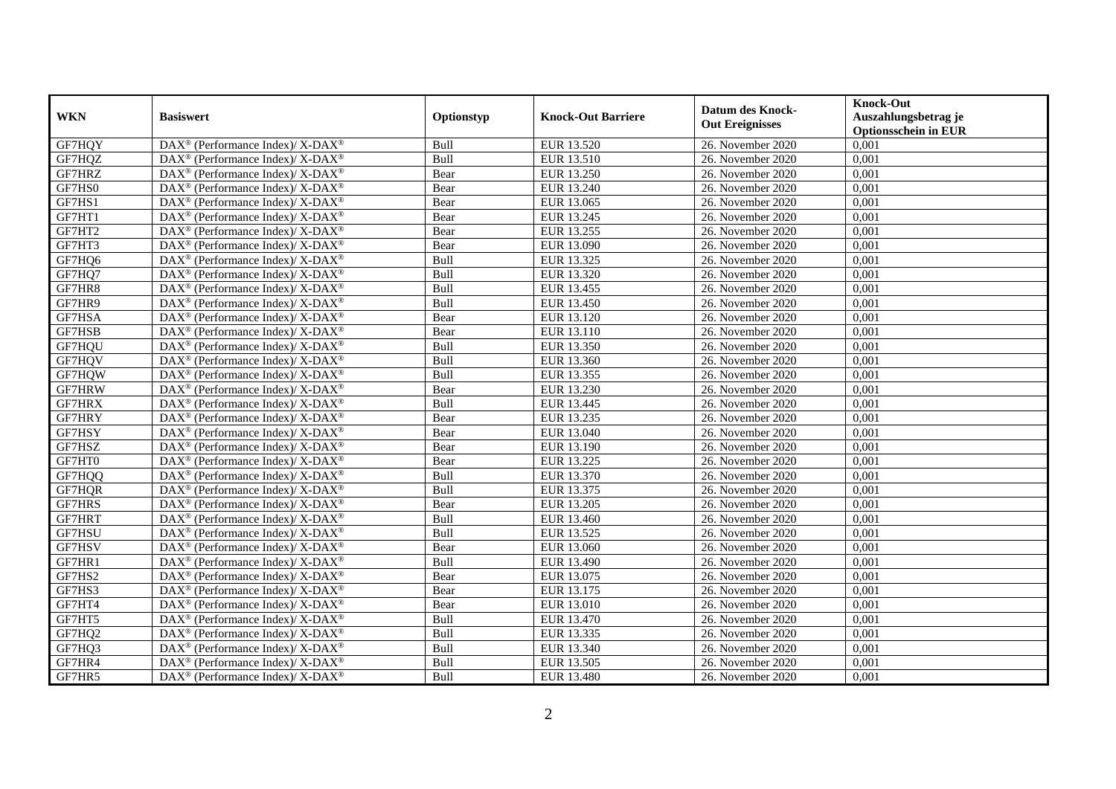| <b>WKN</b> | <b>Basiswert</b>                                                         | Optionstyp | <b>Knock-Out Barriere</b> | <b>Datum des Knock-</b><br><b>Out Ereignisses</b> | <b>Knock-Out</b><br>Auszahlungsbetrag je<br><b>Optionsschein in EUR</b> |
|------------|--------------------------------------------------------------------------|------------|---------------------------|---------------------------------------------------|-------------------------------------------------------------------------|
| GF7HQY     | DAX <sup>®</sup> (Performance Index)/ X-DAX <sup>®</sup>                 | Bull       | EUR 13.520                | 26. November 2020                                 | 0,001                                                                   |
| GF7HQZ     | $DAX^{\circledast}$ (Performance Index)/ X-DAX <sup>®</sup>              | Bull       | EUR 13.510                | 26. November 2020                                 | 0,001                                                                   |
| GF7HRZ     | $DAX^{\circledast}$ (Performance Index)/ X-DAX <sup>®</sup>              | Bear       | EUR 13.250                | 26. November 2020                                 | 0,001                                                                   |
| GF7HS0     | DAX <sup>®</sup> (Performance Index)/ X-DAX <sup>®</sup>                 | Bear       | EUR 13.240                | 26. November 2020                                 | 0,001                                                                   |
| GF7HS1     | DAX <sup>®</sup> (Performance Index)/ X-DAX <sup>®</sup>                 | Bear       | EUR 13.065                | 26. November 2020                                 | 0,001                                                                   |
| GF7HT1     | DAX <sup>®</sup> (Performance Index)/ X-DAX <sup>®</sup>                 | Bear       | EUR 13.245                | 26. November 2020                                 | 0,001                                                                   |
| GF7HT2     | $DAX^{\circledast}$ (Performance Index)/ X-DAX <sup>®</sup>              | Bear       | EUR 13.255                | 26. November 2020                                 | 0,001                                                                   |
| GF7HT3     | DAX <sup>®</sup> (Performance Index)/ X-DAX <sup>®</sup>                 | Bear       | EUR 13.090                | 26. November 2020                                 | 0,001                                                                   |
| GF7HQ6     | $DAX^{\circledast}$ (Performance Index)/ X-DAX <sup>®</sup>              | Bull       | EUR 13.325                | 26. November 2020                                 | 0,001                                                                   |
| GF7HQ7     | DAX <sup>®</sup> (Performance Index)/ X-DAX <sup>®</sup>                 | Bull       | EUR 13.320                | 26. November 2020                                 | 0,001                                                                   |
| GF7HR8     | DAX <sup>®</sup> (Performance Index)/ X-DAX <sup>®</sup>                 | Bull       | EUR 13.455                | 26. November 2020                                 | 0,001                                                                   |
| GF7HR9     | DAX <sup>®</sup> (Performance Index)/ X-DAX <sup>®</sup>                 | Bull       | EUR 13.450                | 26. November 2020                                 | 0,001                                                                   |
| GF7HSA     | $DAX^{\circledast}$ (Performance Index)/ X-DAX <sup>®</sup>              | Bear       | EUR 13.120                | 26. November 2020                                 | 0,001                                                                   |
| GF7HSB     | $DAX^{\circledast}$ (Performance Index)/ X-DAX <sup>®</sup>              | Bear       | EUR 13.110                | 26. November 2020                                 | 0,001                                                                   |
| GF7HQU     | DAX <sup>®</sup> (Performance Index)/ X-DAX <sup>®</sup>                 | Bull       | EUR 13.350                | 26. November 2020                                 | 0,001                                                                   |
| GF7HQV     | DAX <sup>®</sup> (Performance Index)/ X-DAX <sup>®</sup>                 | Bull       | EUR 13.360                | 26. November 2020                                 | 0,001                                                                   |
| GF7HQW     | $DAX^{\circledast}$ (Performance Index)/ X-DAX <sup>®</sup>              | Bull       | EUR 13.355                | 26. November 2020                                 | 0,001                                                                   |
| GF7HRW     | $DAX^{\circledast}$ (Performance Index)/ X-DAX <sup>®</sup>              | Bear       | EUR 13.230                | 26. November 2020                                 | 0,001                                                                   |
| GF7HRX     | $\overline{\text{DAX}^{\otimes}}$ (Performance Index)/X-DAX <sup>®</sup> | Bull       | EUR 13.445                | 26. November 2020                                 | 0,001                                                                   |
| GF7HRY     | $\text{DAX}^{\circledast}$ (Performance Index)/ X-DAX <sup>®</sup>       | Bear       | EUR 13.235                | 26. November 2020                                 | 0,001                                                                   |
| GF7HSY     | DAX <sup>®</sup> (Performance Index)/ X-DAX <sup>®</sup>                 | Bear       | EUR 13.040                | 26. November 2020                                 | 0,001                                                                   |
| GF7HSZ     | $DAX^{\circledast}$ (Performance Index)/ X-DAX <sup>®</sup>              | Bear       | EUR 13.190                | 26. November 2020                                 | 0,001                                                                   |
| GF7HT0     | DAX <sup>®</sup> (Performance Index)/ X-DAX <sup>®</sup>                 | Bear       | EUR 13.225                | 26. November 2020                                 | 0,001                                                                   |
| GF7HQQ     | DAX <sup>®</sup> (Performance Index)/ X-DAX <sup>®</sup>                 | Bull       | EUR 13.370                | 26. November 2020                                 | 0,001                                                                   |
| GF7HQR     | $DAX^{\circledast}$ (Performance Index)/ X-DAX <sup>®</sup>              | Bull       | EUR 13.375                | 26. November 2020                                 | 0,001                                                                   |
| GF7HRS     | DAX <sup>®</sup> (Performance Index)/ X-DAX <sup>®</sup>                 | Bear       | EUR 13.205                | 26. November 2020                                 | 0,001                                                                   |
| GF7HRT     | DAX <sup>®</sup> (Performance Index)/ X-DAX <sup>®</sup>                 | Bull       | EUR 13.460                | 26. November 2020                                 | 0,001                                                                   |
| GF7HSU     | $DAX^{\circledast}$ (Performance Index)/ X-DAX <sup>®</sup>              | Bull       | EUR 13.525                | 26. November 2020                                 | 0,001                                                                   |
| GF7HSV     | DAX <sup>®</sup> (Performance Index)/ X-DAX <sup>®</sup>                 | Bear       | EUR 13.060                | 26. November 2020                                 | 0,001                                                                   |
| GF7HR1     | DAX <sup>®</sup> (Performance Index)/ X-DAX <sup>®</sup>                 | Bull       | EUR 13.490                | 26. November 2020                                 | 0,001                                                                   |
| GF7HS2     | $DAX^{\circledast}$ (Performance Index)/ X-DAX <sup>®</sup>              | Bear       | EUR 13.075                | 26. November 2020                                 | 0,001                                                                   |
| GF7HS3     | $\overline{\text{DAX}^{\otimes}}$ (Performance Index)/X-DAX <sup>®</sup> | Bear       | EUR 13.175                | 26. November 2020                                 | 0,001                                                                   |
| GF7HT4     | $\overline{\text{DAX}^{\otimes}}$ (Performance Index)/X-DAX <sup>®</sup> | Bear       | EUR 13.010                | 26. November 2020                                 | 0,001                                                                   |
| GF7HT5     | $\overline{\text{DAX}^{\otimes}}$ (Performance Index)/X-DAX <sup>®</sup> | Bull       | EUR 13.470                | 26. November 2020                                 | 0,001                                                                   |
| GF7HQ2     | DAX <sup>®</sup> (Performance Index)/ X-DAX <sup>®</sup>                 | Bull       | EUR 13.335                | 26. November 2020                                 | 0,001                                                                   |
| GF7HQ3     | $DAX^{\circledast}$ (Performance Index)/ X-DAX <sup>®</sup>              | Bull       | EUR 13.340                | 26. November 2020                                 | 0,001                                                                   |
| GF7HR4     | $DAX^{\circledast}$ (Performance Index)/ X-DAX <sup>®</sup>              | Bull       | EUR 13.505                | 26. November 2020                                 | 0,001                                                                   |
| GF7HR5     | DAX <sup>®</sup> (Performance Index)/ X-DAX <sup>®</sup>                 | Bull       | EUR 13.480                | 26. November 2020                                 | 0,001                                                                   |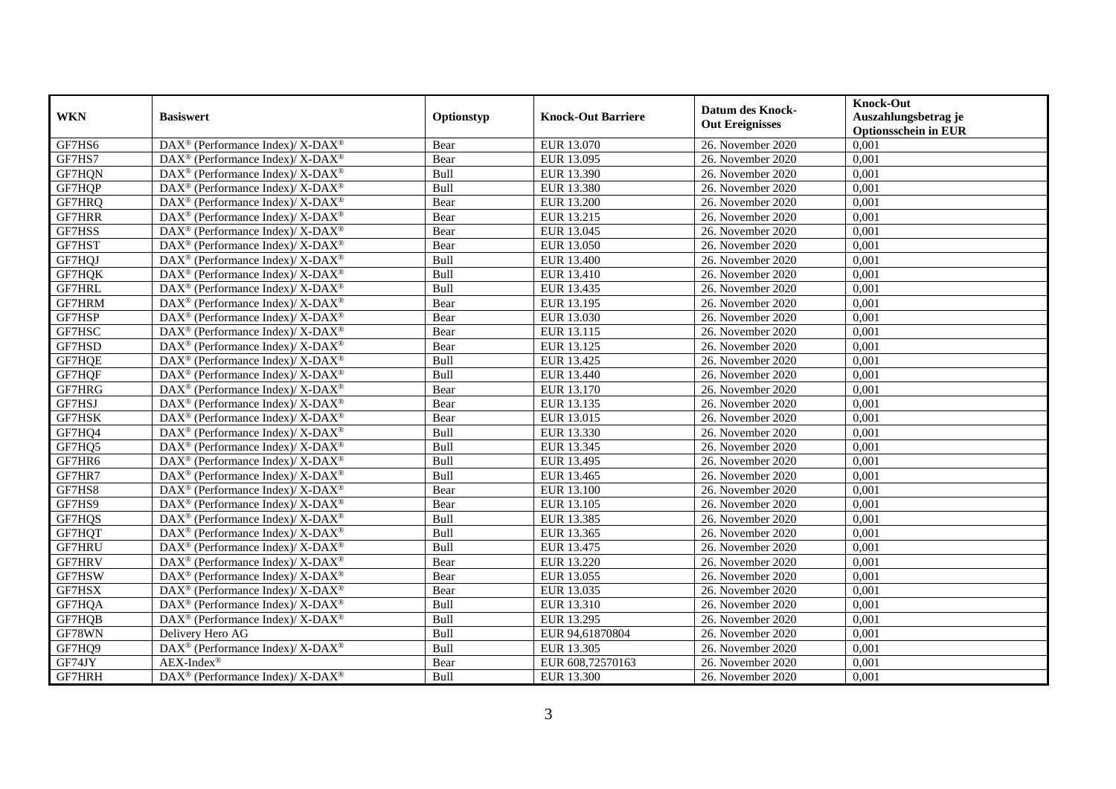| <b>WKN</b> | <b>Basiswert</b>                                             | Optionstyp | <b>Knock-Out Barriere</b> | <b>Datum des Knock-</b><br><b>Out Ereignisses</b> | <b>Knock-Out</b><br>Auszahlungsbetrag je<br><b>Optionsschein in EUR</b> |
|------------|--------------------------------------------------------------|------------|---------------------------|---------------------------------------------------|-------------------------------------------------------------------------|
| GF7HS6     | DAX <sup>®</sup> (Performance Index)/ X-DAX <sup>®</sup>     | Bear       | EUR 13.070                | 26. November 2020                                 | 0,001                                                                   |
| GF7HS7     | $DAX^{\circledast}$ (Performance Index)/ X-DAX <sup>®</sup>  | Bear       | EUR 13.095                | 26. November 2020                                 | 0,001                                                                   |
| GF7HQN     | $DAX^{\circledast}$ (Performance Index)/ X-DAX <sup>®</sup>  | Bull       | EUR 13.390                | 26. November 2020                                 | 0,001                                                                   |
| GF7HQP     | DAX <sup>®</sup> (Performance Index)/ X-DAX <sup>®</sup>     | Bull       | EUR 13.380                | 26. November 2020                                 | 0,001                                                                   |
| GF7HRQ     | DAX <sup>®</sup> (Performance Index)/ X-DAX <sup>®</sup>     | Bear       | <b>EUR 13.200</b>         | 26. November 2020                                 | 0,001                                                                   |
| GF7HRR     | DAX <sup>®</sup> (Performance Index)/ X-DAX <sup>®</sup>     | Bear       | EUR 13.215                | 26. November 2020                                 | 0,001                                                                   |
| GF7HSS     | $DAX^{\circledast}$ (Performance Index)/ X-DAX <sup>®</sup>  | Bear       | EUR 13.045                | 26. November 2020                                 | 0,001                                                                   |
| GF7HST     | DAX <sup>®</sup> (Performance Index)/ X-DAX <sup>®</sup>     | Bear       | EUR 13.050                | 26. November 2020                                 | 0,001                                                                   |
| GF7HQJ     | $DAX^{\circledast}$ (Performance Index)/ X-DAX <sup>®</sup>  | Bull       | EUR 13.400                | 26. November 2020                                 | 0,001                                                                   |
| GF7HQK     | $DAX^{\circledast}$ (Performance Index)/ X-DAX <sup>®</sup>  | Bull       | EUR 13.410                | 26. November 2020                                 | 0,001                                                                   |
| GF7HRL     | DAX <sup>®</sup> (Performance Index)/ X-DAX <sup>®</sup>     | Bull       | EUR 13.435                | 26. November 2020                                 | 0,001                                                                   |
| GF7HRM     | DAX <sup>®</sup> (Performance Index)/ X-DAX <sup>®</sup>     | Bear       | EUR 13.195                | 26. November 2020                                 | 0,001                                                                   |
| GF7HSP     | $DAX^{\circledast}$ (Performance Index)/ X-DAX <sup>®</sup>  | Bear       | EUR 13.030                | 26. November 2020                                 | 0,001                                                                   |
| GF7HSC     | $DAX^{\circledast}$ (Performance Index)/ X-DAX <sup>®</sup>  | Bear       | EUR 13.115                | 26. November 2020                                 | 0,001                                                                   |
| GF7HSD     | DAX <sup>®</sup> (Performance Index)/ X-DAX <sup>®</sup>     | Bear       | EUR 13.125                | 26. November 2020                                 | 0,001                                                                   |
| GF7HQE     | DAX <sup>®</sup> (Performance Index)/ X-DAX <sup>®</sup>     | Bull       | EUR 13.425                | 26. November 2020                                 | 0,001                                                                   |
| GF7HQF     | DAX <sup>®</sup> (Performance Index)/ X-DAX <sup>®</sup>     | Bull       | EUR 13.440                | 26. November 2020                                 | 0,001                                                                   |
| GF7HRG     | $DAX^{\circledast}$ (Performance Index)/ X-DAX <sup>®</sup>  | Bear       | EUR 13.170                | 26. November 2020                                 | 0,001                                                                   |
| GF7HSJ     | $DAX^{\circledast}$ (Performance Index)/ X-DAX <sup>®</sup>  | Bear       | EUR 13.135                | 26. November 2020                                 | 0,001                                                                   |
| GF7HSK     | $DAX^{\circledast}$ (Performance Index)/ X-DAX <sup>®</sup>  | Bear       | EUR 13.015                | 26. November 2020                                 | 0,001                                                                   |
| GF7HQ4     | DAX <sup>®</sup> (Performance Index)/ X-DAX <sup>®</sup>     | Bull       | EUR 13.330                | 26. November 2020                                 | 0,001                                                                   |
| GF7HQ5     | $DAX^{\circledast}$ (Performance Index)/ X-DAX <sup>®</sup>  | Bull       | EUR 13.345                | 26. November 2020                                 | 0,001                                                                   |
| GF7HR6     | DAX <sup>®</sup> (Performance Index)/ X-DAX <sup>®</sup>     | Bull       | EUR 13.495                | 26. November 2020                                 | 0,001                                                                   |
| GF7HR7     | DAX <sup>®</sup> (Performance Index)/ X-DAX <sup>®</sup>     | Bull       | EUR 13.465                | 26. November 2020                                 | 0,001                                                                   |
| GF7HS8     | DAX <sup>®</sup> (Performance Index)/ X-DAX <sup>®</sup>     | Bear       | EUR 13.100                | 26. November 2020                                 | 0,001                                                                   |
| GF7HS9     | DAX <sup>®</sup> (Performance Index)/ X-DAX <sup>®</sup>     | Bear       | EUR 13.105                | 26. November 2020                                 | 0,001                                                                   |
| GF7HQS     | $DAX^{\circledast}$ (Performance Index)/ X-DAX <sup>®</sup>  | Bull       | EUR 13.385                | 26. November 2020                                 | 0,001                                                                   |
| GF7HQT     | $DAX^{\circledast}$ (Performance Index)/ X-DAX <sup>®</sup>  | Bull       | EUR 13.365                | 26. November 2020                                 | 0,001                                                                   |
| GF7HRU     | $DAX^{\circledast}$ (Performance Index)/ X-DAX <sup>®</sup>  | Bull       | EUR 13.475                | 26. November 2020                                 | 0,001                                                                   |
| GF7HRV     | $DAX^{\circledcirc}$ (Performance Index)/ X-DAX <sup>®</sup> | Bear       | EUR 13.220                | 26. November 2020                                 | 0,001                                                                   |
| GF7HSW     | DAX <sup>®</sup> (Performance Index)/ X-DAX <sup>®</sup>     | Bear       | EUR 13.055                | 26. November 2020                                 | 0,001                                                                   |
| GF7HSX     | DAX <sup>®</sup> (Performance Index)/ X-DAX <sup>®</sup>     | Bear       | EUR 13.035                | 26. November 2020                                 | 0,001                                                                   |
| GF7HQA     | DAX <sup>®</sup> (Performance Index)/ X-DAX <sup>®</sup>     | Bull       | EUR 13.310                | 26. November 2020                                 | 0,001                                                                   |
| GF7HQB     | DAX <sup>®</sup> (Performance Index)/ X-DAX <sup>®</sup>     | Bull       | EUR 13.295                | 26. November 2020                                 | 0,001                                                                   |
| GF78WN     | Delivery Hero AG                                             | Bull       | EUR 94,61870804           | 26. November 2020                                 | 0,001                                                                   |
| GF7HQ9     | DAX <sup>®</sup> (Performance Index)/ X-DAX <sup>®</sup>     | Bull       | EUR 13.305                | 26. November 2020                                 | 0,001                                                                   |
| GF74JY     | $AEX-Index^{\circledR}$                                      | Bear       | EUR 608,72570163          | 26. November 2020                                 | 0,001                                                                   |
| GF7HRH     | DAX <sup>®</sup> (Performance Index)/ X-DAX <sup>®</sup>     | Bull       | EUR 13.300                | 26. November 2020                                 | 0,001                                                                   |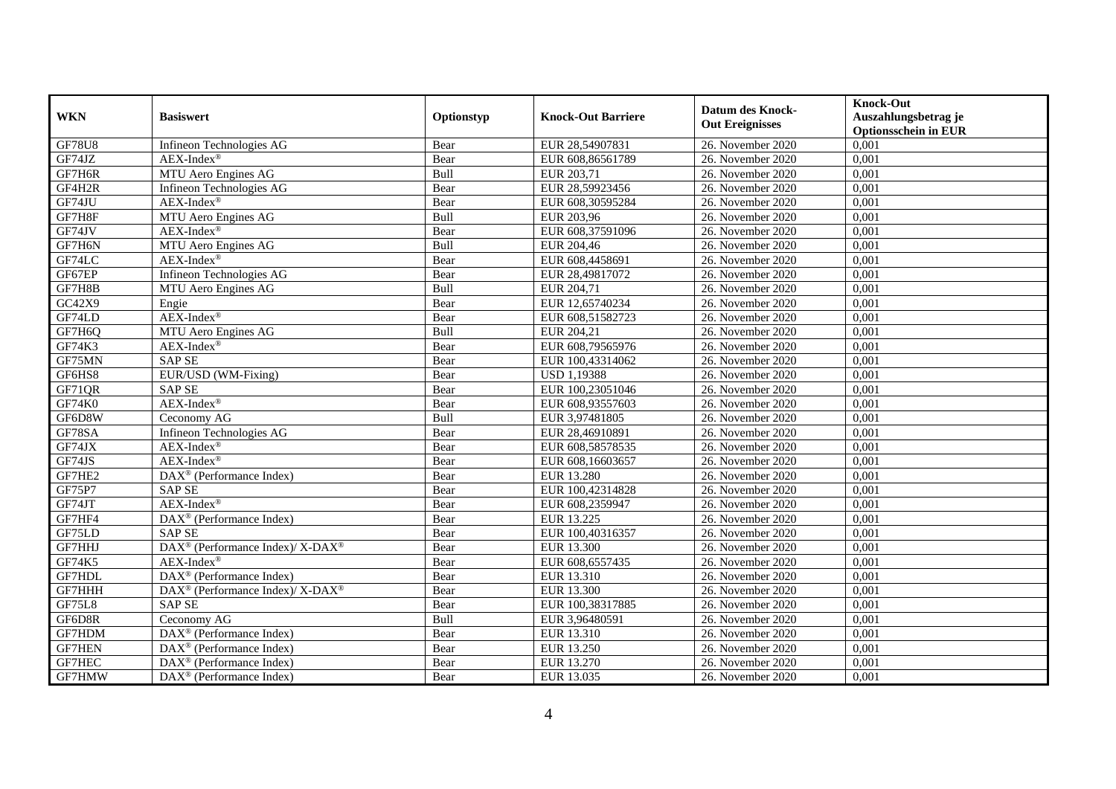| <b>WKN</b>    | <b>Basiswert</b>                                         | Optionstyp | <b>Knock-Out Barriere</b> | <b>Datum des Knock-</b><br><b>Out Ereignisses</b> | <b>Knock-Out</b><br>Auszahlungsbetrag je<br><b>Optionsschein in EUR</b> |
|---------------|----------------------------------------------------------|------------|---------------------------|---------------------------------------------------|-------------------------------------------------------------------------|
| <b>GF78U8</b> | Infineon Technologies AG                                 | Bear       | EUR 28,54907831           | 26. November 2020                                 | 0,001                                                                   |
| GF74JZ        | AEX-Index®                                               | Bear       | EUR 608,86561789          | 26. November 2020                                 | 0,001                                                                   |
| GF7H6R        | MTU Aero Engines AG                                      | Bull       | EUR 203,71                | 26. November 2020                                 | 0,001                                                                   |
| GF4H2R        | Infineon Technologies AG                                 | Bear       | EUR 28,59923456           | 26. November 2020                                 | 0,001                                                                   |
| GF74JU        | AEX-Index®                                               | Bear       | EUR 608,30595284          | 26. November 2020                                 | 0,001                                                                   |
| GF7H8F        | MTU Aero Engines AG                                      | Bull       | EUR 203,96                | 26. November 2020                                 | 0,001                                                                   |
| GF74JV        | $AEX-Index^{\circledR}$                                  | Bear       | EUR 608,37591096          | 26. November 2020                                 | 0,001                                                                   |
| GF7H6N        | MTU Aero Engines AG                                      | Bull       | EUR 204,46                | 26. November 2020                                 | 0,001                                                                   |
| GF74LC        | $AEX-Index^{\circledR}$                                  | Bear       | EUR 608,4458691           | 26. November 2020                                 | 0,001                                                                   |
| GF67EP        | Infineon Technologies AG                                 | Bear       | EUR 28,49817072           | 26. November 2020                                 | 0,001                                                                   |
| GF7H8B        | MTU Aero Engines AG                                      | Bull       | EUR 204,71                | 26. November 2020                                 | 0,001                                                                   |
| GC42X9        | Engie                                                    | Bear       | EUR 12,65740234           | 26. November 2020                                 | 0,001                                                                   |
| GF74LD        | AEX-Index®                                               | Bear       | EUR 608,51582723          | 26. November 2020                                 | 0,001                                                                   |
| GF7H6Q        | MTU Aero Engines AG                                      | Bull       | EUR 204,21                | 26. November 2020                                 | 0,001                                                                   |
| GF74K3        | $AEX-Index^{\circledR}$                                  | Bear       | EUR 608,79565976          | 26. November 2020                                 | 0,001                                                                   |
| GF75MN        | <b>SAP SE</b>                                            | Bear       | EUR 100,43314062          | 26. November $2020$                               | 0,001                                                                   |
| GF6HS8        | EUR/USD (WM-Fixing)                                      | Bear       | <b>USD 1,19388</b>        | 26. November 2020                                 | 0,001                                                                   |
| GF71QR        | <b>SAPSE</b>                                             | Bear       | EUR 100.23051046          | 26. November 2020                                 | 0.001                                                                   |
| GF74K0        | AEX-Index®                                               | Bear       | EUR 608,93557603          | 26. November 2020                                 | 0,001                                                                   |
| GF6D8W        | Ceconomy AG                                              | Bull       | EUR 3,97481805            | 26. November 2020                                 | 0,001                                                                   |
| GF78SA        | Infineon Technologies AG                                 | Bear       | EUR 28,46910891           | 26. November 2020                                 | 0,001                                                                   |
| GF74JX        | $AEX-Index^{\circledR}$                                  | Bear       | EUR 608,58578535          | 26. November 2020                                 | 0,001                                                                   |
| GF74JS        | $AEX-Index^{\circledR}$                                  | Bear       | EUR 608,16603657          | 26. November 2020                                 | 0,001                                                                   |
| GF7HE2        | DAX <sup>®</sup> (Performance Index)                     | Bear       | EUR 13.280                | 26. November 2020                                 | 0,001                                                                   |
| GF75P7        | <b>SAP SE</b>                                            | Bear       | EUR 100,42314828          | 26. November 2020                                 | 0,001                                                                   |
| GF74JT        | AEX-Index®                                               | Bear       | EUR 608,2359947           | 26. November 2020                                 | 0,001                                                                   |
| GF7HF4        | DAX <sup>®</sup> (Performance Index)                     | Bear       | EUR 13.225                | 26. November 2020                                 | 0,001                                                                   |
| GF75LD        | <b>SAP SE</b>                                            | Bear       | EUR 100,40316357          | 26. November 2020                                 | 0,001                                                                   |
| <b>GF7HHJ</b> | DAX <sup>®</sup> (Performance Index)/ X-DAX <sup>®</sup> | Bear       | EUR 13.300                | 26. November 2020                                 | 0.001                                                                   |
| <b>GF74K5</b> | AEX-Index®                                               | Bear       | EUR 608,6557435           | 26. November 2020                                 | 0,001                                                                   |
| GF7HDL        | DAX <sup>®</sup> (Performance Index)                     | Bear       | EUR 13.310                | 26. November 2020                                 | 0,001                                                                   |
| GF7HHH        | DAX <sup>®</sup> (Performance Index)/ X-DAX <sup>®</sup> | Bear       | EUR 13.300                | 26. November 2020                                 | 0,001                                                                   |
| GF75L8        | <b>SAP SE</b>                                            | Bear       | EUR 100,38317885          | 26. November 2020                                 | 0,001                                                                   |
| GF6D8R        | Ceconomy AG                                              | Bull       | EUR 3,96480591            | 26. November 2020                                 | 0,001                                                                   |
| GF7HDM        | $\text{DAX}^{\otimes}$ (Performance Index)               | Bear       | EUR 13.310                | 26. November 2020                                 | 0,001                                                                   |
| <b>GF7HEN</b> | $\text{DAX}^{\otimes}$ (Performance Index)               | Bear       | EUR 13.250                | 26. November 2020                                 | 0,001                                                                   |
| GF7HEC        | $\text{DAX}^{\otimes}$ (Performance Index)               | Bear       | EUR 13.270                | 26. November 2020                                 | 0,001                                                                   |
| GF7HMW        | $\text{DAX}^{\otimes}$ (Performance Index)               | Bear       | EUR 13.035                | 26. November 2020                                 | 0,001                                                                   |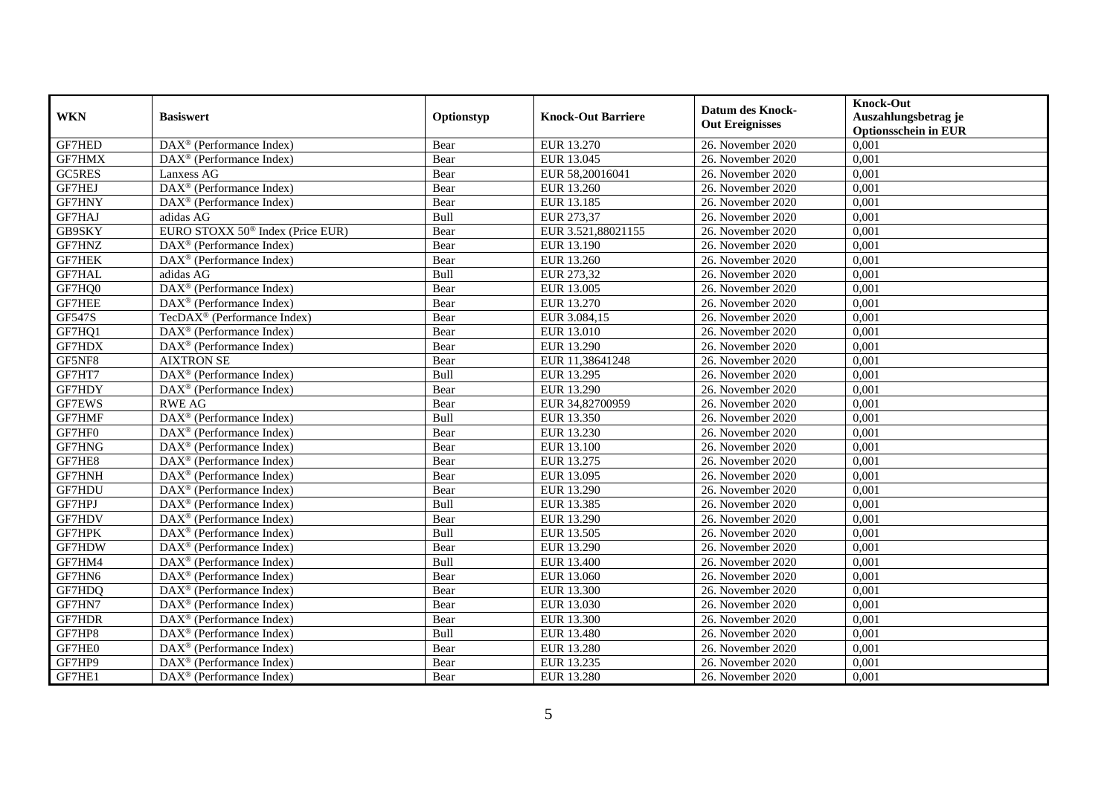| <b>WKN</b>    | <b>Basiswert</b>                                        | Optionstyp  | <b>Knock-Out Barriere</b> | <b>Datum des Knock-</b><br><b>Out Ereignisses</b> | <b>Knock-Out</b><br>Auszahlungsbetrag je<br><b>Optionsschein in EUR</b> |
|---------------|---------------------------------------------------------|-------------|---------------------------|---------------------------------------------------|-------------------------------------------------------------------------|
| GF7HED        | $\overline{\text{DAX}}^{\textcirc}$ (Performance Index) | Bear        | EUR 13.270                | 26. November 2020                                 | 0,001                                                                   |
| GF7HMX        | $\overline{\text{DAX}}^{\textcirc}$ (Performance Index) | Bear        | EUR 13.045                | 26. November 2020                                 | 0,001                                                                   |
| GC5RES        | Lanxess AG                                              | Bear        | EUR 58,20016041           | 26. November 2020                                 | 0,001                                                                   |
| GF7HEJ        | DAX <sup>®</sup> (Performance Index)                    | Bear        | EUR 13.260                | 26. November 2020                                 | 0,001                                                                   |
| GF7HNY        | DAX <sup>®</sup> (Performance Index)                    | Bear        | EUR 13.185                | 26. November 2020                                 | 0,001                                                                   |
| GF7HAJ        | adidas AG                                               | Bull        | EUR 273,37                | 26. November 2020                                 | 0,001                                                                   |
| GB9SKY        | EURO STOXX 50 <sup>®</sup> Index (Price EUR)            | Bear        | EUR 3.521,88021155        | 26. November 2020                                 | 0,001                                                                   |
| GF7HNZ        | $DAX^{\otimes}$ (Performance Index)                     | Bear        | EUR 13.190                | 26. November 2020                                 | 0,001                                                                   |
| <b>GF7HEK</b> | $\text{DAX}^{\otimes}$ (Performance Index)              | Bear        | EUR 13.260                | 26. November 2020                                 | 0,001                                                                   |
| GF7HAL        | adidas AG                                               | Bull        | EUR 273,32                | 26. November 2020                                 | 0,001                                                                   |
| GF7HQ0        | DAX <sup>®</sup> (Performance Index)                    | Bear        | EUR 13.005                | 26. November 2020                                 | 0,001                                                                   |
| <b>GF7HEE</b> | DAX <sup>®</sup> (Performance Index)                    | Bear        | EUR 13.270                | 26. November 2020                                 | 0,001                                                                   |
| <b>GF547S</b> | TecDAX <sup>®</sup> (Performance Index)                 | Bear        | EUR 3.084,15              | 26. November 2020                                 | 0,001                                                                   |
| GF7HQ1        | $DAX^{\circledR}$ (Performance Index)                   | Bear        | EUR 13.010                | 26. November 2020                                 | 0,001                                                                   |
| GF7HDX        | $\overline{\text{DAX}^{\otimes}}$ (Performance Index)   | Bear        | <b>EUR 13.290</b>         | 26. November 2020                                 | 0,001                                                                   |
| GF5NF8        | <b>AIXTRON SE</b>                                       | Bear        | EUR 11,38641248           | 26. November 2020                                 | 0,001                                                                   |
| GF7HT7        | DAX <sup>®</sup> (Performance Index)                    | Bull        | EUR 13.295                | 26. November 2020                                 | 0,001                                                                   |
| GF7HDY        | $\text{DAX}^{\otimes}$ (Performance Index)              | Bear        | <b>EUR 13.290</b>         | 26. November 2020                                 | 0,001                                                                   |
| GF7EWS        | <b>RWE AG</b>                                           | Bear        | EUR 34,82700959           | 26. November 2020                                 | 0,001                                                                   |
| GF7HMF        | DAX <sup>®</sup> (Performance Index)                    | Bull        | EUR 13.350                | 26. November 2020                                 | 0,001                                                                   |
| GF7HF0        | $\overline{\text{DAX}^{\otimes}}$ (Performance Index)   | Bear        | EUR 13.230                | 26. November 2020                                 | 0,001                                                                   |
| GF7HNG        | $DAX^{\otimes}$ (Performance Index)                     | Bear        | EUR 13.100                | 26. November 2020                                 | 0,001                                                                   |
| GF7HE8        | DAX <sup>®</sup> (Performance Index)                    | Bear        | EUR 13.275                | 26. November 2020                                 | 0,001                                                                   |
| GF7HNH        | $DAX^{\otimes}$ (Performance Index)                     | Bear        | EUR 13.095                | 26. November 2020                                 | 0,001                                                                   |
| GF7HDU        | $DAX^{\otimes}$ (Performance Index)                     | Bear        | EUR 13.290                | 26. November 2020                                 | 0,001                                                                   |
| GF7HPJ        | $\text{DAX}^{\otimes}$ (Performance Index)              | <b>Bull</b> | EUR 13.385                | 26. November 2020                                 | 0,001                                                                   |
| GF7HDV        | DAX <sup>®</sup> (Performance Index)                    | Bear        | EUR 13.290                | 26. November 2020                                 | 0,001                                                                   |
| GF7HPK        | $\overline{\text{DAX}^{\otimes}}$ (Performance Index)   | Bull        | EUR 13.505                | 26. November 2020                                 | 0,001                                                                   |
| GF7HDW        | DAX <sup>®</sup> (Performance Index)                    | Bear        | EUR 13.290                | 26. November 2020                                 | 0,001                                                                   |
| GF7HM4        | $DAX^{\circledR}$ (Performance Index)                   | Bull        | EUR 13.400                | 26. November 2020                                 | 0,001                                                                   |
| GF7HN6        | $DAX^{\otimes}$ (Performance Index)                     | Bear        | EUR 13.060                | 26. November 2020                                 | 0,001                                                                   |
| GF7HDQ        | $\overline{\text{DAX}^{\otimes}}$ (Performance Index)   | Bear        | EUR 13.300                | 26. November 2020                                 | 0,001                                                                   |
| GF7HN7        | $\overline{\text{DAX}^{\otimes}}$ (Performance Index)   | Bear        | EUR 13.030                | 26. November 2020                                 | 0,001                                                                   |
| GF7HDR        | DAX <sup>®</sup> (Performance Index)                    | Bear        | EUR 13.300                | 26. November 2020                                 | 0,001                                                                   |
| GF7HP8        | $\text{DAX}^{\otimes}$ (Performance Index)              | Bull        | <b>EUR 13.480</b>         | 26. November 2020                                 | 0,001                                                                   |
| GF7HE0        | DAX <sup>®</sup> (Performance Index)                    | Bear        | EUR 13.280                | 26. November 2020                                 | 0,001                                                                   |
| GF7HP9        | $DAX^{\circledast}$ (Performance Index)                 | Bear        | EUR 13.235                | 26. November 2020                                 | 0,001                                                                   |
| GF7HE1        | $\text{DAX}^{\otimes}$ (Performance Index)              | Bear        | EUR 13.280                | 26. November 2020                                 | 0,001                                                                   |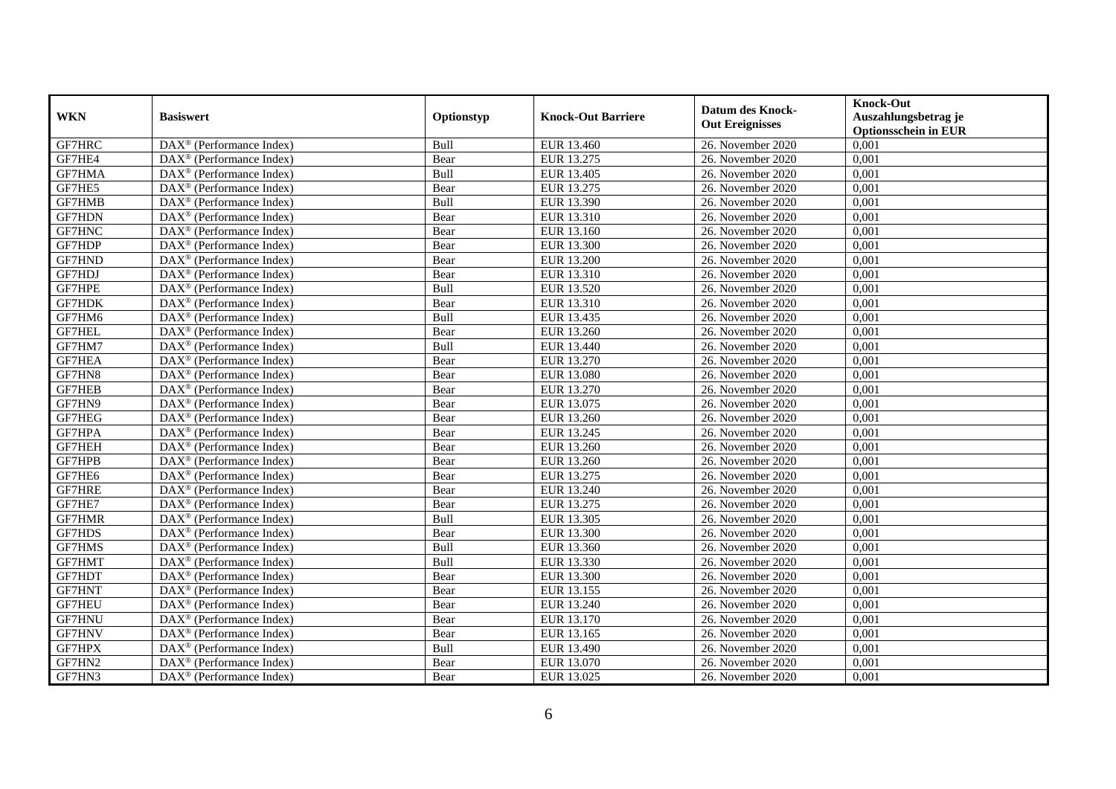| <b>WKN</b>    | <b>Basiswert</b>                                        | Optionstyp | <b>Knock-Out Barriere</b> | <b>Datum des Knock-</b><br><b>Out Ereignisses</b> | <b>Knock-Out</b><br>Auszahlungsbetrag je<br><b>Optionsschein in EUR</b> |
|---------------|---------------------------------------------------------|------------|---------------------------|---------------------------------------------------|-------------------------------------------------------------------------|
| GF7HRC        | $\overline{\text{DAX}^{\otimes}}$ (Performance Index)   | Bull       | EUR 13.460                | 26. November 2020                                 | 0,001                                                                   |
| GF7HE4        | $DAX^{\otimes}$ (Performance Index)                     | Bear       | EUR 13.275                | 26. November 2020                                 | 0,001                                                                   |
| <b>GF7HMA</b> | $DAX^{\otimes}$ (Performance Index)                     | Bull       | EUR 13.405                | 26. November 2020                                 | 0,001                                                                   |
| GF7HE5        | $\text{DAX}^{\otimes}$ (Performance Index)              | Bear       | EUR 13.275                | 26. November 2020                                 | 0,001                                                                   |
| GF7HMB        | $DAX^{\circledast}$ (Performance Index)                 | Bull       | EUR 13.390                | 26. November 2020                                 | 0,001                                                                   |
| GF7HDN        | $\overline{\text{DAX}^{\otimes}}$ (Performance Index)   | Bear       | EUR 13.310                | 26. November 2020                                 | 0,001                                                                   |
| GF7HNC        | $\text{DAX}^{\otimes}$ (Performance Index)              | Bear       | EUR 13.160                | 26. November 2020                                 | 0,001                                                                   |
| GF7HDP        | $\text{DAX}^{\otimes}$ (Performance Index)              | Bear       | EUR 13.300                | 26. November 2020                                 | 0,001                                                                   |
| GF7HND        | $\text{DAX}^{\otimes}$ (Performance Index)              | Bear       | EUR 13.200                | 26. November 2020                                 | 0,001                                                                   |
| GF7HDJ        | DAX <sup>®</sup> (Performance Index)                    | Bear       | EUR 13.310                | 26. November 2020                                 | 0,001                                                                   |
| GF7HPE        | $\text{DAX}^{\otimes}$ (Performance Index)              | Bull       | EUR 13.520                | 26. November 2020                                 | 0,001                                                                   |
| <b>GF7HDK</b> | $DAX^{\otimes}$ (Performance Index)                     | Bear       | EUR 13.310                | 26. November 2020                                 | 0,001                                                                   |
| GF7HM6        | $\overline{\text{DAX}}^{\textcirc}$ (Performance Index) | Bull       | EUR 13.435                | 26. November 2020                                 | 0,001                                                                   |
| <b>GF7HEL</b> | DAX <sup>®</sup> (Performance Index)                    | Bear       | EUR 13.260                | 26. November 2020                                 | 0,001                                                                   |
| GF7HM7        | DAX <sup>®</sup> (Performance Index)                    | Bull       | EUR 13.440                | 26. November 2020                                 | 0,001                                                                   |
| GF7HEA        | DAX <sup>®</sup> (Performance Index)                    | Bear       | <b>EUR 13.270</b>         | 26. November 2020                                 | 0,001                                                                   |
| GF7HN8        | $DAX^{\otimes}$ (Performance Index)                     | Bear       | EUR 13.080                | 26. November 2020                                 | 0,001                                                                   |
| <b>GF7HEB</b> | $\overline{\text{DAX}}^{\textcirc}$ (Performance Index) | Bear       | EUR 13.270                | 26. November 2020                                 | 0,001                                                                   |
| GF7HN9        | $\overline{\text{DAX}^{\otimes}}$ (Performance Index)   | Bear       | EUR 13.075                | 26. November 2020                                 | 0,001                                                                   |
| GF7HEG        | $\text{DAX}^{\otimes}$ (Performance Index)              | Bear       | EUR 13.260                | 26. November 2020                                 | 0,001                                                                   |
| GF7HPA        | $DAX^{\circledast}$ (Performance Index)                 | Bear       | EUR 13.245                | 26. November 2020                                 | 0,001                                                                   |
| GF7HEH        | $\overline{\text{DAX}}^{\textcirc}$ (Performance Index) | Bear       | EUR 13.260                | 26. November 2020                                 | 0,001                                                                   |
| GF7HPB        | DAX <sup>®</sup> (Performance Index)                    | Bear       | EUR 13.260                | 26. November 2020                                 | 0,001                                                                   |
| GF7HE6        | $\text{DAX}^{\otimes}$ (Performance Index)              | Bear       | EUR 13.275                | 26. November 2020                                 | 0,001                                                                   |
| GF7HRE        | $DAX^{\circledR}$ (Performance Index)                   | Bear       | EUR 13.240                | 26. November 2020                                 | 0,001                                                                   |
| GF7HE7        | $\text{DAX}^{\otimes}$ (Performance Index)              | Bear       | EUR 13.275                | 26. November 2020                                 | 0,001                                                                   |
| GF7HMR        | $\overline{\text{DAX}^{\otimes}}$ (Performance Index)   | Bull       | <b>EUR 13.305</b>         | 26. November 2020                                 | 0,001                                                                   |
| GF7HDS        | $DAX^{\otimes}$ (Performance Index)                     | Bear       | EUR 13.300                | 26. November 2020                                 | 0,001                                                                   |
| GF7HMS        | DAX <sup>®</sup> (Performance Index)                    | Bull       | EUR 13.360                | 26. November 2020                                 | 0,001                                                                   |
| GF7HMT        | $DAX^{\otimes}$ (Performance Index)                     | Bull       | EUR 13.330                | 26. November 2020                                 | 0,001                                                                   |
| GF7HDT        | $\text{DAX}^{\otimes}$ (Performance Index)              | Bear       | EUR 13.300                | 26. November 2020                                 | 0,001                                                                   |
| GF7HNT        | DAX <sup>®</sup> (Performance Index)                    | Bear       | EUR 13.155                | 26. November 2020                                 | 0,001                                                                   |
| <b>GF7HEU</b> | $\overline{\text{DAX}^{\otimes}}$ (Performance Index)   | Bear       | EUR 13.240                | 26. November 2020                                 | 0,001                                                                   |
| <b>GF7HNU</b> | $\text{DAX}^{\otimes}$ (Performance Index)              | Bear       | EUR 13.170                | 26. November 2020                                 | 0,001                                                                   |
| <b>GF7HNV</b> | $\text{DAX}^{\otimes}$ (Performance Index)              | Bear       | EUR 13.165                | 26. November 2020                                 | 0,001                                                                   |
| GF7HPX        | $\text{DAX}^{\otimes}$ (Performance Index)              | Bull       | EUR 13.490                | 26. November 2020                                 | 0,001                                                                   |
| GF7HN2        | $\text{DAX}^{\otimes}$ (Performance Index)              | Bear       | EUR 13.070                | 26. November 2020                                 | 0,001                                                                   |
| GF7HN3        | DAX <sup>®</sup> (Performance Index)                    | Bear       | EUR 13.025                | 26. November 2020                                 | 0,001                                                                   |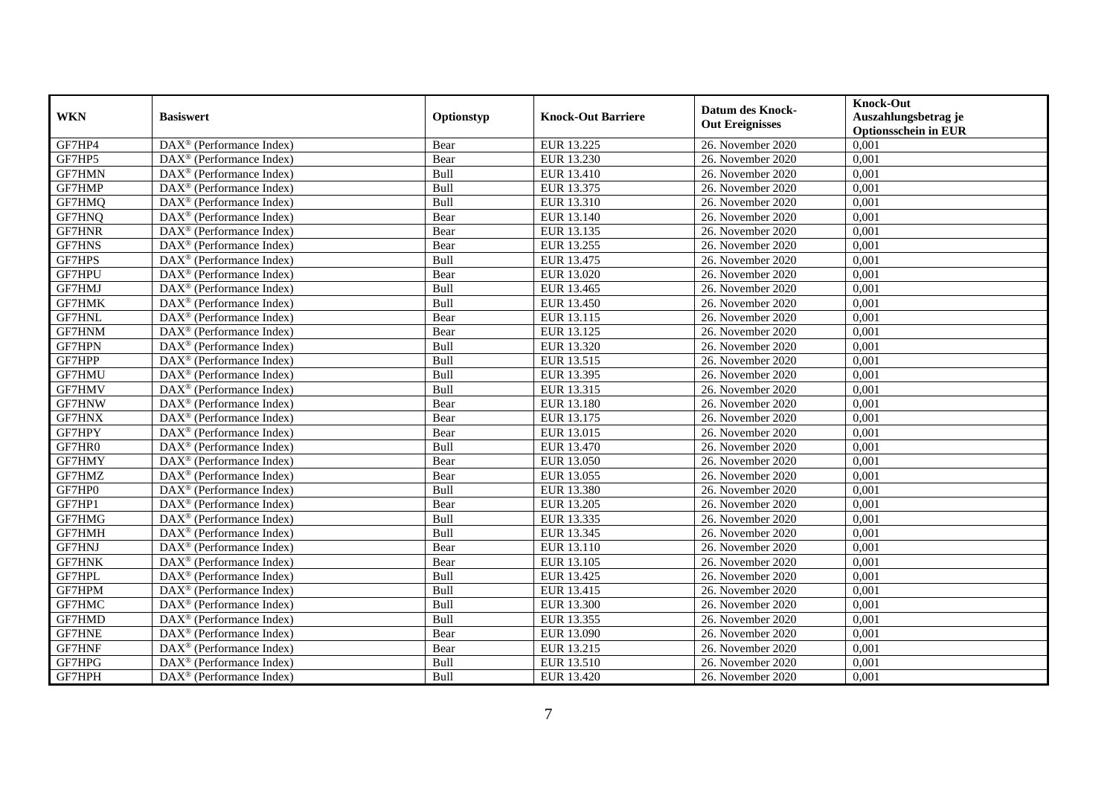| <b>WKN</b>    | <b>Basiswert</b>                                              | Optionstyp | <b>Knock-Out Barriere</b> | <b>Datum des Knock-</b><br><b>Out Ereignisses</b> | <b>Knock-Out</b><br>Auszahlungsbetrag je<br><b>Optionsschein in EUR</b> |
|---------------|---------------------------------------------------------------|------------|---------------------------|---------------------------------------------------|-------------------------------------------------------------------------|
| GF7HP4        | $\overline{\text{DAX}^{\otimes}}$ (Performance Index)         | Bear       | EUR 13.225                | 26. November 2020                                 | 0,001                                                                   |
| GF7HP5        | $\overline{\text{DAX}^{\textcircled{0}}}$ (Performance Index) | Bear       | EUR 13.230                | 26. November 2020                                 | 0,001                                                                   |
| <b>GF7HMN</b> | $DAX^{\circledR}$ (Performance Index)                         | Bull       | EUR 13.410                | 26. November 2020                                 | 0,001                                                                   |
| GF7HMP        | $\text{DAX}^{\otimes}$ (Performance Index)                    | Bull       | EUR 13.375                | 26. November 2020                                 | 0,001                                                                   |
| GF7HMQ        | $\text{DAX}^{\otimes}$ (Performance Index)                    | Bull       | EUR 13.310                | 26. November 2020                                 | 0,001                                                                   |
| GF7HNQ        | $\text{DAX}^{\otimes}$ (Performance Index)                    | Bear       | EUR 13.140                | 26. November 2020                                 | 0,001                                                                   |
| GF7HNR        | $\overline{\text{DAX}}^{\textcirc}$ (Performance Index)       | Bear       | EUR 13.135                | 26. November 2020                                 | 0,001                                                                   |
| <b>GF7HNS</b> | $DAX^{\otimes}$ (Performance Index)                           | Bear       | EUR 13.255                | 26. November 2020                                 | 0,001                                                                   |
| GF7HPS        | $DAX^{\otimes}$ (Performance Index)                           | Bull       | EUR 13.475                | 26. November 2020                                 | 0,001                                                                   |
| GF7HPU        | $\text{DAX}^{\otimes}$ (Performance Index)                    | Bear       | EUR 13.020                | 26. November 2020                                 | 0,001                                                                   |
| GF7HMJ        | DAX <sup>®</sup> (Performance Index)                          | Bull       | EUR 13.465                | 26. November 2020                                 | 0,001                                                                   |
| <b>GF7HMK</b> | $\overline{\text{DAX}^{\otimes}}$ (Performance Index)         | Bull       | EUR 13.450                | 26. November 2020                                 | 0,001                                                                   |
| GF7HNL        | $\overline{\text{DAX}}^{\textcirc}$ (Performance Index)       | Bear       | EUR 13.115                | 26. November 2020                                 | 0,001                                                                   |
| GF7HNM        | $\text{DAX}^{\otimes}$ (Performance Index)                    | Bear       | EUR 13.125                | 26. November 2020                                 | 0,001                                                                   |
| GF7HPN        | $\text{DAX}^{\otimes}$ (Performance Index)                    | Bull       | EUR 13.320                | 26. November 2020                                 | 0,001                                                                   |
| GF7HPP        | DAX <sup>®</sup> (Performance Index)                          | Bull       | EUR 13.515                | 26. November 2020                                 | 0,001                                                                   |
| GF7HMU        | $\text{DAX}^{\circledast}$ (Performance Index)                | Bull       | EUR 13.395                | 26. November 2020                                 | 0,001                                                                   |
| GF7HMV        | $\overline{\text{DAX}}^{\textcirc}$ (Performance Index)       | Bull       | EUR 13.315                | 26. November 2020                                 | 0,001                                                                   |
| GF7HNW        | $DAX^{\otimes}$ (Performance Index)                           | Bear       | <b>EUR 13.180</b>         | 26. November 2020                                 | 0,001                                                                   |
| <b>GF7HNX</b> | $DAX^{\circledR}$ (Performance Index)                         | Bear       | EUR 13.175                | 26. November 2020                                 | 0,001                                                                   |
| GF7HPY        | $DAX^{\circledast}$ (Performance Index)                       | Bear       | EUR 13.015                | 26. November 2020                                 | 0,001                                                                   |
| GF7HR0        | DAX <sup>®</sup> (Performance Index)                          | Bull       | EUR 13.470                | 26. November 2020                                 | 0,001                                                                   |
| GF7HMY        | $\overline{\text{DAX}^{\otimes}}$ (Performance Index)         | Bear       | EUR 13.050                | 26. November 2020                                 | 0,001                                                                   |
| GF7HMZ        | DAX <sup>®</sup> (Performance Index)                          | Bear       | EUR 13.055                | 26. November 2020                                 | 0,001                                                                   |
| GF7HP0        | DAX <sup>®</sup> (Performance Index)                          | Bull       | EUR 13.380                | 26. November 2020                                 | 0,001                                                                   |
| GF7HP1        | DAX <sup>®</sup> (Performance Index)                          | Bear       | EUR 13.205                | 26. November 2020                                 | 0,001                                                                   |
| GF7HMG        | $\text{DAX}^{\otimes}$ (Performance Index)                    | Bull       | EUR 13.335                | 26. November 2020                                 | 0,001                                                                   |
| GF7HMH        | $DAX^{\circledR}$ (Performance Index)                         | Bull       | EUR 13.345                | 26. November 2020                                 | 0,001                                                                   |
| <b>GF7HNJ</b> | $\overline{\text{DAX}}^{\textcirc}$ (Performance Index)       | Bear       | EUR 13.110                | 26. November 2020                                 | 0,001                                                                   |
| <b>GF7HNK</b> | $DAX^{\otimes}$ (Performance Index)                           | Bear       | EUR 13.105                | 26. November 2020                                 | 0,001                                                                   |
| GF7HPL        | $DAX^{\circledR}$ (Performance Index)                         | Bull       | EUR 13.425                | 26. November 2020                                 | 0,001                                                                   |
| GF7HPM        | DAX <sup>®</sup> (Performance Index)                          | Bull       | EUR 13.415                | 26. November 2020                                 | 0,001                                                                   |
| GF7HMC        | $\overline{\text{DAX}}^{\textcirc}$ (Performance Index)       | Bull       | EUR 13.300                | 26. November 2020                                 | 0,001                                                                   |
| GF7HMD        | DAX <sup>®</sup> (Performance Index)                          | Bull       | EUR 13.355                | 26. November 2020                                 | 0,001                                                                   |
| <b>GF7HNE</b> | $\text{DAX}^{\otimes}$ (Performance Index)                    | Bear       | EUR 13.090                | 26. November 2020                                 | 0,001                                                                   |
| GF7HNF        | DAX <sup>®</sup> (Performance Index)                          | Bear       | EUR 13.215                | 26. November 2020                                 | 0,001                                                                   |
| GF7HPG        | $DAX^{\circledast}$ (Performance Index)                       | Bull       | EUR 13.510                | 26. November 2020                                 | 0,001                                                                   |
| GF7HPH        | $\text{DAX}^{\otimes}$ (Performance Index)                    | Bull       | EUR 13.420                | 26. November 2020                                 | 0,001                                                                   |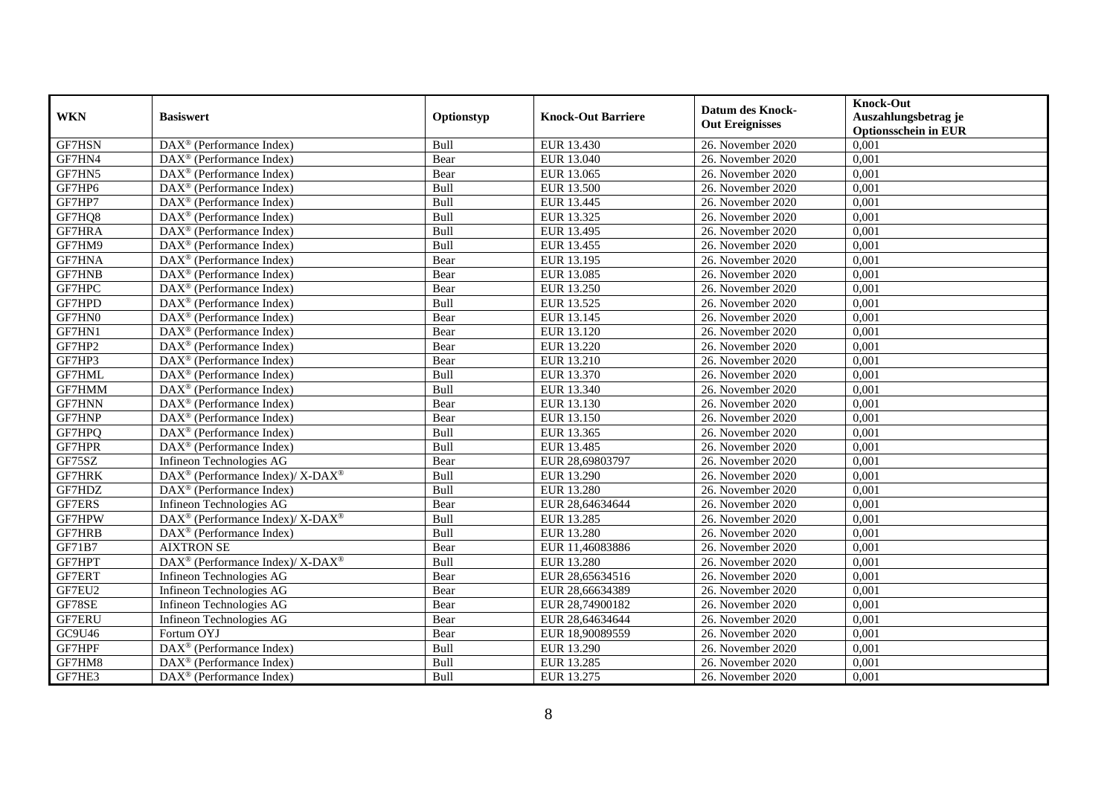| <b>WKN</b>    | <b>Basiswert</b>                                                | Optionstyp  | <b>Knock-Out Barriere</b> | <b>Datum des Knock-</b><br><b>Out Ereignisses</b> | <b>Knock-Out</b><br>Auszahlungsbetrag je<br><b>Optionsschein in EUR</b> |
|---------------|-----------------------------------------------------------------|-------------|---------------------------|---------------------------------------------------|-------------------------------------------------------------------------|
| GF7HSN        | $\overline{\text{DAX}^{\otimes}}$ (Performance Index)           | Bull        | EUR 13.430                | 26. November 2020                                 | 0,001                                                                   |
| GF7HN4        | $DAX^{\otimes}$ (Performance Index)                             | Bear        | EUR 13.040                | 26. November 2020                                 | 0,001                                                                   |
| GF7HN5        | $DAX^{\otimes}$ (Performance Index)                             | Bear        | EUR 13.065                | 26. November 2020                                 | 0,001                                                                   |
| GF7HP6        | $\text{DAX}^{\otimes}$ (Performance Index)                      | Bull        | <b>EUR 13.500</b>         | 26. November 2020                                 | 0,001                                                                   |
| GF7HP7        | $\text{DAX}^{\otimes}$ (Performance Index)                      | Bull        | EUR 13.445                | 26. November 2020                                 | 0,001                                                                   |
| GF7HQ8        | $\overline{\text{DAX}^{\otimes}}$ (Performance Index)           | Bull        | EUR 13.325                | 26. November 2020                                 | 0,001                                                                   |
| GF7HRA        | $\text{DAX}^{\otimes}$ (Performance Index)                      | Bull        | EUR 13.495                | 26. November 2020                                 | 0,001                                                                   |
| GF7HM9        | $\text{DAX}^{\otimes}$ (Performance Index)                      | Bull        | EUR 13.455                | 26. November 2020                                 | 0,001                                                                   |
| <b>GF7HNA</b> | $\text{DAX}^{\otimes}$ (Performance Index)                      | Bear        | EUR 13.195                | 26. November 2020                                 | 0,001                                                                   |
| GF7HNB        | $\text{DAX}^{\otimes}$ (Performance Index)                      | Bear        | EUR 13.085                | 26. November 2020                                 | 0,001                                                                   |
| GF7HPC        | $\overline{\text{DAX}^{\circledast}(\text{Performance Index})}$ | Bear        | EUR 13.250                | 26. November 2020                                 | 0,001                                                                   |
| GF7HPD        | DAX <sup>®</sup> (Performance Index)                            | Bull        | EUR 13.525                | 26. November 2020                                 | 0,001                                                                   |
| GF7HN0        | $\overline{\text{DAX}}^{\textcirc}$ (Performance Index)         | Bear        | EUR 13.145                | 26. November 2020                                 | 0,001                                                                   |
| GF7HN1        | $DAX^{\otimes}$ (Performance Index)                             | Bear        | EUR 13.120                | 26. November 2020                                 | 0,001                                                                   |
| GF7HP2        | DAX <sup>®</sup> (Performance Index)                            | Bear        | <b>EUR 13.220</b>         | 26. November 2020                                 | 0,001                                                                   |
| GF7HP3        | DAX <sup>®</sup> (Performance Index)                            | Bear        | <b>EUR 13.210</b>         | 26. November 2020                                 | 0,001                                                                   |
| GF7HML        | $DAX^{\otimes}$ (Performance Index)                             | Bull        | EUR 13.370                | 26. November 2020                                 | 0,001                                                                   |
| GF7HMM        | $\overline{\text{DAX}}^{\textcirc}$ (Performance Index)         | Bull        | EUR 13.340                | 26. November 2020                                 | 0,001                                                                   |
| <b>GF7HNN</b> | $\overline{\text{DAX}^{\otimes}}$ (Performance Index)           | Bear        | EUR 13.130                | 26. November 2020                                 | 0,001                                                                   |
| GF7HNP        | $\text{DAX}^{\otimes}$ (Performance Index)                      | Bear        | EUR 13.150                | 26. November 2020                                 | 0,001                                                                   |
| GF7HPQ        | $\text{DAX}^{\otimes}$ (Performance Index)                      | Bull        | EUR 13.365                | 26. November 2020                                 | 0,001                                                                   |
| GF7HPR        | $\overline{\text{DAX}^{\circledast}(\text{Performance Index})}$ | Bull        | EUR 13.485                | 26. November 2020                                 | 0,001                                                                   |
| GF75SZ        | Infineon Technologies AG                                        | Bear        | EUR 28,69803797           | 26. November 2020                                 | 0,001                                                                   |
| GF7HRK        | DAX <sup>®</sup> (Performance Index)/ X-DAX <sup>®</sup>        | Bull        | EUR 13.290                | 26. November 2020                                 | 0,001                                                                   |
| GF7HDZ        | $DAX^{\circledR}$ (Performance Index)                           | <b>Bull</b> | EUR 13.280                | 26. November 2020                                 | 0,001                                                                   |
| GF7ERS        | Infineon Technologies AG                                        | Bear        | EUR 28,64634644           | 26. November 2020                                 | 0,001                                                                   |
| GF7HPW        | DAX <sup>®</sup> (Performance Index)/ X-DAX <sup>®</sup>        | Bull        | EUR 13.285                | 26. November 2020                                 | 0,001                                                                   |
| GF7HRB        | $\overline{\text{DAX}^{\otimes}}$ (Performance Index)           | Bull        | <b>EUR 13.280</b>         | 26. November 2020                                 | 0,001                                                                   |
| GF71B7        | <b>AIXTRON SE</b>                                               | Bear        | EUR 11,46083886           | 26. November 2020                                 | 0,001                                                                   |
| GF7HPT        | DAX <sup>®</sup> (Performance Index)/ X-DAX <sup>®</sup>        | Bull        | <b>EUR 13.280</b>         | 26. November 2020                                 | 0,001                                                                   |
| GF7ERT        | Infineon Technologies AG                                        | Bear        | EUR 28,65634516           | 26. November 2020                                 | 0,001                                                                   |
| GF7EU2        | Infineon Technologies AG                                        | Bear        | EUR 28,66634389           | 26. November 2020                                 | 0,001                                                                   |
| GF78SE        | Infineon Technologies AG                                        | Bear        | EUR 28,74900182           | 26. November 2020                                 | 0,001                                                                   |
| <b>GF7ERU</b> | Infineon Technologies AG                                        | Bear        | EUR 28,64634644           | 26. November 2020                                 | 0,001                                                                   |
| GC9U46        | Fortum OYJ                                                      | Bear        | EUR 18,90089559           | 26. November 2020                                 | 0,001                                                                   |
| GF7HPF        | DAX <sup>®</sup> (Performance Index)                            | Bull        | EUR 13.290                | 26. November 2020                                 | 0,001                                                                   |
| GF7HM8        | $\text{DAX}^{\otimes}$ (Performance Index)                      | Bull        | EUR 13.285                | 26. November 2020                                 | 0,001                                                                   |
| GF7HE3        | $\text{DAX}^{\otimes}$ (Performance Index)                      | Bull        | EUR 13.275                | 26. November 2020                                 | 0,001                                                                   |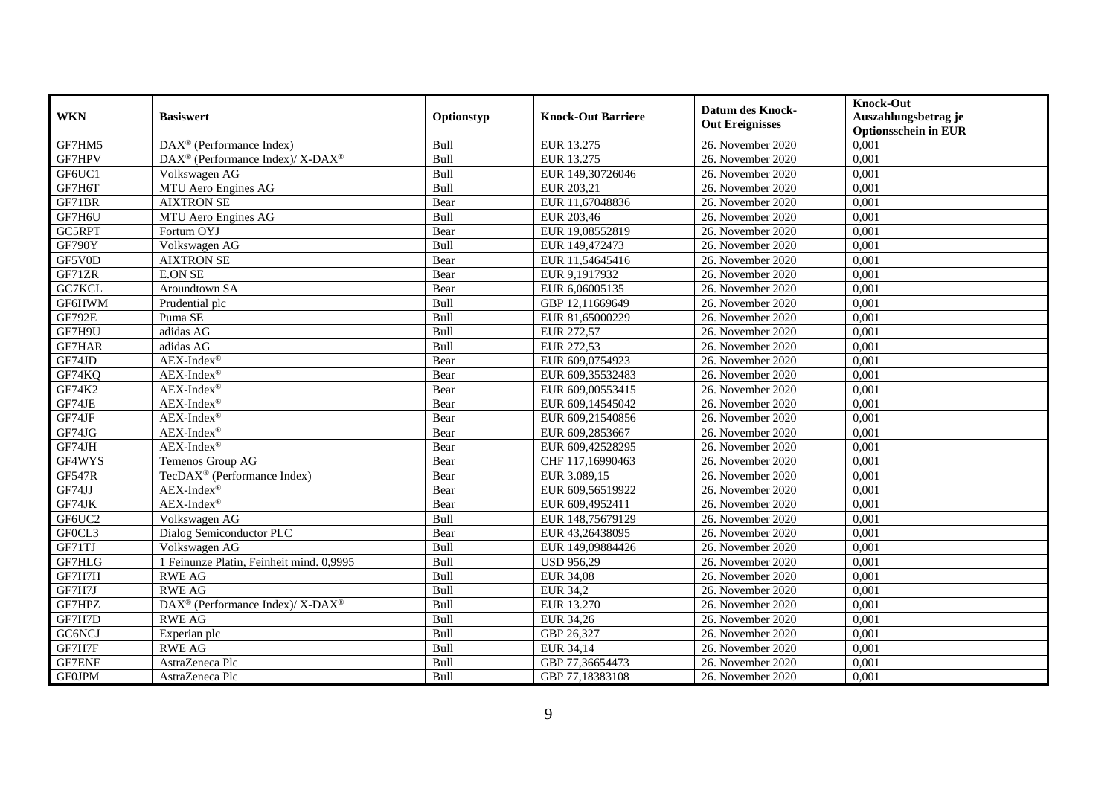| <b>WKN</b>    | <b>Basiswert</b>                                            | Optionstyp | <b>Knock-Out Barriere</b> | <b>Datum des Knock-</b><br><b>Out Ereignisses</b> | <b>Knock-Out</b><br>Auszahlungsbetrag je<br><b>Optionsschein in EUR</b> |
|---------------|-------------------------------------------------------------|------------|---------------------------|---------------------------------------------------|-------------------------------------------------------------------------|
| GF7HM5        | $\overline{\text{DAX}^{\otimes}}$ (Performance Index)       | Bull       | EUR 13.275                | 26. November 2020                                 | 0,001                                                                   |
| GF7HPV        | $DAX^{\circledast}$ (Performance Index)/ X-DAX <sup>®</sup> | Bull       | EUR 13.275                | 26. November 2020                                 | 0,001                                                                   |
| GF6UC1        | Volkswagen AG                                               | Bull       | EUR 149,30726046          | 26. November 2020                                 | 0,001                                                                   |
| GF7H6T        | MTU Aero Engines AG                                         | Bull       | EUR 203,21                | 26. November 2020                                 | 0,001                                                                   |
| GF71BR        | <b>AIXTRON SE</b>                                           | Bear       | EUR 11,67048836           | 26. November 2020                                 | 0,001                                                                   |
| GF7H6U        | MTU Aero Engines AG                                         | Bull       | EUR 203,46                | 26. November 2020                                 | 0,001                                                                   |
| GC5RPT        | Fortum OYJ                                                  | Bear       | EUR 19,08552819           | 26. November 2020                                 | 0,001                                                                   |
| GF790Y        | Volkswagen AG                                               | Bull       | EUR 149,472473            | 26. November 2020                                 | 0,001                                                                   |
| GF5V0D        | <b>AIXTRON SE</b>                                           | Bear       | EUR 11,54645416           | 26. November 2020                                 | 0,001                                                                   |
| GF71ZR        | <b>E.ON SE</b>                                              | Bear       | EUR 9,1917932             | 26. November 2020                                 | 0,001                                                                   |
| GC7KCL        | Aroundtown SA                                               | Bear       | EUR 6,06005135            | 26. November 2020                                 | 0,001                                                                   |
| GF6HWM        | Prudential plc                                              | Bull       | GBP 12,11669649           | 26. November 2020                                 | 0,001                                                                   |
| <b>GF792E</b> | Puma SE                                                     | Bull       | EUR 81,65000229           | 26. November 2020                                 | 0,001                                                                   |
| GF7H9U        | adidas AG                                                   | Bull       | EUR 272,57                | 26. November 2020                                 | 0,001                                                                   |
| GF7HAR        | adidas AG                                                   | Bull       | EUR 272,53                | 26. November 2020                                 | 0,001                                                                   |
| GF74JD        | $AEX-Index^{\circledR}$                                     | Bear       | EUR 609,0754923           | 26. November 2020                                 | 0,001                                                                   |
| GF74KQ        | $AEX-Index^{\circledR}$                                     | Bear       | EUR 609,35532483          | 26. November 2020                                 | 0,001                                                                   |
| GF74K2        | $AEX-Index^{\circledR}$                                     | Bear       | EUR 609,00553415          | 26. November 2020                                 | 0.001                                                                   |
| GF74JE        | $AEX-Index^{\circledR}$                                     | Bear       | EUR 609,14545042          | 26. November 2020                                 | 0,001                                                                   |
| GF74JF        | AEX-Index®                                                  | Bear       | EUR 609,21540856          | 26. November 2020                                 | 0,001                                                                   |
| GF74JG        | AEX-Index®                                                  | Bear       | EUR 609,2853667           | 26. November 2020                                 | 0,001                                                                   |
| GF74JH        | $AEX$ -Index®                                               | Bear       | EUR 609,42528295          | 26. November 2020                                 | 0,001                                                                   |
| GF4WYS        | Temenos Group AG                                            | Bear       | CHF 117,16990463          | 26. November 2020                                 | 0,001                                                                   |
| <b>GF547R</b> | TecDAX <sup>®</sup> (Performance Index)                     | Bear       | EUR 3.089,15              | 26. November 2020                                 | 0,001                                                                   |
| GF74JJ        | AEX-Index®                                                  | Bear       | EUR 609,56519922          | 26. November 2020                                 | 0,001                                                                   |
| GF74JK        | AEX-Index®                                                  | Bear       | EUR 609,4952411           | 26. November 2020                                 | 0,001                                                                   |
| GF6UC2        | Volkswagen AG                                               | Bull       | EUR 148,75679129          | 26. November 2020                                 | 0,001                                                                   |
| GF0CL3        | Dialog Semiconductor PLC                                    | Bear       | EUR 43,26438095           | 26. November 2020                                 | 0,001                                                                   |
| GF71TJ        | Volkswagen AG                                               | Bull       | EUR 149,09884426          | 26. November 2020                                 | 0.001                                                                   |
| GF7HLG        | 1 Feinunze Platin, Feinheit mind. 0,9995                    | Bull       | <b>USD 956,29</b>         | 26. November 2020                                 | 0,001                                                                   |
| GF7H7H        | <b>RWE AG</b>                                               | Bull       | <b>EUR 34,08</b>          | 26. November 2020                                 | 0,001                                                                   |
| GF7H7J        | <b>RWE AG</b>                                               | Bull       | <b>EUR 34,2</b>           | 26. November 2020                                 | 0,001                                                                   |
| GF7HPZ        | DAX <sup>®</sup> (Performance Index)/ X-DAX <sup>®</sup>    | Bull       | EUR 13.270                | 26. November 2020                                 | 0,001                                                                   |
| GF7H7D        | <b>RWE AG</b>                                               | Bull       | EUR 34,26                 | 26. November 2020                                 | 0,001                                                                   |
| GC6NCJ        | Experian plc                                                | Bull       | GBP 26,327                | 26. November 2020                                 | 0,001                                                                   |
| GF7H7F        | <b>RWE AG</b>                                               | Bull       | EUR 34,14                 | 26. November 2020                                 | 0,001                                                                   |
| GF7ENF        | AstraZeneca Plc                                             | Bull       | GBP 77,36654473           | 26. November 2020                                 | 0,001                                                                   |
| <b>GF0JPM</b> | AstraZeneca Plc                                             | Bull       | GBP 77,18383108           | 26. November 2020                                 | 0,001                                                                   |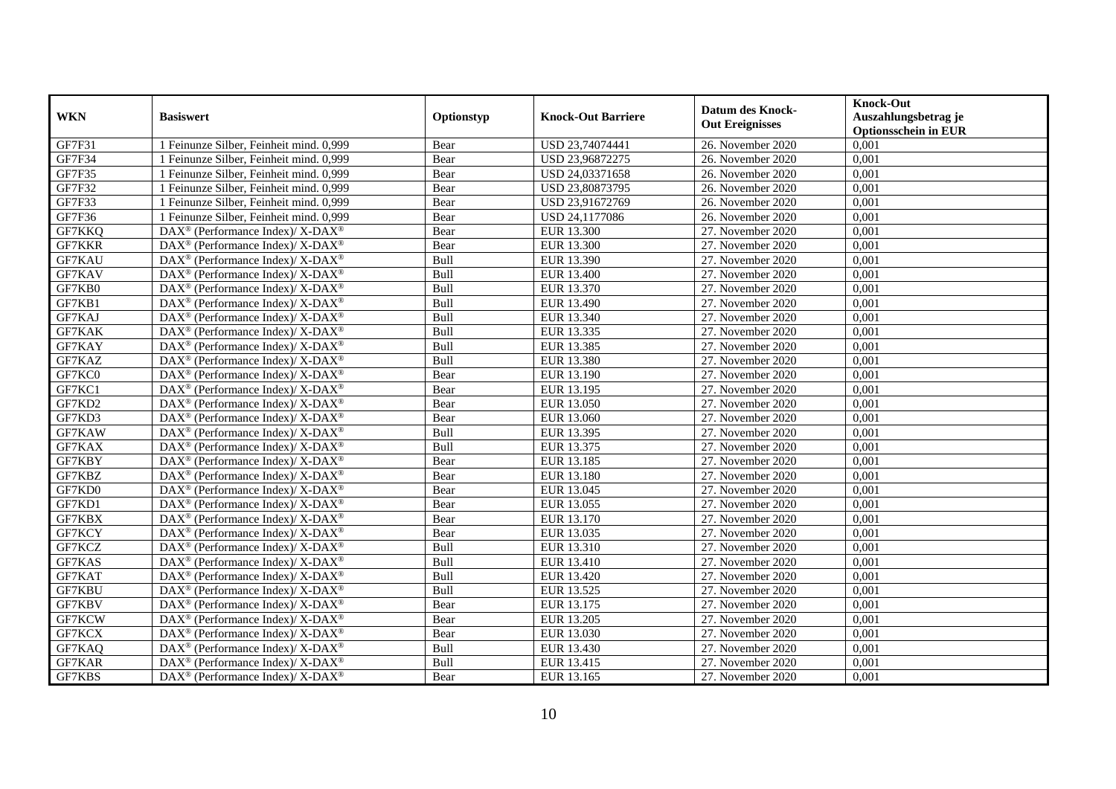| <b>WKN</b>    | <b>Basiswert</b>                                                          | Optionstyp | <b>Knock-Out Barriere</b> | <b>Datum des Knock-</b><br><b>Out Ereignisses</b> | <b>Knock-Out</b><br>Auszahlungsbetrag je<br><b>Optionsschein in EUR</b> |
|---------------|---------------------------------------------------------------------------|------------|---------------------------|---------------------------------------------------|-------------------------------------------------------------------------|
| GF7F31        | 1 Feinunze Silber, Feinheit mind. 0,999                                   | Bear       | USD 23,74074441           | 26. November 2020                                 | 0,001                                                                   |
| GF7F34        | 1 Feinunze Silber, Feinheit mind. 0,999                                   | Bear       | USD 23,96872275           | 26. November 2020                                 | 0,001                                                                   |
| GF7F35        | 1 Feinunze Silber, Feinheit mind. 0,999                                   | Bear       | USD 24,03371658           | 26. November 2020                                 | 0,001                                                                   |
| GF7F32        | 1 Feinunze Silber, Feinheit mind. 0,999                                   | Bear       | USD 23,80873795           | 26. November 2020                                 | 0,001                                                                   |
| GF7F33        | 1 Feinunze Silber, Feinheit mind. 0,999                                   | Bear       | USD 23,91672769           | 26. November 2020                                 | 0,001                                                                   |
| GF7F36        | 1 Feinunze Silber, Feinheit mind. 0,999                                   | Bear       | USD 24,1177086            | 26. November 2020                                 | 0,001                                                                   |
| GF7KKQ        | DAX <sup>®</sup> (Performance Index)/ X-DAX <sup>®</sup>                  | Bear       | EUR 13.300                | 27. November 2020                                 | 0,001                                                                   |
| <b>GF7KKR</b> | DAX <sup>®</sup> (Performance Index)/ X-DAX <sup>®</sup>                  | Bear       | EUR 13.300                | 27. November 2020                                 | 0,001                                                                   |
| GF7KAU        | DAX <sup>®</sup> (Performance Index)/ X-DAX <sup>®</sup>                  | Bull       | EUR 13.390                | 27. November 2020                                 | 0,001                                                                   |
| GF7KAV        | DAX <sup>®</sup> (Performance Index)/ X-DAX <sup>®</sup>                  | Bull       | EUR 13.400                | 27. November 2020                                 | 0,001                                                                   |
| GF7KB0        | DAX <sup>®</sup> (Performance Index)/ X-DAX <sup>®</sup>                  | Bull       | EUR 13.370                | 27. November 2020                                 | 0,001                                                                   |
| GF7KB1        | DAX <sup>®</sup> (Performance Index)/ X-DAX <sup>®</sup>                  | Bull       | EUR 13.490                | 27. November 2020                                 | 0,001                                                                   |
| GF7KAJ        | DAX <sup>®</sup> (Performance Index)/ X-DAX <sup>®</sup>                  | Bull       | EUR 13.340                | 27. November 2020                                 | 0,001                                                                   |
| <b>GF7KAK</b> | $DAX^{\circledast}$ (Performance Index)/ X-DAX <sup>®</sup>               | Bull       | EUR 13.335                | 27. November 2020                                 | 0,001                                                                   |
| GF7KAY        | DAX <sup>®</sup> (Performance Index)/ X-DAX <sup>®</sup>                  | Bull       | EUR 13.385                | 27. November 2020                                 | 0,001                                                                   |
| GF7KAZ        | DAX <sup>®</sup> (Performance Index)/ X-DAX <sup>®</sup>                  | Bull       | EUR 13.380                | 27. November 2020                                 | 0,001                                                                   |
| GF7KC0        | DAX <sup>®</sup> (Performance Index)/ X-DAX <sup>®</sup>                  | Bear       | EUR 13.190                | 27. November 2020                                 | 0,001                                                                   |
| GF7KC1        | DAX <sup>®</sup> (Performance Index)/ X-DAX <sup>®</sup>                  | Bear       | EUR 13.195                | 27. November 2020                                 | 0,001                                                                   |
| GF7KD2        | $DAX^{\circledast}$ (Performance Index)/ X-DAX <sup>®</sup>               | Bear       | EUR 13.050                | 27. November 2020                                 | 0,001                                                                   |
| GF7KD3        | DAX <sup>®</sup> (Performance Index)/ X-DAX <sup>®</sup>                  | Bear       | EUR 13.060                | 27. November 2020                                 | 0,001                                                                   |
| GF7KAW        | DAX <sup>®</sup> (Performance Index)/ X-DAX <sup>®</sup>                  | Bull       | EUR 13.395                | 27. November 2020                                 | 0,001                                                                   |
| GF7KAX        | DAX <sup>®</sup> (Performance Index)/ X-DAX <sup>®</sup>                  | Bull       | EUR 13.375                | 27. November 2020                                 | 0,001                                                                   |
| GF7KBY        | DAX <sup>®</sup> (Performance Index)/ X-DAX <sup>®</sup>                  | Bear       | EUR 13.185                | 27. November 2020                                 | 0,001                                                                   |
| GF7KBZ        | $DAX^{\circledast}$ (Performance Index)/ $\overline{X-DAX^{\circledast}}$ | Bear       | EUR 13.180                | 27. November 2020                                 | 0,001                                                                   |
| GF7KD0        | DAX <sup>®</sup> (Performance Index)/ X-DAX <sup>®</sup>                  | Bear       | EUR 13.045                | 27. November 2020                                 | 0,001                                                                   |
| GF7KD1        | DAX <sup>®</sup> (Performance Index)/ X-DAX <sup>®</sup>                  | Bear       | EUR 13.055                | 27. November 2020                                 | 0,001                                                                   |
| GF7KBX        | $DAX^{\circledast}$ (Performance Index)/ X-DAX <sup>®</sup>               | Bear       | EUR 13.170                | 27. November 2020                                 | 0,001                                                                   |
| GF7KCY        | $DAX^{\circledast}$ (Performance Index)/ X-DAX <sup>®</sup>               | Bear       | EUR 13.035                | 27. November 2020                                 | 0,001                                                                   |
| GF7KCZ        | $DAX^{\circledast}$ (Performance Index)/ X-DAX <sup>®</sup>               | Bull       | EUR 13.310                | 27. November 2020                                 | 0,001                                                                   |
| GF7KAS        | $DAX^{\circledcirc}$ (Performance Index)/ X-DAX <sup>®</sup>              | Bull       | EUR 13.410                | 27. November 2020                                 | 0.001                                                                   |
| GF7KAT        | DAX <sup>®</sup> (Performance Index)/ X-DAX <sup>®</sup>                  | Bull       | EUR 13.420                | 27. November 2020                                 | 0,001                                                                   |
| GF7KBU        | DAX <sup>®</sup> (Performance Index)/ X-DAX <sup>®</sup>                  | Bull       | EUR 13.525                | 27. November 2020                                 | 0,001                                                                   |
| GF7KBV        | DAX <sup>®</sup> (Performance Index)/ X-DAX <sup>®</sup>                  | Bear       | EUR 13.175                | 27. November 2020                                 | 0,001                                                                   |
| GF7KCW        | DAX <sup>®</sup> (Performance Index)/ X-DAX <sup>®</sup>                  | Bear       | EUR 13.205                | 27. November 2020                                 | 0,001                                                                   |
| GF7KCX        | DAX <sup>®</sup> (Performance Index)/ X-DAX <sup>®</sup>                  | Bear       | EUR 13.030                | 27. November 2020                                 | 0,001                                                                   |
| GF7KAQ        | DAX <sup>®</sup> (Performance Index)/ X-DAX <sup>®</sup>                  | Bull       | EUR 13.430                | 27. November 2020                                 | 0,001                                                                   |
| GF7KAR        | DAX <sup>®</sup> (Performance Index)/ X-DAX <sup>®</sup>                  | Bull       | EUR 13.415                | 27. November 2020                                 | 0,001                                                                   |
| GF7KBS        | DAX <sup>®</sup> (Performance Index)/ X-DAX <sup>®</sup>                  | Bear       | EUR 13.165                | 27. November 2020                                 | 0,001                                                                   |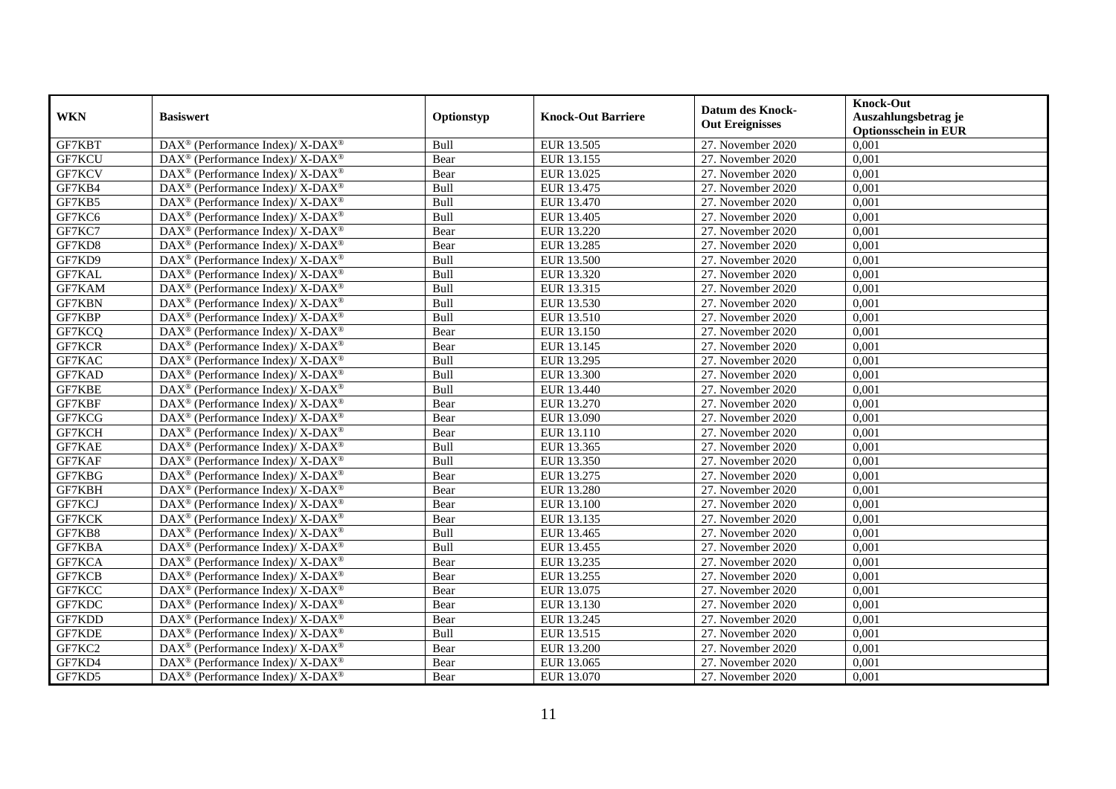| <b>WKN</b>    | <b>Basiswert</b>                                                   | Optionstyp | <b>Knock-Out Barriere</b> | <b>Datum des Knock-</b><br><b>Out Ereignisses</b> | <b>Knock-Out</b><br>Auszahlungsbetrag je<br><b>Optionsschein in EUR</b> |
|---------------|--------------------------------------------------------------------|------------|---------------------------|---------------------------------------------------|-------------------------------------------------------------------------|
| GF7KBT        | DAX <sup>®</sup> (Performance Index)/ X-DAX <sup>®</sup>           | Bull       | EUR 13.505                | 27. November 2020                                 | 0,001                                                                   |
| GF7KCU        | $DAX^{\circledast}$ (Performance Index)/ X-DAX <sup>®</sup>        | Bear       | EUR 13.155                | 27. November 2020                                 | 0,001                                                                   |
| GF7KCV        | DAX <sup>®</sup> (Performance Index)/ X-DAX <sup>®</sup>           | Bear       | EUR 13.025                | 27. November 2020                                 | 0,001                                                                   |
| GF7KB4        | DAX <sup>®</sup> (Performance Index)/ X-DAX <sup>®</sup>           | Bull       | EUR 13.475                | 27. November 2020                                 | 0,001                                                                   |
| GF7KB5        | DAX <sup>®</sup> (Performance Index)/ X-DAX <sup>®</sup>           | Bull       | EUR 13.470                | 27. November 2020                                 | 0,001                                                                   |
| GF7KC6        | DAX <sup>®</sup> (Performance Index)/ X-DAX <sup>®</sup>           | Bull       | EUR 13.405                | 27. November 2020                                 | 0,001                                                                   |
| GF7KC7        | DAX <sup>®</sup> (Performance Index)/ X-DAX <sup>®</sup>           | Bear       | EUR 13.220                | 27. November 2020                                 | 0,001                                                                   |
| GF7KD8        | DAX <sup>®</sup> (Performance Index)/ X-DAX <sup>®</sup>           | Bear       | EUR 13.285                | 27. November 2020                                 | 0,001                                                                   |
| GF7KD9        | $DAX^{\circledast}$ (Performance Index)/ X-DAX <sup>®</sup>        | Bull       | EUR 13.500                | 27. November 2020                                 | 0,001                                                                   |
| GF7KAL        | DAX <sup>®</sup> (Performance Index)/ X-DAX <sup>®</sup>           | Bull       | EUR 13.320                | 27. November 2020                                 | 0,001                                                                   |
| GF7KAM        | DAX <sup>®</sup> (Performance Index)/ X-DAX <sup>®</sup>           | Bull       | EUR 13.315                | 27. November 2020                                 | 0,001                                                                   |
| <b>GF7KBN</b> | DAX <sup>®</sup> (Performance Index)/ X-DAX <sup>®</sup>           | Bull       | EUR 13.530                | 27. November 2020                                 | 0,001                                                                   |
| GF7KBP        | $DAX^{\circledast}$ (Performance Index)/ X-DAX <sup>®</sup>        | Bull       | EUR 13.510                | 27. November 2020                                 | 0,001                                                                   |
| GF7KCQ        | $DAX^{\circledast}$ (Performance Index)/ X-DAX <sup>®</sup>        | Bear       | EUR 13.150                | 27. November 2020                                 | 0,001                                                                   |
| GF7KCR        | DAX <sup>®</sup> (Performance Index)/ X-DAX <sup>®</sup>           | Bear       | EUR 13.145                | 27. November 2020                                 | 0,001                                                                   |
| GF7KAC        | DAX <sup>®</sup> (Performance Index)/ X-DAX <sup>®</sup>           | Bull       | EUR 13.295                | 27. November 2020                                 | 0,001                                                                   |
| GF7KAD        | DAX <sup>®</sup> (Performance Index)/ X-DAX <sup>®</sup>           | Bull       | EUR 13.300                | 27. November 2020                                 | 0,001                                                                   |
| GF7KBE        | DAX <sup>®</sup> (Performance Index)/ X-DAX <sup>®</sup>           | Bull       | EUR 13.440                | 27. November 2020                                 | 0,001                                                                   |
| GF7KBF        | $DAX^{\circledast}$ (Performance Index)/ X-DAX <sup>®</sup>        | Bear       | EUR 13.270                | 27. November 2020                                 | 0,001                                                                   |
| GF7KCG        | $DAX^{\circledast}$ (Performance Index)/ X-DAX <sup>®</sup>        | Bear       | EUR 13.090                | 27. November 2020                                 | 0,001                                                                   |
| GF7KCH        | DAX <sup>®</sup> (Performance Index)/ X-DAX <sup>®</sup>           | Bear       | EUR 13.110                | 27. November 2020                                 | 0,001                                                                   |
| GF7KAE        | $DAX^{\circledast}$ (Performance Index)/ X-DAX <sup>®</sup>        | Bull       | EUR 13.365                | 27. November 2020                                 | 0,001                                                                   |
| GF7KAF        | DAX <sup>®</sup> (Performance Index)/ X-DAX <sup>®</sup>           | Bull       | EUR 13.350                | 27. November 2020                                 | 0,001                                                                   |
| GF7KBG        | DAX <sup>®</sup> (Performance Index)/ X-DAX <sup>®</sup>           | Bear       | <b>EUR 13.275</b>         | 27. November 2020                                 | 0,001                                                                   |
| GF7KBH        | DAX <sup>®</sup> (Performance Index)/ X-DAX <sup>®</sup>           | Bear       | <b>EUR 13.280</b>         | 27. November 2020                                 | 0,001                                                                   |
| GF7KCJ        | DAX <sup>®</sup> (Performance Index)/ X-DAX <sup>®</sup>           | Bear       | EUR 13.100                | 27. November 2020                                 | 0,001                                                                   |
| GF7KCK        | $DAX^{\circledast}$ (Performance Index)/ X-DAX <sup>®</sup>        | Bear       | EUR 13.135                | 27. November 2020                                 | 0,001                                                                   |
| GF7KB8        | $DAX^{\circledast}$ (Performance Index)/ X-DAX <sup>®</sup>        | Bull       | EUR 13.465                | 27. November 2020                                 | 0,001                                                                   |
| GF7KBA        | $DAX^{\circledast}$ (Performance Index)/ X-DAX <sup>®</sup>        | Bull       | EUR 13.455                | 27. November 2020                                 | 0,001                                                                   |
| GF7KCA        | $DAX^{\circledcirc}$ (Performance Index)/ X-DAX <sup>®</sup>       | Bear       | EUR 13.235                | 27. November 2020                                 | 0,001                                                                   |
| GF7KCB        | $DAX^{\circledast}$ (Performance Index)/ X-DAX <sup>®</sup>        | Bear       | EUR 13.255                | 27. November 2020                                 | 0,001                                                                   |
| GF7KCC        | DAX <sup>®</sup> (Performance Index)/ X-DAX <sup>®</sup>           | Bear       | EUR 13.075                | 27. November 2020                                 | 0,001                                                                   |
| GF7KDC        | DAX <sup>®</sup> (Performance Index)/ X-DAX <sup>®</sup>           | Bear       | EUR 13.130                | 27. November 2020                                 | 0,001                                                                   |
| GF7KDD        | DAX <sup>®</sup> (Performance Index)/ X-DAX <sup>®</sup>           | Bear       | EUR 13.245                | 27. November 2020                                 | 0,001                                                                   |
| GF7KDE        | DAX <sup>®</sup> (Performance Index)/ X-DAX <sup>®</sup>           | Bull       | EUR 13.515                | 27. November 2020                                 | 0,001                                                                   |
| GF7KC2        | DAX <sup>®</sup> (Performance Index)/ X-DAX <sup>®</sup>           | Bear       | <b>EUR 13.200</b>         | 27. November 2020                                 | 0,001                                                                   |
| GF7KD4        | $\text{DAX}^{\circledast}$ (Performance Index)/ X-DAX <sup>®</sup> | Bear       | EUR 13.065                | 27. November 2020                                 | 0,001                                                                   |
| GF7KD5        | DAX <sup>®</sup> (Performance Index)/ X-DAX <sup>®</sup>           | Bear       | EUR 13.070                | 27. November 2020                                 | 0,001                                                                   |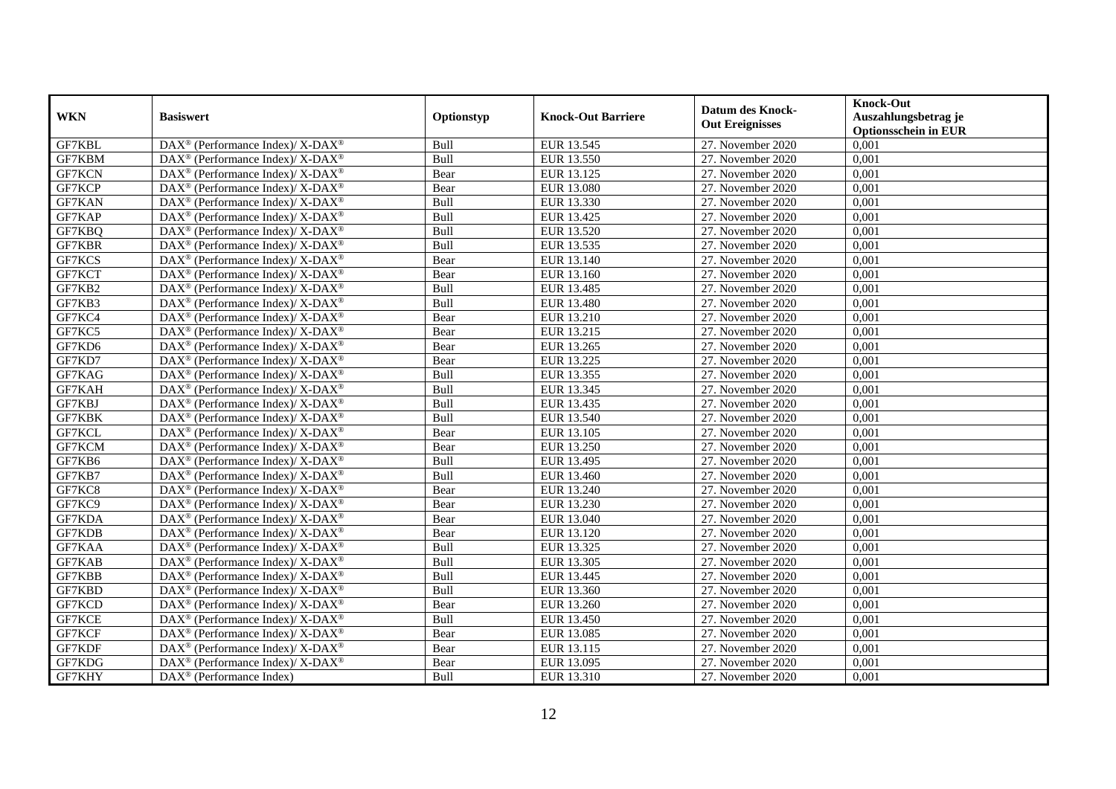| <b>WKN</b>    | <b>Basiswert</b>                                             | Optionstyp | <b>Knock-Out Barriere</b> | <b>Datum des Knock-</b><br><b>Out Ereignisses</b> | <b>Knock-Out</b><br>Auszahlungsbetrag je<br><b>Optionsschein in EUR</b> |
|---------------|--------------------------------------------------------------|------------|---------------------------|---------------------------------------------------|-------------------------------------------------------------------------|
| GF7KBL        | DAX <sup>®</sup> (Performance Index)/ X-DAX <sup>®</sup>     | Bull       | EUR 13.545                | 27. November 2020                                 | 0,001                                                                   |
| GF7KBM        | $DAX^{\circledast}$ (Performance Index)/ X-DAX <sup>®</sup>  | Bull       | EUR 13.550                | 27. November 2020                                 | 0,001                                                                   |
| GF7KCN        | DAX <sup>®</sup> (Performance Index)/ X-DAX <sup>®</sup>     | Bear       | EUR 13.125                | 27. November 2020                                 | 0,001                                                                   |
| GF7KCP        | DAX <sup>®</sup> (Performance Index)/ X-DAX <sup>®</sup>     | Bear       | EUR 13.080                | 27. November 2020                                 | 0,001                                                                   |
| <b>GF7KAN</b> | DAX <sup>®</sup> (Performance Index)/ X-DAX <sup>®</sup>     | Bull       | EUR 13.330                | 27. November 2020                                 | 0,001                                                                   |
| GF7KAP        | DAX <sup>®</sup> (Performance Index)/ X-DAX <sup>®</sup>     | Bull       | EUR 13.425                | 27. November 2020                                 | 0,001                                                                   |
| GF7KBQ        | DAX <sup>®</sup> (Performance Index)/ X-DAX <sup>®</sup>     | Bull       | EUR 13.520                | 27. November 2020                                 | 0,001                                                                   |
| GF7KBR        | DAX <sup>®</sup> (Performance Index)/ X-DAX <sup>®</sup>     | Bull       | EUR 13.535                | 27. November 2020                                 | 0,001                                                                   |
| GF7KCS        | DAX <sup>®</sup> (Performance Index)/ X-DAX <sup>®</sup>     | Bear       | EUR 13.140                | 27. November 2020                                 | 0,001                                                                   |
| GF7KCT        | DAX <sup>®</sup> (Performance Index)/ X-DAX <sup>®</sup>     | Bear       | EUR 13.160                | 27. November 2020                                 | 0,001                                                                   |
| GF7KB2        | DAX <sup>®</sup> (Performance Index)/ X-DAX <sup>®</sup>     | Bull       | EUR 13.485                | 27. November 2020                                 | 0,001                                                                   |
| GF7KB3        | DAX <sup>®</sup> (Performance Index)/ X-DAX <sup>®</sup>     | Bull       | <b>EUR 13.480</b>         | 27. November 2020                                 | 0,001                                                                   |
| GF7KC4        | DAX <sup>®</sup> (Performance Index)/ X-DAX <sup>®</sup>     | Bear       | EUR 13.210                | 27. November 2020                                 | 0,001                                                                   |
| GF7KC5        | DAX <sup>®</sup> (Performance Index)/ X-DAX <sup>®</sup>     | Bear       | EUR 13.215                | 27. November 2020                                 | 0,001                                                                   |
| GF7KD6        | DAX <sup>®</sup> (Performance Index)/ X-DAX <sup>®</sup>     | Bear       | EUR 13.265                | 27. November 2020                                 | 0,001                                                                   |
| GF7KD7        | DAX <sup>®</sup> (Performance Index)/ X-DAX <sup>®</sup>     | Bear       | EUR 13.225                | 27. November 2020                                 | 0,001                                                                   |
| GF7KAG        | $DAX^{\circledast}$ (Performance Index)/ X-DAX <sup>®</sup>  | Bull       | EUR 13.355                | 27. November 2020                                 | 0,001                                                                   |
| GF7KAH        | DAX <sup>®</sup> (Performance Index)/ X-DAX <sup>®</sup>     | Bull       | EUR 13.345                | 27. November 2020                                 | 0.001                                                                   |
| GF7KBJ        | DAX <sup>®</sup> (Performance Index)/ X-DAX <sup>®</sup>     | Bull       | EUR 13.435                | 27. November 2020                                 | 0,001                                                                   |
| GF7KBK        | $DAX^{\circledast}$ (Performance Index)/ X-DAX <sup>®</sup>  | Bull       | EUR 13.540                | 27. November 2020                                 | 0,001                                                                   |
| GF7KCL        | DAX <sup>®</sup> (Performance Index)/ X-DAX <sup>®</sup>     | Bear       | EUR 13.105                | 27. November 2020                                 | 0,001                                                                   |
| GF7KCM        | DAX <sup>®</sup> (Performance Index)/ X-DAX <sup>®</sup>     | Bear       | EUR 13.250                | 27. November 2020                                 | 0,001                                                                   |
| GF7KB6        | $DAX^{\circledast}$ (Performance Index)/ X-DAX <sup>®</sup>  | Bull       | EUR 13.495                | 27. November 2020                                 | 0,001                                                                   |
| GF7KB7        | DAX <sup>®</sup> (Performance Index)/ X-DAX <sup>®</sup>     | Bull       | EUR 13.460                | 27. November 2020                                 | 0,001                                                                   |
| GF7KC8        | $DAX^{\circledast}$ (Performance Index)/ X-DAX <sup>®</sup>  | Bear       | EUR 13.240                | 27. November 2020                                 | 0,001                                                                   |
| GF7KC9        | $DAX^{\circledast}$ (Performance Index)/ X-DAX <sup>®</sup>  | Bear       | EUR 13.230                | 27. November 2020                                 | 0,001                                                                   |
| GF7KDA        | DAX <sup>®</sup> (Performance Index)/ X-DAX <sup>®</sup>     | Bear       | EUR 13.040                | 27. November 2020                                 | 0,001                                                                   |
| GF7KDB        | $DAX^{\circledcirc}$ (Performance Index)/ X-DAX <sup>®</sup> | Bear       | EUR 13.120                | 27. November 2020                                 | 0,001                                                                   |
| GF7KAA        | DAX <sup>®</sup> (Performance Index)/ X-DAX <sup>®</sup>     | Bull       | EUR 13.325                | 27. November 2020                                 | 0,001                                                                   |
| GF7KAB        | DAX <sup>®</sup> (Performance Index)/ X-DAX <sup>®</sup>     | Bull       | EUR 13.305                | 27. November 2020                                 | 0,001                                                                   |
| GF7KBB        | $DAX^{\circledast}$ (Performance Index)/ X-DAX <sup>®</sup>  | Bull       | EUR 13.445                | 27. November 2020                                 | 0,001                                                                   |
| GF7KBD        | DAX <sup>®</sup> (Performance Index)/ X-DAX <sup>®</sup>     | Bull       | EUR 13.360                | 27. November 2020                                 | 0,001                                                                   |
| GF7KCD        | $DAX^{\circledast}$ (Performance Index)/ X-DAX <sup>®</sup>  | Bear       | EUR 13.260                | 27. November 2020                                 | 0,001                                                                   |
| GF7KCE        | $DAX^{\circledast}$ (Performance Index)/ X-DAX <sup>®</sup>  | Bull       | EUR 13.450                | 27. November 2020                                 | 0,001                                                                   |
| GF7KCF        | $DAX^{\circledast}$ (Performance Index)/ X-DAX <sup>®</sup>  | Bear       | EUR 13.085                | 27. November 2020                                 | 0,001                                                                   |
| GF7KDF        | $DAX^{\circledast}$ (Performance Index)/ X-DAX <sup>®</sup>  | Bear       | EUR 13.115                | 27. November 2020                                 | 0,001                                                                   |
| GF7KDG        | DAX <sup>®</sup> (Performance Index)/ X-DAX <sup>®</sup>     | Bear       | EUR 13.095                | 27. November 2020                                 | 0,001                                                                   |
| GF7KHY        | $\overline{\text{DAX}}^{\textcirc}$ (Performance Index)      | Bull       | EUR 13.310                | 27. November 2020                                 | 0,001                                                                   |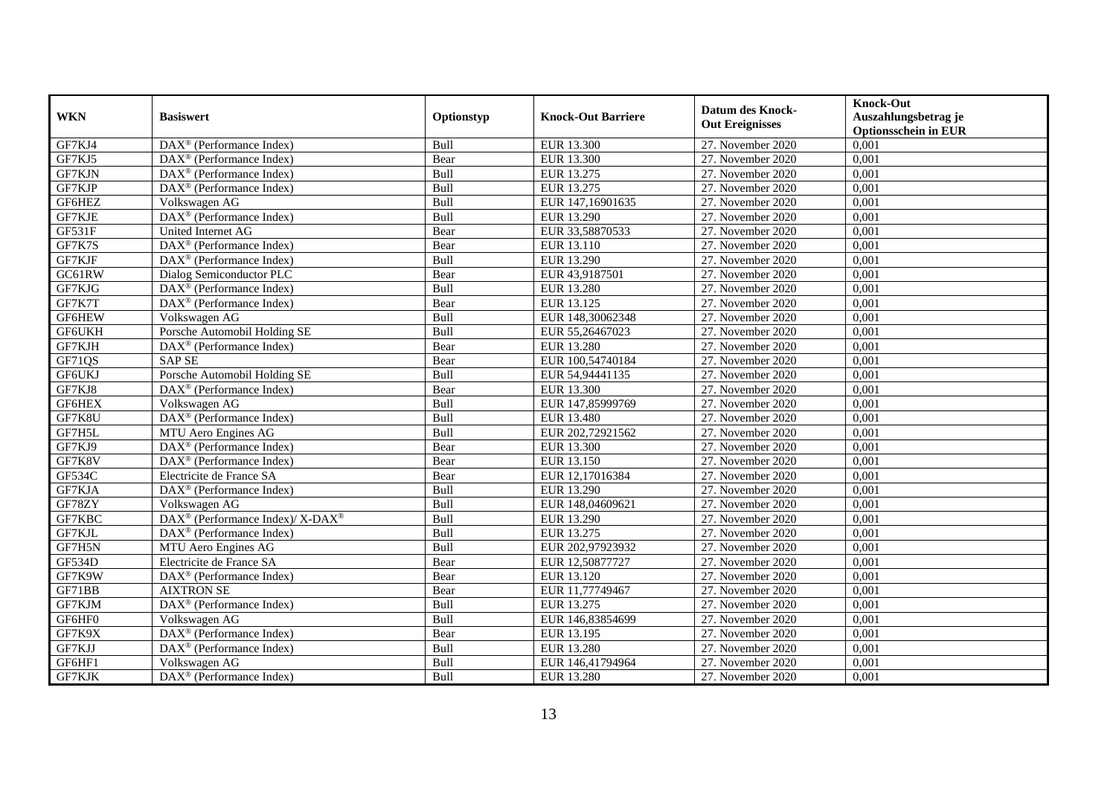| <b>WKN</b> | <b>Basiswert</b>                                             | Optionstyp | <b>Knock-Out Barriere</b> | <b>Datum des Knock-</b><br><b>Out Ereignisses</b> | <b>Knock-Out</b><br>Auszahlungsbetrag je<br><b>Optionsschein in EUR</b> |
|------------|--------------------------------------------------------------|------------|---------------------------|---------------------------------------------------|-------------------------------------------------------------------------|
| GF7KJ4     | $\overline{\text{DAX}}^{\textcirc}$ (Performance Index)      | Bull       | EUR 13.300                | 27. November 2020                                 | 0,001                                                                   |
| GF7KJ5     | $\text{DAX}^{\otimes}$ (Performance Index)                   | Bear       | EUR 13.300                | 27. November 2020                                 | 0,001                                                                   |
| GF7KJN     | $DAX^{\circledR}$ (Performance Index)                        | Bull       | EUR 13.275                | 27. November 2020                                 | 0,001                                                                   |
| GF7KJP     | DAX <sup>®</sup> (Performance Index)                         | Bull       | EUR 13.275                | 27. November 2020                                 | 0,001                                                                   |
| GF6HEZ     | Volkswagen AG                                                | Bull       | EUR 147,16901635          | 27. November 2020                                 | 0,001                                                                   |
| GF7KJE     | DAX <sup>®</sup> (Performance Index)                         | Bull       | EUR 13.290                | 27. November 2020                                 | 0,001                                                                   |
| GF531F     | United Internet AG                                           | Bear       | EUR 33,58870533           | 27. November 2020                                 | 0,001                                                                   |
| GF7K7S     | $DAX^{\circledR}$ (Performance Index)                        | Bear       | EUR 13.110                | 27. November 2020                                 | 0,001                                                                   |
| GF7KJF     | $DAX^{\circledR}$ (Performance Index)                        | Bull       | EUR 13.290                | 27. November 2020                                 | 0,001                                                                   |
| GC61RW     | Dialog Semiconductor PLC                                     | Bear       | EUR 43,9187501            | 27. November 2020                                 | 0,001                                                                   |
| GF7KJG     | DAX <sup>®</sup> (Performance Index)                         | Bull       | <b>EUR 13.280</b>         | 27. November 2020                                 | 0,001                                                                   |
| GF7K7T     | DAX <sup>®</sup> (Performance Index)                         | Bear       | EUR 13.125                | 27. November 2020                                 | 0,001                                                                   |
| GF6HEW     | Volkswagen AG                                                | Bull       | EUR 148,30062348          | 27. November 2020                                 | 0,001                                                                   |
| GF6UKH     | Porsche Automobil Holding SE                                 | Bull       | EUR 55,26467023           | 27. November 2020                                 | 0,001                                                                   |
| GF7KJH     | DAX <sup>®</sup> (Performance Index)                         | Bear       | EUR 13.280                | 27. November 2020                                 | 0,001                                                                   |
| GF71QS     | <b>SAP SE</b>                                                | Bear       | EUR 100,54740184          | 27. November 2020                                 | 0,001                                                                   |
| GF6UKJ     | Porsche Automobil Holding SE                                 | Bull       | EUR 54,94441135           | 27. November 2020                                 | 0,001                                                                   |
| GF7KJ8     | $DAX^{\circledcirc}$ (Performance Index)                     | Bear       | EUR 13.300                | 27. November 2020                                 | 0,001                                                                   |
| GF6HEX     | Volkswagen AG                                                | Bull       | EUR 147,85999769          | 27. November 2020                                 | 0,001                                                                   |
| GF7K8U     | DAX <sup>®</sup> (Performance Index)                         | Bull       | EUR 13.480                | 27. November 2020                                 | 0,001                                                                   |
| GF7H5L     | MTU Aero Engines AG                                          | Bull       | EUR 202,72921562          | 27. November 2020                                 | 0,001                                                                   |
| GF7KJ9     | $DAX^{\circledast}$ (Performance Index)                      | Bear       | EUR 13.300                | 27. November 2020                                 | 0,001                                                                   |
| GF7K8V     | $\overline{\text{DAX}^{\otimes}}$ (Performance Index)        | Bear       | EUR 13.150                | 27. November 2020                                 | 0,001                                                                   |
| GF534C     | Electricite de France SA                                     | Bear       | EUR 12,17016384           | 27. November 2020                                 | 0,001                                                                   |
| GF7KJA     | $DAX^{\circledR}$ (Performance Index)                        | Bull       | EUR 13.290                | 27. November 2020                                 | 0,001                                                                   |
| GF78ZY     | Volkswagen AG                                                | Bull       | EUR 148,04609621          | 27. November 2020                                 | 0,001                                                                   |
| GF7KBC     | DAX <sup>®</sup> (Performance Index)/ X-DAX <sup>®</sup>     | Bull       | EUR 13.290                | 27. November $2020$                               | 0,001                                                                   |
| GF7KJL     | DAX <sup>®</sup> (Performance Index)                         | Bull       | EUR 13.275                | 27. November 2020                                 | 0,001                                                                   |
| GF7H5N     | MTU Aero Engines AG                                          | Bull       | EUR 202,97923932          | 27. November 2020                                 | 0,001                                                                   |
| GF534D     | Electricite de France SA                                     | Bear       | EUR 12,50877727           | 27. November 2020                                 | 0,001                                                                   |
| GF7K9W     | DAX <sup>®</sup> (Performance Index)                         | Bear       | EUR 13.120                | 27. November 2020                                 | 0,001                                                                   |
| GF71BB     | <b>AIXTRON SE</b>                                            | Bear       | EUR 11,77749467           | 27. November 2020                                 | 0,001                                                                   |
| GF7KJM     | DAX <sup>®</sup> (Performance Index)                         | Bull       | EUR 13.275                | 27. November 2020                                 | 0,001                                                                   |
| GF6HF0     | Volkswagen AG                                                | Bull       | EUR 146,83854699          | 27. November 2020                                 | 0,001                                                                   |
| GF7K9X     | DAX <sup>®</sup> (Performance Index)                         | Bear       | EUR 13.195                | 27. November 2020                                 | 0,001                                                                   |
| GF7KJJ     | DAX <sup>®</sup> (Performance Index)                         | Bull       | EUR 13.280                | 27. November 2020                                 | 0,001                                                                   |
| GF6HF1     | Volkswagen AG                                                | Bull       | EUR 146,41794964          | 27. November 2020                                 | 0,001                                                                   |
| GF7KJK     | $\overline{\text{DAX}}^{\textcircled{}}$ (Performance Index) | Bull       | EUR 13.280                | 27. November 2020                                 | 0,001                                                                   |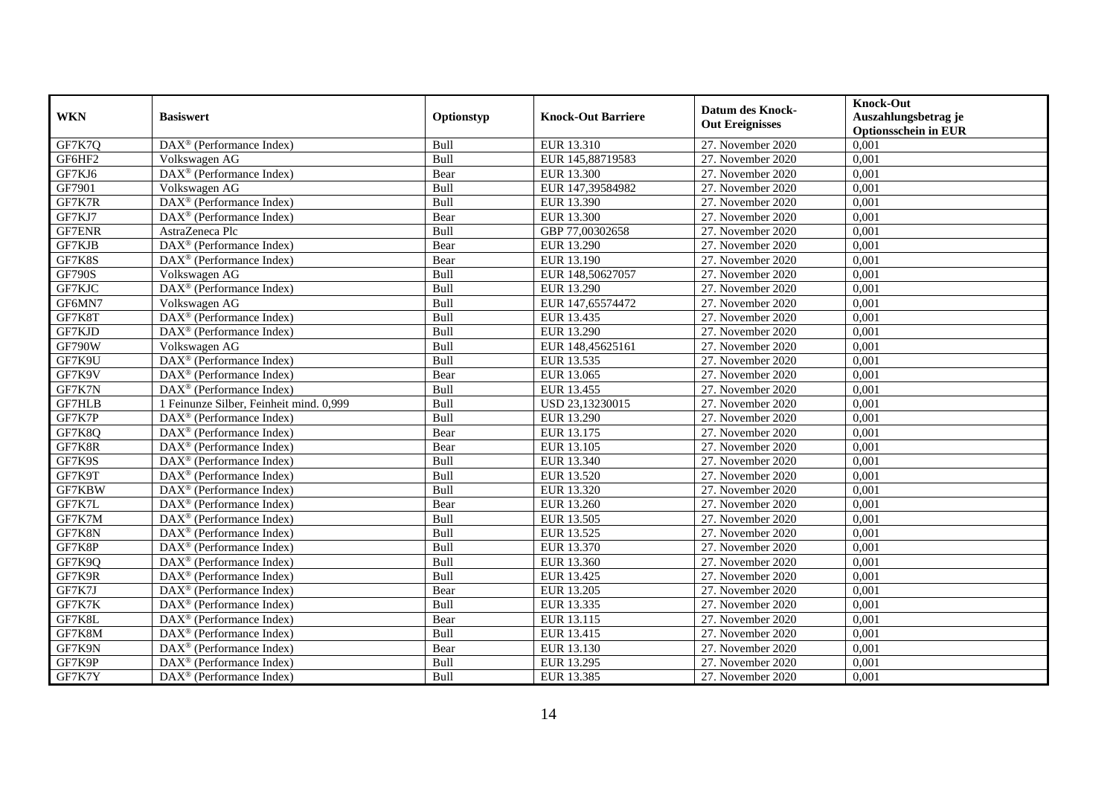| <b>WKN</b>    | <b>Basiswert</b>                                             | Optionstyp | <b>Knock-Out Barriere</b> | <b>Datum des Knock-</b><br><b>Out Ereignisses</b> | <b>Knock-Out</b><br>Auszahlungsbetrag je<br><b>Optionsschein in EUR</b> |
|---------------|--------------------------------------------------------------|------------|---------------------------|---------------------------------------------------|-------------------------------------------------------------------------|
| GF7K7Q        | $\text{DAX}^{\textcircled{}}$ (Performance Index)            | Bull       | EUR 13.310                | 27. November 2020                                 | 0,001                                                                   |
| GF6HF2        | Volkswagen AG                                                | Bull       | EUR 145,88719583          | 27. November 2020                                 | 0,001                                                                   |
| GF7KJ6        | $\overline{\text{DAX}^{\otimes}}$ (Performance Index)        | Bear       | EUR 13.300                | 27. November 2020                                 | 0,001                                                                   |
| GF7901        | Volkswagen AG                                                | Bull       | EUR 147,39584982          | 27. November 2020                                 | 0,001                                                                   |
| GF7K7R        | DAX <sup>®</sup> (Performance Index)                         | Bull       | EUR 13.390                | 27. November 2020                                 | 0,001                                                                   |
| GF7KJ7        | DAX <sup>®</sup> (Performance Index)                         | Bear       | EUR 13.300                | 27. November 2020                                 | 0,001                                                                   |
| <b>GF7ENR</b> | AstraZeneca Plc                                              | Bull       | GBP 77,00302658           | 27. November 2020                                 | 0,001                                                                   |
| GF7KJB        | $DAX^{\circledR}$ (Performance Index)                        | Bear       | EUR 13.290                | 27. November 2020                                 | 0,001                                                                   |
| GF7K8S        | $DAX^{\circledR}$ (Performance Index)                        | Bear       | EUR 13.190                | 27. November 2020                                 | 0,001                                                                   |
| <b>GF790S</b> | Volkswagen AG                                                | Bull       | EUR 148,50627057          | 27. November 2020                                 | 0,001                                                                   |
| GF7KJC        | DAX <sup>®</sup> (Performance Index)                         | Bull       | EUR 13.290                | 27. November 2020                                 | 0,001                                                                   |
| GF6MN7        | Volkswagen AG                                                | Bull       | EUR 147,65574472          | 27. November 2020                                 | 0,001                                                                   |
| GF7K8T        | DAX <sup>®</sup> (Performance Index)                         | Bull       | EUR 13.435                | 27. November 2020                                 | 0,001                                                                   |
| GF7KJD        | DAX <sup>®</sup> (Performance Index)                         | Bull       | EUR 13.290                | 27. November 2020                                 | 0,001                                                                   |
| <b>GF790W</b> | Volkswagen AG                                                | Bull       | EUR 148,45625161          | 27. November 2020                                 | 0,001                                                                   |
| GF7K9U        | DAX <sup>®</sup> (Performance Index)                         | Bull       | EUR 13.535                | 27. November 2020                                 | 0,001                                                                   |
| GF7K9V        | $\overline{\text{DAX}^{\otimes}}$ (Performance Index)        | Bear       | EUR 13.065                | 27. November 2020                                 | 0,001                                                                   |
| GF7K7N        | $DAX^{\circledcirc}$ (Performance Index)                     | Bull       | EUR 13.455                | 27. November 2020                                 | 0.001                                                                   |
| <b>GF7HLB</b> | 1 Feinunze Silber, Feinheit mind. 0,999                      | Bull       | USD 23,13230015           | 27. November 2020                                 | 0,001                                                                   |
| GF7K7P        | DAX <sup>®</sup> (Performance Index)                         | Bull       | EUR 13.290                | 27. November 2020                                 | 0,001                                                                   |
| GF7K8Q        | DAX <sup>®</sup> (Performance Index)                         | Bear       | EUR 13.175                | 27. November 2020                                 | 0,001                                                                   |
| GF7K8R        | $\overline{\text{DAX}^{\otimes}}$ (Performance Index)        | Bear       | EUR 13.105                | 27. November 2020                                 | 0,001                                                                   |
| GF7K9S        | $\overline{\text{DAX}^{\otimes}}$ (Performance Index)        | Bull       | EUR 13.340                | 27. November 2020                                 | 0,001                                                                   |
| GF7K9T        | DAX <sup>®</sup> (Performance Index)                         | Bull       | EUR 13.520                | 27. November 2020                                 | 0,001                                                                   |
| GF7KBW        | $DAX^{\circledR}$ (Performance Index)                        | Bull       | EUR 13.320                | 27. November 2020                                 | 0,001                                                                   |
| GF7K7L        | $\text{DAX}^{\otimes}$ (Performance Index)                   | Bear       | EUR 13.260                | 27. November 2020                                 | 0,001                                                                   |
| GF7K7M        | DAX <sup>®</sup> (Performance Index)                         | Bull       | EUR 13.505                | 27. November 2020                                 | 0,001                                                                   |
| GF7K8N        | $DAX^{\circledR}$ (Performance Index)                        | Bull       | EUR 13.525                | 27. November 2020                                 | 0,001                                                                   |
| GF7K8P        | $DAX^{\circledR}$ (Performance Index)                        | Bull       | EUR 13.370                | 27. November 2020                                 | 0,001                                                                   |
| GF7K9Q        | $DAX^{\circledR}$ (Performance Index)                        | Bull       | EUR 13.360                | 27. November 2020                                 | 0,001                                                                   |
| GF7K9R        | $DAX^{\circledR}$ (Performance Index)                        | Bull       | EUR 13.425                | 27. November 2020                                 | 0,001                                                                   |
| GF7K7J        | DAX <sup>®</sup> (Performance Index)                         | Bear       | EUR 13.205                | 27. November 2020                                 | 0,001                                                                   |
| GF7K7K        | $\overline{\text{DAX}^{\otimes}}$ (Performance Index)        | Bull       | EUR 13.335                | 27. November 2020                                 | 0,001                                                                   |
| GF7K8L        | $\overline{\text{DAX}^{\otimes}}$ (Performance Index)        | Bear       | EUR 13.115                | 27. November 2020                                 | 0,001                                                                   |
| GF7K8M        | $\text{DAX}^{\otimes}$ (Performance Index)                   | Bull       | EUR 13.415                | 27. November 2020                                 | 0,001                                                                   |
| GF7K9N        | DAX <sup>®</sup> (Performance Index)                         | Bear       | EUR 13.130                | 27. November 2020                                 | 0,001                                                                   |
| GF7K9P        | $DAX^{\circledast}$ (Performance Index)                      | Bull       | EUR 13.295                | 27. November 2020                                 | 0,001                                                                   |
| GF7K7Y        | $\overline{\text{DAX}}^{\textcircled{}}$ (Performance Index) | Bull       | EUR 13.385                | 27. November 2020                                 | 0,001                                                                   |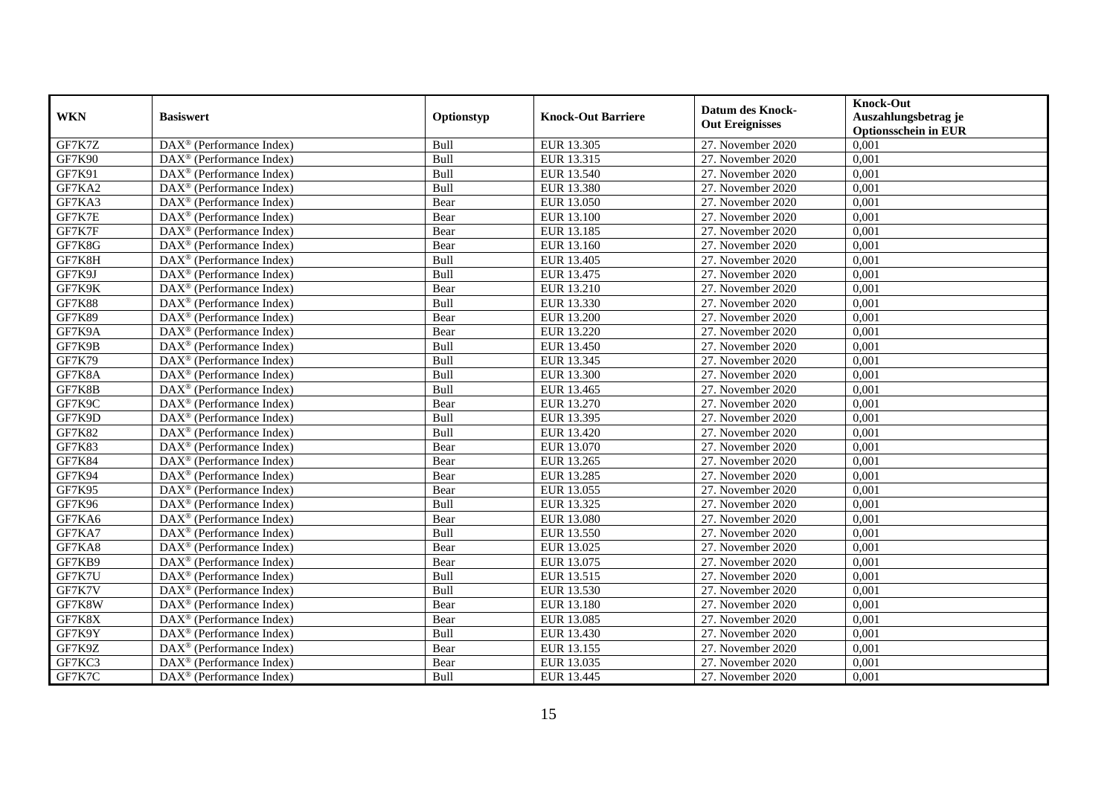| <b>WKN</b>    | <b>Basiswert</b>                                                | Optionstyp | <b>Knock-Out Barriere</b> | <b>Datum des Knock-</b><br><b>Out Ereignisses</b> | <b>Knock-Out</b><br>Auszahlungsbetrag je<br><b>Optionsschein in EUR</b> |
|---------------|-----------------------------------------------------------------|------------|---------------------------|---------------------------------------------------|-------------------------------------------------------------------------|
| GF7K7Z        | $\overline{\text{DAX}^{\otimes}}$ (Performance Index)           | Bull       | EUR 13.305                | 27. November 2020                                 | 0,001                                                                   |
| <b>GF7K90</b> | $DAX^{\otimes}$ (Performance Index)                             | Bull       | EUR 13.315                | 27. November 2020                                 | 0,001                                                                   |
| GF7K91        | $DAX^{\otimes}$ (Performance Index)                             | Bull       | EUR 13.540                | 27. November 2020                                 | 0,001                                                                   |
| GF7KA2        | DAX <sup>®</sup> (Performance Index)                            | Bull       | EUR 13.380                | 27. November 2020                                 | 0,001                                                                   |
| GF7KA3        | $DAX^{\circledast}$ (Performance Index)                         | Bear       | EUR 13.050                | 27. November 2020                                 | 0,001                                                                   |
| GF7K7E        | $\overline{\text{DAX}^{\otimes}}$ (Performance Index)           | Bear       | <b>EUR 13.100</b>         | 27. November 2020                                 | 0,001                                                                   |
| GF7K7F        | $\text{DAX}^{\otimes}$ (Performance Index)                      | Bear       | EUR 13.185                | 27. November 2020                                 | 0,001                                                                   |
| GF7K8G        | $\text{DAX}^{\otimes}$ (Performance Index)                      | Bear       | EUR 13.160                | 27. November 2020                                 | 0,001                                                                   |
| GF7K8H        | $\text{DAX}^{\otimes}$ (Performance Index)                      | Bull       | EUR 13.405                | 27. November 2020                                 | 0,001                                                                   |
| GF7K9J        | $\overline{\text{DAX}}^{\textcirc}$ (Performance Index)         | Bull       | EUR 13.475                | 27. November 2020                                 | 0,001                                                                   |
| GF7K9K        | $\overline{\text{DAX}^{\circledast}(\text{Performance Index})}$ | Bear       | EUR 13.210                | 27. November 2020                                 | 0,001                                                                   |
| <b>GF7K88</b> | DAX <sup>®</sup> (Performance Index)                            | Bull       | EUR 13.330                | 27. November 2020                                 | 0,001                                                                   |
| <b>GF7K89</b> | $\overline{\text{DAX}}^{\textcirc}$ (Performance Index)         | Bear       | EUR 13.200                | 27. November 2020                                 | 0,001                                                                   |
| GF7K9A        | DAX <sup>®</sup> (Performance Index)                            | Bear       | EUR 13.220                | 27. November 2020                                 | 0,001                                                                   |
| GF7K9B        | DAX <sup>®</sup> (Performance Index)                            | Bull       | EUR 13.450                | 27. November 2020                                 | 0,001                                                                   |
| <b>GF7K79</b> | DAX <sup>®</sup> (Performance Index)                            | Bull       | <b>EUR 13.345</b>         | 27. November 2020                                 | 0,001                                                                   |
| GF7K8A        | $DAX^{\otimes}$ (Performance Index)                             | Bull       | EUR 13.300                | 27. November 2020                                 | 0,001                                                                   |
| GF7K8B        | $\overline{\text{DAX}}^{\textcirc}$ (Performance Index)         | Bull       | EUR 13.465                | 27. November 2020                                 | 0,001                                                                   |
| GF7K9C        | $\overline{\text{DAX}^{\otimes}}$ (Performance Index)           | Bear       | EUR 13.270                | 27. November 2020                                 | 0,001                                                                   |
| GF7K9D        | $\text{DAX}^{\otimes}$ (Performance Index)                      | Bull       | EUR 13.395                | 27. November 2020                                 | 0,001                                                                   |
| GF7K82        | $DAX^{\circledast}$ (Performance Index)                         | Bull       | EUR 13.420                | 27. November 2020                                 | 0,001                                                                   |
| <b>GF7K83</b> | $\overline{\text{DAX}}^{\textcirc}$ (Performance Index)         | Bear       | EUR 13.070                | 27. November 2020                                 | 0,001                                                                   |
| <b>GF7K84</b> | DAX <sup>®</sup> (Performance Index)                            | Bear       | EUR 13.265                | 27. November 2020                                 | 0,001                                                                   |
| GF7K94        | $\text{DAX}^{\otimes}$ (Performance Index)                      | Bear       | EUR 13.285                | 27. November 2020                                 | 0,001                                                                   |
| <b>GF7K95</b> | $DAX^{\circledR}$ (Performance Index)                           | Bear       | EUR 13.055                | 27. November 2020                                 | 0,001                                                                   |
| <b>GF7K96</b> | $\text{DAX}^{\otimes}$ (Performance Index)                      | Bull       | EUR 13.325                | 27. November 2020                                 | 0,001                                                                   |
| GF7KA6        | $\overline{\text{DAX}^{\otimes}}$ (Performance Index)           | Bear       | <b>EUR 13.080</b>         | 27. November 2020                                 | 0,001                                                                   |
| GF7KA7        | $DAX^{\otimes}$ (Performance Index)                             | Bull       | EUR 13.550                | 27. November 2020                                 | 0,001                                                                   |
| GF7KA8        | $\overline{\text{DAX}}^{\textcirc}$ (Performance Index)         | Bear       | EUR 13.025                | 27. November 2020                                 | 0,001                                                                   |
| GF7KB9        | $DAX^{\otimes}$ (Performance Index)                             | Bear       | EUR 13.075                | 27. November 2020                                 | 0,001                                                                   |
| GF7K7U        | DAX <sup>®</sup> (Performance Index)                            | Bull       | EUR 13.515                | 27. November 2020                                 | 0,001                                                                   |
| GF7K7V        | DAX <sup>®</sup> (Performance Index)                            | Bull       | EUR 13.530                | 27. November 2020                                 | 0,001                                                                   |
| GF7K8W        | $\overline{\text{DAX}^{\otimes}}$ (Performance Index)           | Bear       | EUR 13.180                | 27. November 2020                                 | 0,001                                                                   |
| GF7K8X        | $\text{DAX}^{\otimes}$ (Performance Index)                      | Bear       | EUR 13.085                | 27. November 2020                                 | 0,001                                                                   |
| GF7K9Y        | $\text{DAX}^{\otimes}$ (Performance Index)                      | Bull       | EUR 13.430                | 27. November 2020                                 | 0,001                                                                   |
| GF7K9Z        | $\text{DAX}^{\otimes}$ (Performance Index)                      | Bear       | EUR 13.155                | 27. November 2020                                 | 0,001                                                                   |
| GF7KC3        | $\text{DAX}^{\otimes}$ (Performance Index)                      | Bear       | EUR 13.035                | 27. November 2020                                 | 0,001                                                                   |
| GF7K7C        | DAX <sup>®</sup> (Performance Index)                            | Bull       | EUR 13.445                | 27. November 2020                                 | 0,001                                                                   |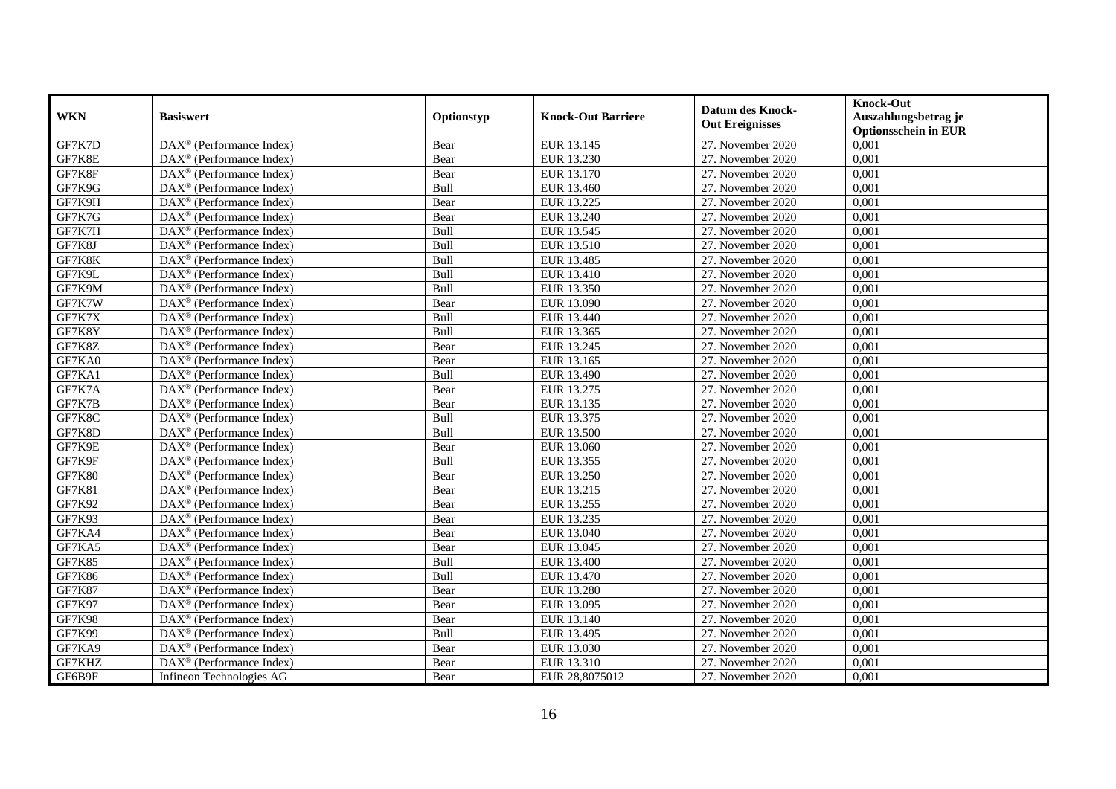| <b>WKN</b>    | <b>Basiswert</b>                                        | Optionstyp | <b>Knock-Out Barriere</b> | <b>Datum des Knock-</b><br><b>Out Ereignisses</b> | <b>Knock-Out</b><br>Auszahlungsbetrag je<br><b>Optionsschein in EUR</b> |
|---------------|---------------------------------------------------------|------------|---------------------------|---------------------------------------------------|-------------------------------------------------------------------------|
| GF7K7D        | $\overline{\text{DAX}^{\otimes}}$ (Performance Index)   | Bear       | EUR 13.145                | 27. November 2020                                 | 0,001                                                                   |
| GF7K8E        | DAX <sup>®</sup> (Performance Index)                    | Bear       | EUR 13.230                | 27. November 2020                                 | 0,001                                                                   |
| GF7K8F        | $\text{DAX}^{\otimes}$ (Performance Index)              | Bear       | EUR 13.170                | 27. November 2020                                 | 0,001                                                                   |
| GF7K9G        | DAX <sup>®</sup> (Performance Index)                    | Bull       | EUR 13.460                | 27. November 2020                                 | 0,001                                                                   |
| GF7K9H        | DAX <sup>®</sup> (Performance Index)                    | Bear       | EUR 13.225                | 27. November 2020                                 | 0,001                                                                   |
| GF7K7G        | $DAX^{\otimes}$ (Performance Index)                     | Bear       | EUR 13.240                | 27. November 2020                                 | 0,001                                                                   |
| GF7K7H        | $\overline{\text{DAX}}^{\textcirc}$ (Performance Index) | Bull       | EUR 13.545                | 27. November 2020                                 | 0,001                                                                   |
| GF7K8J        | $DAX^{\otimes}$ (Performance Index)                     | Bull       | EUR 13.510                | 27. November 2020                                 | 0,001                                                                   |
| GF7K8K        | $DAX^{\otimes}$ (Performance Index)                     | Bull       | EUR 13.485                | 27. November 2020                                 | 0,001                                                                   |
| GF7K9L        | $\text{DAX}^{\otimes}$ (Performance Index)              | Bull       | EUR 13.410                | 27. November 2020                                 | 0,001                                                                   |
| GF7K9M        | $\overline{\text{DAX}^{\otimes}}$ (Performance Index)   | Bull       | EUR 13.350                | 27. November 2020                                 | 0,001                                                                   |
| GF7K7W        | DAX <sup>®</sup> (Performance Index)                    | Bear       | EUR 13.090                | 27. November 2020                                 | 0,001                                                                   |
| GF7K7X        | $\text{DAX}^{\circledast}$ (Performance Index)          | Bull       | EUR 13.440                | 27. November 2020                                 | 0,001                                                                   |
| GF7K8Y        | $DAX^{\circledR}$ (Performance Index)                   | Bull       | EUR 13.365                | 27. November 2020                                 | 0,001                                                                   |
| GF7K8Z        | DAX <sup>®</sup> (Performance Index)                    | Bear       | EUR 13.245                | 27. November 2020                                 | 0,001                                                                   |
| GF7KA0        | DAX <sup>®</sup> (Performance Index)                    | Bear       | EUR 13.165                | 27. November 2020                                 | 0,001                                                                   |
| GF7KA1        | $DAX^{\otimes}$ (Performance Index)                     | Bull       | EUR 13.490                | 27. November 2020                                 | 0,001                                                                   |
| GF7K7A        | $\overline{\text{DAX}^{\otimes}}$ (Performance Index)   | Bear       | EUR 13.275                | 27. November 2020                                 | 0,001                                                                   |
| GF7K7B        | $\overline{\text{DAX}^{\otimes}}$ (Performance Index)   | Bear       | EUR 13.135                | 27. November 2020                                 | 0,001                                                                   |
| GF7K8C        | $\text{DAX}^{\otimes}$ (Performance Index)              | Bull       | EUR 13.375                | 27. November 2020                                 | 0,001                                                                   |
| GF7K8D        | $DAX^{\circledast}$ (Performance Index)                 | Bull       | EUR 13.500                | 27. November 2020                                 | 0,001                                                                   |
| GF7K9E        | $DAX^{\circledR}$ (Performance Index)                   | Bear       | EUR 13.060                | 27. November 2020                                 | 0,001                                                                   |
| GF7K9F        | DAX <sup>®</sup> (Performance Index)                    | Bull       | EUR 13.355                | 27. November 2020                                 | 0,001                                                                   |
| <b>GF7K80</b> | $DAX^{\otimes}$ (Performance Index)                     | Bear       | <b>EUR 13.250</b>         | 27. November 2020                                 | 0,001                                                                   |
| <b>GF7K81</b> | $DAX^{\otimes}$ (Performance Index)                     | Bear       | EUR 13.215                | 27. November 2020                                 | 0,001                                                                   |
| GF7K92        | $\text{DAX}^{\otimes}$ (Performance Index)              | Bear       | EUR 13.255                | 27. November 2020                                 | 0,001                                                                   |
| GF7K93        | DAX <sup>®</sup> (Performance Index)                    | Bear       | EUR 13.235                | 27. November 2020                                 | 0,001                                                                   |
| GF7KA4        | $\overline{\text{DAX}^{\otimes}}$ (Performance Index)   | Bear       | EUR 13.040                | 27. November 2020                                 | 0,001                                                                   |
| GF7KA5        | $\overline{\text{DAX}^{\otimes}}$ (Performance Index)   | Bear       | EUR 13.045                | 27. November 2020                                 | 0,001                                                                   |
| <b>GF7K85</b> | $DAX^{\circledR}$ (Performance Index)                   | Bull       | EUR 13.400                | 27. November 2020                                 | 0,001                                                                   |
| <b>GF7K86</b> | $DAX^{\otimes}$ (Performance Index)                     | Bull       | EUR 13.470                | 27. November 2020                                 | 0,001                                                                   |
| <b>GF7K87</b> | DAX <sup>®</sup> (Performance Index)                    | Bear       | <b>EUR 13.280</b>         | 27. November 2020                                 | 0,001                                                                   |
| GF7K97        | DAX <sup>®</sup> (Performance Index)                    | Bear       | EUR 13.095                | 27. November 2020                                 | 0,001                                                                   |
| <b>GF7K98</b> | DAX <sup>®</sup> (Performance Index)                    | Bear       | EUR 13.140                | 27. November 2020                                 | 0,001                                                                   |
| <b>GF7K99</b> | $\overline{\text{DAX}^{\otimes}}$ (Performance Index)   | Bull       | EUR 13.495                | 27. November 2020                                 | 0,001                                                                   |
| GF7KA9        | DAX <sup>®</sup> (Performance Index)                    | Bear       | EUR 13.030                | 27. November 2020                                 | 0,001                                                                   |
| GF7KHZ        | DAX <sup>®</sup> (Performance Index)                    | Bear       | EUR 13.310                | 27. November 2020                                 | 0,001                                                                   |
| GF6B9F        | Infineon Technologies AG                                | Bear       | EUR 28,8075012            | 27. November 2020                                 | 0,001                                                                   |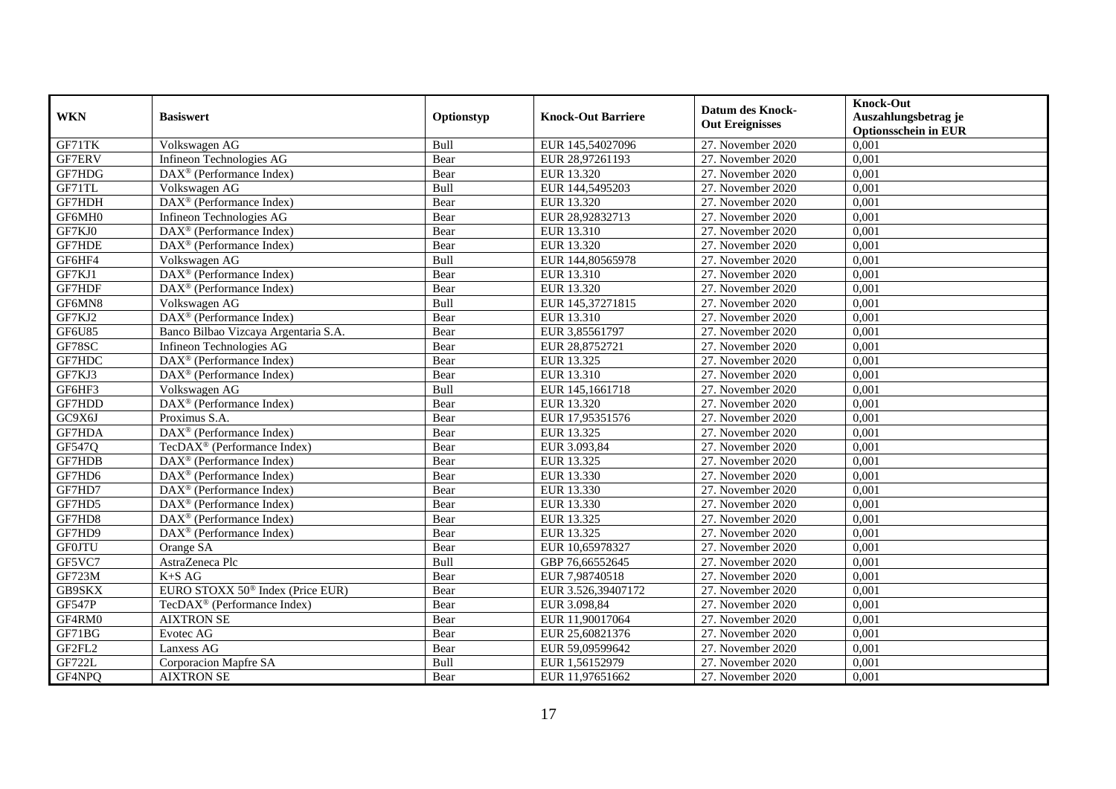| <b>WKN</b>    | <b>Basiswert</b>                                        | Optionstyp | <b>Knock-Out Barriere</b> | <b>Datum des Knock-</b><br><b>Out Ereignisses</b> | <b>Knock-Out</b><br>Auszahlungsbetrag je<br><b>Optionsschein in EUR</b> |
|---------------|---------------------------------------------------------|------------|---------------------------|---------------------------------------------------|-------------------------------------------------------------------------|
| GF71TK        | Volkswagen AG                                           | Bull       | EUR 145,54027096          | 27. November 2020                                 | 0,001                                                                   |
| GF7ERV        | Infineon Technologies AG                                | Bear       | EUR 28,97261193           | 27. November 2020                                 | 0,001                                                                   |
| GF7HDG        | $\overline{\text{DAX}}^{\textcirc}$ (Performance Index) | Bear       | EUR 13.320                | 27. November 2020                                 | 0,001                                                                   |
| GF71TL        | Volkswagen AG                                           | Bull       | EUR 144,5495203           | 27. November 2020                                 | 0,001                                                                   |
| GF7HDH        | DAX <sup>®</sup> (Performance Index)                    | Bear       | EUR 13.320                | 27. November 2020                                 | 0,001                                                                   |
| GF6MH0        | Infineon Technologies AG                                | Bear       | EUR 28,92832713           | 27. November 2020                                 | 0,001                                                                   |
| GF7KJ0        | $\text{DAX}^{\circledast}$ (Performance Index)          | Bear       | EUR 13.310                | 27. November 2020                                 | 0,001                                                                   |
| GF7HDE        | $\overline{\text{DAX}^{\otimes}}$ (Performance Index)   | Bear       | EUR 13.320                | 27. November 2020                                 | 0,001                                                                   |
| GF6HF4        | Volkswagen AG                                           | Bull       | EUR 144,80565978          | 27. November 2020                                 | 0,001                                                                   |
| GF7KJ1        | DAX <sup>®</sup> (Performance Index)                    | Bear       | EUR 13.310                | 27. November 2020                                 | 0,001                                                                   |
| GF7HDF        | $\overline{\text{DAX}^{\otimes}}$ (Performance Index)   | Bear       | EUR 13.320                | 27. November 2020                                 | 0,001                                                                   |
| GF6MN8        | Volkswagen AG                                           | Bull       | EUR 145,37271815          | 27. November 2020                                 | 0,001                                                                   |
| GF7KJ2        | $\overline{\text{DAX}^{\otimes}}$ (Performance Index)   | Bear       | EUR 13.310                | 27. November 2020                                 | 0.001                                                                   |
| <b>GF6U85</b> | Banco Bilbao Vizcaya Argentaria S.A.                    | Bear       | EUR 3,85561797            | 27. November 2020                                 | 0,001                                                                   |
| GF78SC        | Infineon Technologies AG                                | Bear       | EUR 28,8752721            | 27. November 2020                                 | 0,001                                                                   |
| GF7HDC        | DAX <sup>®</sup> (Performance Index)                    | Bear       | EUR 13.325                | 27. November 2020                                 | 0,001                                                                   |
| GF7KJ3        | $\overline{\text{DAX}}^{\textcirc}$ (Performance Index) | Bear       | EUR 13.310                | 27. November 2020                                 | 0,001                                                                   |
| GF6HF3        | Volkswagen AG                                           | Bull       | EUR 145,1661718           | 27. November 2020                                 | 0,001                                                                   |
| GF7HDD        | DAX <sup>®</sup> (Performance Index)                    | Bear       | EUR 13.320                | 27. November 2020                                 | 0,001                                                                   |
| GC9X6J        | Proximus S.A.                                           | Bear       | EUR 17,95351576           | 27. November 2020                                 | 0,001                                                                   |
| GF7HDA        | DAX <sup>®</sup> (Performance Index)                    | Bear       | EUR 13.325                | 27. November 2020                                 | 0,001                                                                   |
| GF547Q        | TecDAX <sup>®</sup> (Performance Index)                 | Bear       | EUR 3.093,84              | 27. November 2020                                 | 0,001                                                                   |
| GF7HDB        | DAX <sup>®</sup> (Performance Index)                    | Bear       | EUR 13.325                | 27. November 2020                                 | 0,001                                                                   |
| GF7HD6        | $\overline{\text{DAX}^{\otimes}}$ (Performance Index)   | Bear       | EUR 13.330                | 27. November 2020                                 | 0,001                                                                   |
| GF7HD7        | $DAX^{\circledR}$ (Performance Index)                   | Bear       | EUR 13.330                | 27. November 2020                                 | 0,001                                                                   |
| GF7HD5        | $\overline{\text{DAX}}^{\textcirc}$ (Performance Index) | Bear       | EUR 13.330                | 27. November 2020                                 | 0,001                                                                   |
| GF7HD8        | DAX <sup>®</sup> (Performance Index)                    | Bear       | EUR 13.325                | 27. November 2020                                 | 0,001                                                                   |
| GF7HD9        | DAX <sup>®</sup> (Performance Index)                    | Bear       | EUR 13.325                | 27. November 2020                                 | 0,001                                                                   |
| <b>GF0JTU</b> | Orange SA                                               | Bear       | EUR 10,65978327           | 27. November 2020                                 | 0,001                                                                   |
| GF5VC7        | AstraZeneca Plc                                         | Bull       | GBP 76,66552645           | 27. November 2020                                 | 0,001                                                                   |
| GF723M        | $K+SAG$                                                 | Bear       | EUR 7,98740518            | 27. November 2020                                 | 0,001                                                                   |
| GB9SKX        | EURO STOXX 50 <sup>®</sup> Index (Price EUR)            | Bear       | EUR 3.526,39407172        | 27. November 2020                                 | 0,001                                                                   |
| <b>GF547P</b> | TecDAX <sup>®</sup> (Performance Index)                 | Bear       | EUR 3.098,84              | 27. November 2020                                 | 0,001                                                                   |
| GF4RM0        | <b>AIXTRON SE</b>                                       | Bear       | EUR 11,90017064           | 27. November 2020                                 | 0,001                                                                   |
| GF71BG        | Evotec AG                                               | Bear       | EUR 25,60821376           | 27. November 2020                                 | 0,001                                                                   |
| GF2FL2        | Lanxess AG                                              | Bear       | EUR 59,09599642           | 27. November 2020                                 | 0,001                                                                   |
| <b>GF722L</b> | Corporacion Mapfre SA                                   | Bull       | EUR 1,56152979            | 27. November 2020                                 | 0,001                                                                   |
| GF4NPQ        | <b>AIXTRON SE</b>                                       | Bear       | EUR 11,97651662           | 27. November 2020                                 | 0,001                                                                   |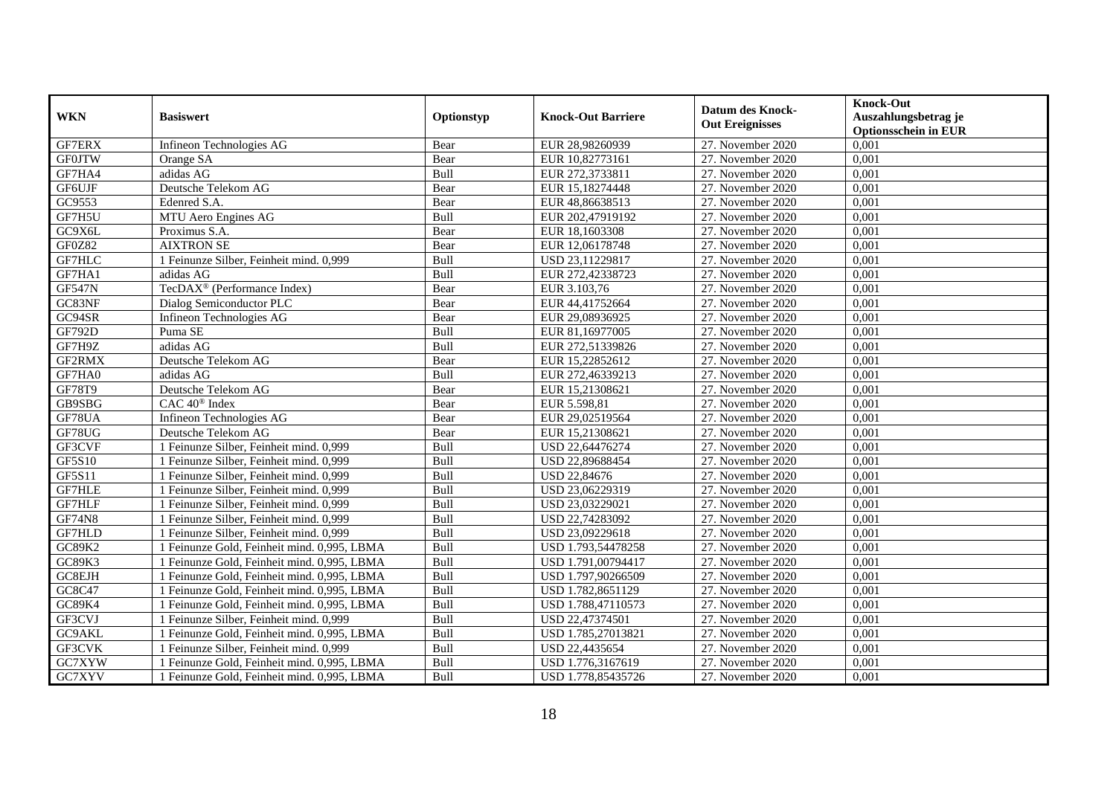| <b>WKN</b>    | <b>Basiswert</b>                            | Optionstyp | <b>Knock-Out Barriere</b> | <b>Datum des Knock-</b><br><b>Out Ereignisses</b> | <b>Knock-Out</b><br>Auszahlungsbetrag je<br><b>Optionsschein in EUR</b> |
|---------------|---------------------------------------------|------------|---------------------------|---------------------------------------------------|-------------------------------------------------------------------------|
| <b>GF7ERX</b> | Infineon Technologies AG                    | Bear       | EUR 28,98260939           | 27. November 2020                                 | 0,001                                                                   |
| <b>GF0JTW</b> | Orange SA                                   | Bear       | EUR 10,82773161           | 27. November 2020                                 | 0.001                                                                   |
| GF7HA4        | adidas AG                                   | Bull       | EUR 272,3733811           | 27. November 2020                                 | 0,001                                                                   |
| GF6UJF        | Deutsche Telekom AG                         | Bear       | EUR 15,18274448           | 27. November 2020                                 | 0,001                                                                   |
| GC9553        | Edenred S.A.                                | Bear       | EUR 48,86638513           | 27. November 2020                                 | 0,001                                                                   |
| GF7H5U        | MTU Aero Engines AG                         | Bull       | EUR 202,47919192          | 27. November 2020                                 | 0,001                                                                   |
| GC9X6L        | Proximus S.A.                               | Bear       | EUR 18,1603308            | 27. November 2020                                 | 0,001                                                                   |
| GF0Z82        | <b>AIXTRON SE</b>                           | Bear       | EUR 12,06178748           | 27. November 2020                                 | 0,001                                                                   |
| GF7HLC        | 1 Feinunze Silber, Feinheit mind. 0,999     | Bull       | USD 23,11229817           | 27. November 2020                                 | 0,001                                                                   |
| GF7HA1        | adidas AG                                   | Bull       | EUR 272,42338723          | 27. November 2020                                 | 0,001                                                                   |
| <b>GF547N</b> | TecDAX <sup>®</sup> (Performance Index)     | Bear       | EUR 3.103,76              | 27. November 2020                                 | 0,001                                                                   |
| GC83NF        | Dialog Semiconductor PLC                    | Bear       | EUR 44,41752664           | 27. November 2020                                 | 0,001                                                                   |
| GC94SR        | Infineon Technologies AG                    | Bear       | EUR 29,08936925           | 27. November 2020                                 | 0,001                                                                   |
| GF792D        | Puma SE                                     | Bull       | EUR 81,16977005           | 27. November 2020                                 | 0,001                                                                   |
| GF7H9Z        | adidas AG                                   | Bull       | EUR 272,51339826          | 27. November 2020                                 | 0,001                                                                   |
| GF2RMX        | Deutsche Telekom AG                         | Bear       | EUR 15,22852612           | 27. November 2020                                 | 0,001                                                                   |
| GF7HA0        | adidas AG                                   | Bull       | EUR 272,46339213          | 27. November 2020                                 | 0,001                                                                   |
| GF78T9        | Deutsche Telekom AG                         | Bear       | EUR 15.21308621           | 27. November 2020                                 | 0.001                                                                   |
| GB9SBG        | CAC 40 <sup>®</sup> Index                   | Bear       | EUR 5.598,81              | 27. November 2020                                 | 0,001                                                                   |
| GF78UA        | Infineon Technologies AG                    | Bear       | EUR 29,02519564           | 27. November 2020                                 | 0,001                                                                   |
| GF78UG        | Deutsche Telekom AG                         | Bear       | EUR 15,21308621           | 27. November 2020                                 | 0,001                                                                   |
| GF3CVF        | 1 Feinunze Silber, Feinheit mind. 0,999     | Bull       | USD 22,64476274           | 27. November 2020                                 | 0,001                                                                   |
| GF5S10        | 1 Feinunze Silber, Feinheit mind. 0,999     | Bull       | USD 22,89688454           | 27. November 2020                                 | 0,001                                                                   |
| GF5S11        | 1 Feinunze Silber, Feinheit mind. 0,999     | Bull       | USD 22,84676              | 27. November 2020                                 | 0,001                                                                   |
| <b>GF7HLE</b> | 1 Feinunze Silber, Feinheit mind. 0,999     | Bull       | USD 23,06229319           | 27. November 2020                                 | 0,001                                                                   |
| GF7HLF        | 1 Feinunze Silber, Feinheit mind. 0,999     | Bull       | USD 23,03229021           | 27. November 2020                                 | 0,001                                                                   |
| <b>GF74N8</b> | 1 Feinunze Silber, Feinheit mind. 0,999     | Bull       | USD 22,74283092           | 27. November 2020                                 | 0,001                                                                   |
| GF7HLD        | 1 Feinunze Silber, Feinheit mind. 0,999     | Bull       | USD 23,09229618           | 27. November 2020                                 | 0,001                                                                   |
| GC89K2        | 1 Feinunze Gold, Feinheit mind. 0,995, LBMA | Bull       | USD 1.793,54478258        | 27. November 2020                                 | 0,001                                                                   |
| GC89K3        | 1 Feinunze Gold, Feinheit mind. 0,995, LBMA | Bull       | USD 1.791,00794417        | 27. November 2020                                 | 0,001                                                                   |
| GC8EJH        | 1 Feinunze Gold, Feinheit mind. 0,995, LBMA | Bull       | USD 1.797,90266509        | 27. November 2020                                 | 0,001                                                                   |
| GC8C47        | 1 Feinunze Gold, Feinheit mind. 0,995, LBMA | Bull       | USD 1.782,8651129         | 27. November 2020                                 | 0,001                                                                   |
| GC89K4        | 1 Feinunze Gold, Feinheit mind. 0,995, LBMA | Bull       | USD 1.788,47110573        | 27. November 2020                                 | 0,001                                                                   |
| GF3CVJ        | 1 Feinunze Silber, Feinheit mind. 0,999     | Bull       | USD 22,47374501           | 27. November 2020                                 | 0,001                                                                   |
| GC9AKL        | 1 Feinunze Gold, Feinheit mind. 0,995, LBMA | Bull       | USD 1.785,27013821        | 27. November 2020                                 | 0,001                                                                   |
| GF3CVK        | 1 Feinunze Silber, Feinheit mind. 0,999     | Bull       | USD 22,4435654            | 27. November 2020                                 | 0,001                                                                   |
| GC7XYW        | 1 Feinunze Gold, Feinheit mind. 0,995, LBMA | Bull       | USD 1.776,3167619         | 27. November 2020                                 | 0,001                                                                   |
| GC7XYV        | 1 Feinunze Gold, Feinheit mind. 0,995, LBMA | Bull       | USD 1.778,85435726        | 27. November 2020                                 | 0,001                                                                   |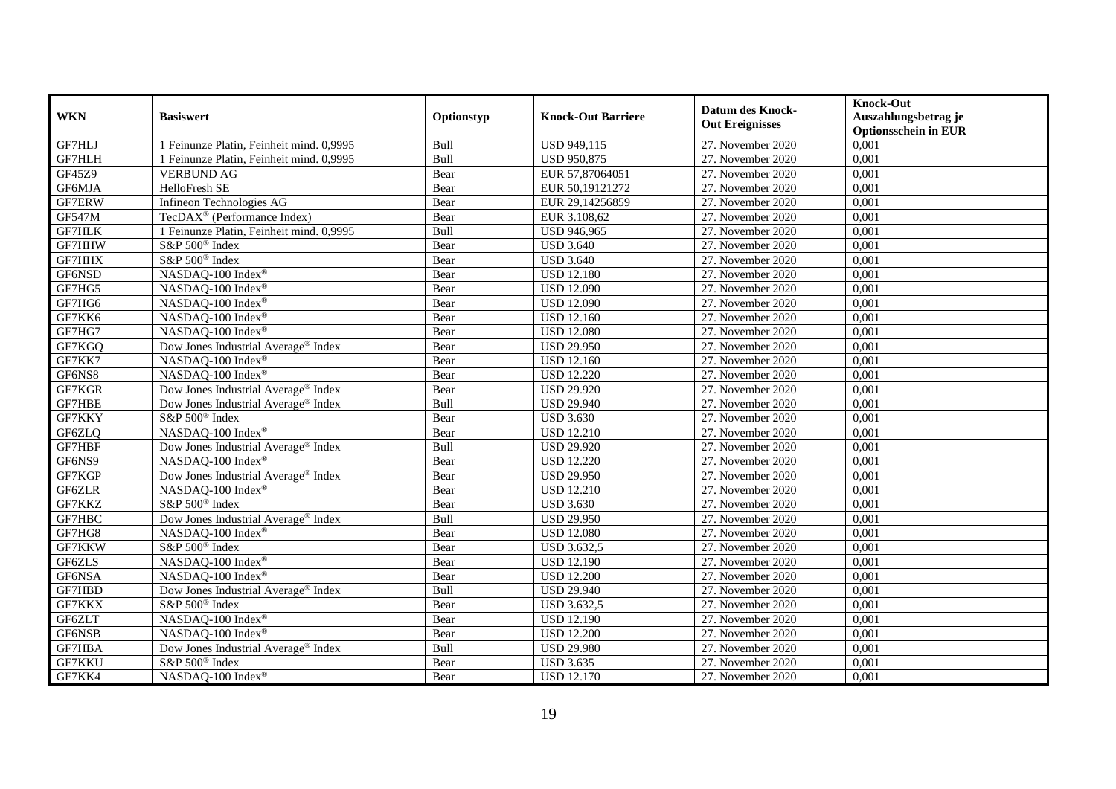| <b>WKN</b>    | <b>Basiswert</b>                                | Optionstyp | <b>Knock-Out Barriere</b> | Datum des Knock-<br><b>Out Ereignisses</b> | <b>Knock-Out</b><br>Auszahlungsbetrag je<br><b>Optionsschein in EUR</b> |
|---------------|-------------------------------------------------|------------|---------------------------|--------------------------------------------|-------------------------------------------------------------------------|
| GF7HLJ        | 1 Feinunze Platin, Feinheit mind. 0,9995        | Bull       | USD 949,115               | 27. November 2020                          | 0,001                                                                   |
| <b>GF7HLH</b> | 1 Feinunze Platin, Feinheit mind. 0,9995        | Bull       | <b>USD 950,875</b>        | 27. November 2020                          | 0,001                                                                   |
| GF45Z9        | <b>VERBUND AG</b>                               | Bear       | EUR 57,87064051           | 27. November 2020                          | 0,001                                                                   |
| GF6MJA        | HelloFresh SE                                   | Bear       | EUR 50,19121272           | 27. November 2020                          | 0,001                                                                   |
| GF7ERW        | Infineon Technologies AG                        | Bear       | EUR 29,14256859           | 27. November 2020                          | 0,001                                                                   |
| GF547M        | TecDAX <sup>®</sup> (Performance Index)         | Bear       | EUR 3.108,62              | 27. November 2020                          | 0,001                                                                   |
| GF7HLK        | 1 Feinunze Platin, Feinheit mind. 0,9995        | Bull       | USD 946,965               | 27. November 2020                          | 0,001                                                                   |
| GF7HHW        | S&P 500 <sup>®</sup> Index                      | Bear       | <b>USD 3.640</b>          | 27. November 2020                          | 0,001                                                                   |
| GF7HHX        | S&P 500 <sup>®</sup> Index                      | Bear       | <b>USD 3.640</b>          | 27. November 2020                          | 0,001                                                                   |
| GF6NSD        | NASDAQ-100 Index®                               | Bear       | <b>USD 12.180</b>         | 27. November 2020                          | 0,001                                                                   |
| GF7HG5        | NASDAQ-100 Index®                               | Bear       | <b>USD 12.090</b>         | 27. November 2020                          | 0,001                                                                   |
| GF7HG6        | NASDAQ-100 Index®                               | Bear       | <b>USD 12.090</b>         | 27. November 2020                          | 0,001                                                                   |
| GF7KK6        | NASDAQ-100 Index®                               | Bear       | <b>USD 12.160</b>         | 27. November 2020                          | 0,001                                                                   |
| GF7HG7        | NASDAQ-100 Index®                               | Bear       | <b>USD 12.080</b>         | 27. November 2020                          | 0,001                                                                   |
| GF7KGQ        | Dow Jones Industrial Average <sup>®</sup> Index | Bear       | <b>USD 29.950</b>         | 27. November 2020                          | 0,001                                                                   |
| GF7KK7        | NASDAQ-100 Index®                               | Bear       | <b>USD 12.160</b>         | 27. November 2020                          | 0,001                                                                   |
| GF6NS8        | NASDAQ-100 Index®                               | Bear       | <b>USD 12.220</b>         | 27. November 2020                          | 0,001                                                                   |
| GF7KGR        | Dow Jones Industrial Average <sup>®</sup> Index | Bear       | <b>USD 29.920</b>         | 27. November 2020                          | 0,001                                                                   |
| GF7HBE        | Dow Jones Industrial Average® Index             | Bull       | <b>USD 29.940</b>         | 27. November 2020                          | 0,001                                                                   |
| GF7KKY        | S&P 500 <sup>®</sup> Index                      | Bear       | <b>USD 3.630</b>          | 27. November 2020                          | 0,001                                                                   |
| GF6ZLQ        | NASDAQ-100 Index®                               | Bear       | <b>USD 12.210</b>         | 27. November 2020                          | 0,001                                                                   |
| GF7HBF        | Dow Jones Industrial Average® Index             | Bull       | <b>USD 29.920</b>         | 27. November 2020                          | 0,001                                                                   |
| GF6NS9        | NASDAQ-100 Index®                               | Bear       | <b>USD 12.220</b>         | 27. November 2020                          | 0,001                                                                   |
| GF7KGP        | Dow Jones Industrial Average® Index             | Bear       | <b>USD 29.950</b>         | 27. November 2020                          | 0,001                                                                   |
| GF6ZLR        | NASDAQ-100 Index®                               | Bear       | <b>USD 12.210</b>         | 27. November 2020                          | 0,001                                                                   |
| GF7KKZ        | S&P 500 <sup>®</sup> Index                      | Bear       | <b>USD 3.630</b>          | 27. November 2020                          | 0,001                                                                   |
| GF7HBC        | Dow Jones Industrial Average® Index             | Bull       | <b>USD 29.950</b>         | 27. November 2020                          | 0,001                                                                   |
| GF7HG8        | NASDAQ-100 Index®                               | Bear       | <b>USD 12.080</b>         | 27. November 2020                          | 0,001                                                                   |
| GF7KKW        | S&P 500 <sup>®</sup> Index                      | Bear       | <b>USD 3.632,5</b>        | 27. November 2020                          | 0,001                                                                   |
| GF6ZLS        | NASDAQ-100 Index®                               | Bear       | <b>USD 12.190</b>         | 27. November $2020$                        | 0,001                                                                   |
| GF6NSA        | NASDAQ-100 Index®                               | Bear       | <b>USD 12.200</b>         | 27. November 2020                          | 0,001                                                                   |
| GF7HBD        | Dow Jones Industrial Average <sup>®</sup> Index | Bull       | <b>USD 29.940</b>         | 27. November 2020                          | 0,001                                                                   |
| GF7KKX        | S&P 500 <sup>®</sup> Index                      | Bear       | <b>USD 3.632,5</b>        | 27. November 2020                          | 0,001                                                                   |
| GF6ZLT        | NASDAQ-100 Index®                               | Bear       | <b>USD 12.190</b>         | 27. November 2020                          | 0,001                                                                   |
| GF6NSB        | NASDAQ-100 Index®                               | Bear       | <b>USD 12.200</b>         | 27. November 2020                          | 0,001                                                                   |
| GF7HBA        | Dow Jones Industrial Average® Index             | Bull       | <b>USD 29.980</b>         | 27. November 2020                          | 0,001                                                                   |
| GF7KKU        | S&P 500 <sup>®</sup> Index                      | Bear       | <b>USD 3.635</b>          | 27. November 2020                          | 0,001                                                                   |
| GF7KK4        | NASDAQ-100 Index®                               | Bear       | <b>USD 12.170</b>         | 27. November 2020                          | 0,001                                                                   |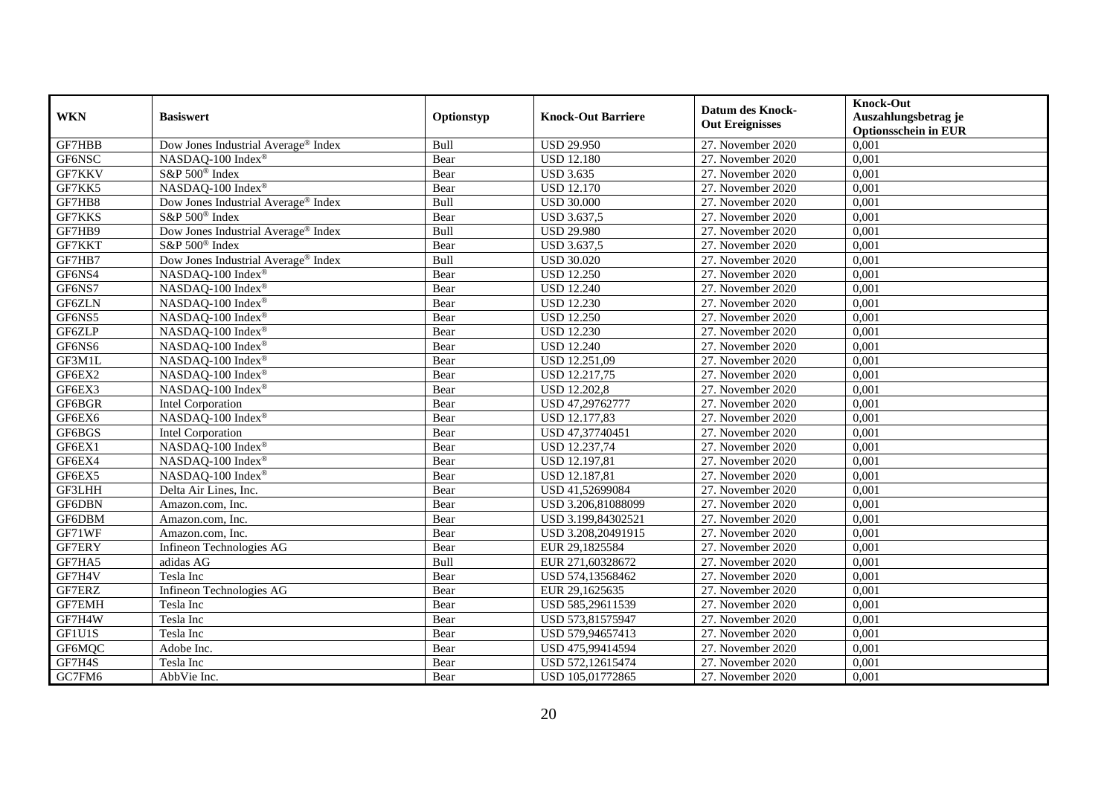| <b>WKN</b>    | <b>Basiswert</b>                                | Optionstyp | <b>Knock-Out Barriere</b> | <b>Datum des Knock-</b><br><b>Out Ereignisses</b> | <b>Knock-Out</b><br>Auszahlungsbetrag je<br><b>Optionsschein in EUR</b> |
|---------------|-------------------------------------------------|------------|---------------------------|---------------------------------------------------|-------------------------------------------------------------------------|
| GF7HBB        | Dow Jones Industrial Average® Index             | Bull       | <b>USD 29.950</b>         | 27. November 2020                                 | 0,001                                                                   |
| GF6NSC        | NASDAQ-100 Index®                               | Bear       | <b>USD 12.180</b>         | 27. November 2020                                 | 0,001                                                                   |
| GF7KKV        | S&P 500 <sup>®</sup> Index                      | Bear       | <b>USD 3.635</b>          | 27. November 2020                                 | 0,001                                                                   |
| GF7KK5        | NASDAQ-100 Index®                               | Bear       | <b>USD 12.170</b>         | 27. November 2020                                 | 0,001                                                                   |
| GF7HB8        | Dow Jones Industrial Average <sup>®</sup> Index | Bull       | <b>USD 30.000</b>         | 27. November 2020                                 | 0,001                                                                   |
| GF7KKS        | S&P 500 <sup>®</sup> Index                      | Bear       | USD 3.637,5               | 27. November 2020                                 | 0,001                                                                   |
| GF7HB9        | Dow Jones Industrial Average® Index             | Bull       | <b>USD 29.980</b>         | 27. November 2020                                 | 0,001                                                                   |
| GF7KKT        | S&P 500 <sup>®</sup> Index                      | Bear       | USD 3.637,5               | 27. November 2020                                 | 0,001                                                                   |
| GF7HB7        | Dow Jones Industrial Average® Index             | Bull       | <b>USD 30.020</b>         | 27. November 2020                                 | 0,001                                                                   |
| GF6NS4        | NASDAO-100 Index <sup>®</sup>                   | Bear       | <b>USD 12.250</b>         | 27. November 2020                                 | 0,001                                                                   |
| GF6NS7        | NASDAQ-100 Index®                               | Bear       | <b>USD 12.240</b>         | 27. November 2020                                 | 0,001                                                                   |
| GF6ZLN        | NASDAQ-100 Index®                               | Bear       | <b>USD 12.230</b>         | 27. November 2020                                 | 0,001                                                                   |
| GF6NS5        | NASDAQ-100 Index®                               | Bear       | <b>USD 12.250</b>         | 27. November 2020                                 | 0,001                                                                   |
| GF6ZLP        | NASDAQ-100 Index®                               | Bear       | <b>USD 12.230</b>         | 27. November 2020                                 | 0,001                                                                   |
| GF6NS6        | NASDAQ-100 Index®                               | Bear       | <b>USD 12.240</b>         | 27. November 2020                                 | 0,001                                                                   |
| GF3M1L        | NASDAQ-100 Index®                               | Bear       | USD 12.251,09             | 27. November 2020                                 | 0,001                                                                   |
| GF6EX2        | NASDAQ-100 Index®                               | Bear       | <b>USD 12.217,75</b>      | 27. November 2020                                 | 0,001                                                                   |
| GF6EX3        | NASDAQ-100 Index®                               | Bear       | <b>USD 12.202.8</b>       | 27. November 2020                                 | 0.001                                                                   |
| GF6BGR        | Intel Corporation                               | Bear       | USD 47,29762777           | 27. November 2020                                 | 0,001                                                                   |
| GF6EX6        | NASDAQ-100 Index®                               | Bear       | USD 12.177,83             | 27. November 2020                                 | 0,001                                                                   |
| GF6BGS        | Intel Corporation                               | Bear       | USD 47,37740451           | 27. November 2020                                 | 0,001                                                                   |
| GF6EX1        | NASDAQ-100 Index®                               | Bear       | USD 12.237,74             | 27. November 2020                                 | 0,001                                                                   |
| GF6EX4        | NASDAQ-100 Index®                               | Bear       | USD 12.197,81             | 27. November 2020                                 | 0,001                                                                   |
| GF6EX5        | NASDAQ-100 Index®                               | Bear       | USD 12.187,81             | 27. November 2020                                 | 0,001                                                                   |
| GF3LHH        | Delta Air Lines, Inc.                           | Bear       | USD 41,52699084           | 27. November 2020                                 | 0,001                                                                   |
| GF6DBN        | Amazon.com, Inc.                                | Bear       | USD 3.206,81088099        | 27. November 2020                                 | 0,001                                                                   |
| GF6DBM        | Amazon.com, Inc.                                | Bear       | USD 3.199,84302521        | 27. November 2020                                 | 0,001                                                                   |
| GF71WF        | Amazon.com. Inc.                                | Bear       | USD 3.208,20491915        | 27. November 2020                                 | 0,001                                                                   |
| <b>GF7ERY</b> | Infineon Technologies AG                        | Bear       | EUR 29,1825584            | 27. November 2020                                 | 0,001                                                                   |
| GF7HA5        | adidas AG                                       | Bull       | EUR 271,60328672          | 27. November 2020                                 | 0,001                                                                   |
| GF7H4V        | Tesla Inc                                       | Bear       | USD 574,13568462          | 27. November 2020                                 | 0,001                                                                   |
| GF7ERZ        | Infineon Technologies AG                        | Bear       | EUR 29,1625635            | 27. November 2020                                 | 0,001                                                                   |
| GF7EMH        | Tesla Inc                                       | Bear       | USD 585,29611539          | 27. November 2020                                 | 0,001                                                                   |
| GF7H4W        | Tesla Inc                                       | Bear       | USD 573,81575947          | 27. November 2020                                 | 0,001                                                                   |
| GF1U1S        | Tesla Inc                                       | Bear       | USD 579,94657413          | 27. November 2020                                 | 0,001                                                                   |
| GF6MQC        | Adobe Inc.                                      | Bear       | USD 475,99414594          | 27. November 2020                                 | 0,001                                                                   |
| GF7H4S        | Tesla Inc                                       | Bear       | USD 572,12615474          | 27. November 2020                                 | 0,001                                                                   |
| GC7FM6        | AbbVie Inc.                                     | Bear       | USD 105,01772865          | 27. November 2020                                 | 0,001                                                                   |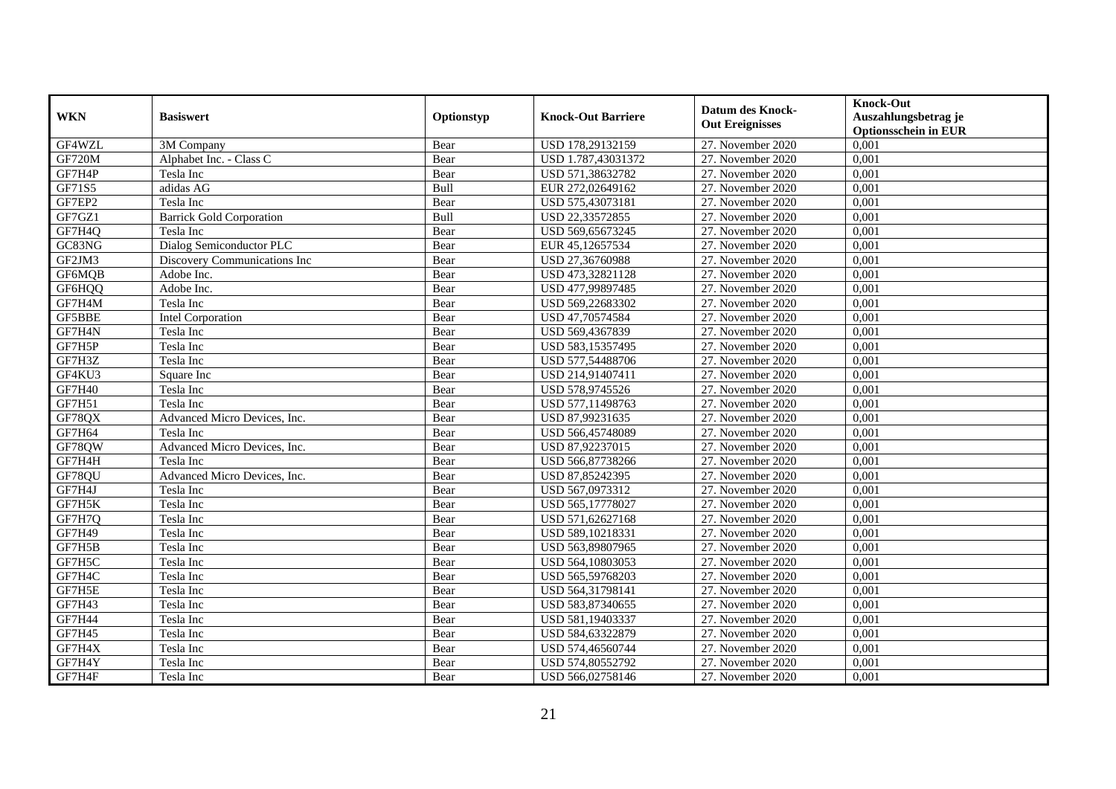| <b>WKN</b>    | <b>Basiswert</b>                | Optionstyp | <b>Knock-Out Barriere</b> | <b>Datum des Knock-</b><br><b>Out Ereignisses</b> | <b>Knock-Out</b><br>Auszahlungsbetrag je<br><b>Optionsschein in EUR</b> |
|---------------|---------------------------------|------------|---------------------------|---------------------------------------------------|-------------------------------------------------------------------------|
| GF4WZL        | 3M Company                      | Bear       | USD 178,29132159          | 27. November 2020                                 | 0,001                                                                   |
| <b>GF720M</b> | Alphabet Inc. - Class C         | Bear       | USD 1.787,43031372        | 27. November 2020                                 | 0,001                                                                   |
| GF7H4P        | Tesla Inc                       | Bear       | USD 571,38632782          | 27. November 2020                                 | 0,001                                                                   |
| GF71S5        | adidas AG                       | Bull       | EUR 272,02649162          | 27. November 2020                                 | 0,001                                                                   |
| GF7EP2        | Tesla Inc                       | Bear       | USD 575,43073181          | 27. November 2020                                 | 0,001                                                                   |
| GF7GZ1        | <b>Barrick Gold Corporation</b> | Bull       | USD 22,33572855           | 27. November 2020                                 | 0,001                                                                   |
| GF7H4Q        | Tesla Inc                       | Bear       | USD 569,65673245          | 27. November 2020                                 | 0,001                                                                   |
| GC83NG        | Dialog Semiconductor PLC        | Bear       | EUR 45,12657534           | 27. November 2020                                 | 0,001                                                                   |
| GF2JM3        | Discovery Communications Inc    | Bear       | USD 27,36760988           | 27. November 2020                                 | 0,001                                                                   |
| GF6MQB        | Adobe Inc.                      | Bear       | USD 473,32821128          | 27. November 2020                                 | 0,001                                                                   |
| GF6HQQ        | Adobe Inc.                      | Bear       | USD 477,99897485          | 27. November 2020                                 | 0,001                                                                   |
| GF7H4M        | Tesla Inc                       | Bear       | USD 569,22683302          | 27. November 2020                                 | 0,001                                                                   |
| GF5BBE        | Intel Corporation               | Bear       | USD 47,70574584           | 27. November 2020                                 | 0.001                                                                   |
| GF7H4N        | Tesla Inc                       | Bear       | USD 569,4367839           | 27. November 2020                                 | 0,001                                                                   |
| GF7H5P        | Tesla Inc                       | Bear       | USD 583,15357495          | 27. November 2020                                 | 0,001                                                                   |
| GF7H3Z        | Tesla Inc                       | Bear       | USD 577,54488706          | 27. November 2020                                 | 0,001                                                                   |
| GF4KU3        | Square Inc                      | Bear       | USD 214,91407411          | 27. November 2020                                 | 0,001                                                                   |
| <b>GF7H40</b> | Tesla Inc                       | Bear       | USD 578,9745526           | 27. November 2020                                 | 0,001                                                                   |
| GF7H51        | Tesla Inc                       | Bear       | USD 577,11498763          | 27. November 2020                                 | 0,001                                                                   |
| GF78QX        | Advanced Micro Devices, Inc.    | Bear       | USD 87,99231635           | 27. November 2020                                 | 0,001                                                                   |
| <b>GF7H64</b> | Tesla Inc                       | Bear       | USD 566,45748089          | 27. November 2020                                 | 0,001                                                                   |
| GF78QW        | Advanced Micro Devices, Inc.    | Bear       | USD 87,92237015           | 27. November 2020                                 | 0,001                                                                   |
| GF7H4H        | Tesla Inc                       | Bear       | USD 566,87738266          | 27. November 2020                                 | 0,001                                                                   |
| GF78QU        | Advanced Micro Devices, Inc.    | Bear       | USD 87,85242395           | 27. November 2020                                 | 0,001                                                                   |
| GF7H4J        | Tesla Inc                       | Bear       | USD 567,0973312           | 27. November 2020                                 | 0,001                                                                   |
| GF7H5K        | Tesla Inc                       | Bear       | USD 565,17778027          | 27. November 2020                                 | 0,001                                                                   |
| GF7H7Q        | Tesla Inc                       | Bear       | USD 571,62627168          | 27. November 2020                                 | 0,001                                                                   |
| <b>GF7H49</b> | Tesla Inc                       | Bear       | USD 589,10218331          | 27. November 2020                                 | 0,001                                                                   |
| GF7H5B        | Tesla Inc                       | Bear       | USD 563,89807965          | 27. November 2020                                 | 0,001                                                                   |
| GF7H5C        | Tesla Inc                       | Bear       | USD 564,10803053          | 27. November 2020                                 | 0,001                                                                   |
| GF7H4C        | Tesla Inc                       | Bear       | USD 565,59768203          | 27. November 2020                                 | 0,001                                                                   |
| GF7H5E        | Tesla Inc                       | Bear       | USD 564,31798141          | 27. November 2020                                 | 0,001                                                                   |
| <b>GF7H43</b> | Tesla Inc                       | Bear       | USD 583,87340655          | 27. November 2020                                 | 0,001                                                                   |
| <b>GF7H44</b> | Tesla Inc                       | Bear       | USD 581,19403337          | 27. November 2020                                 | 0,001                                                                   |
| <b>GF7H45</b> | Tesla Inc                       | Bear       | USD 584,63322879          | 27. November 2020                                 | 0,001                                                                   |
| GF7H4X        | Tesla Inc                       | Bear       | USD 574,46560744          | 27. November 2020                                 | 0,001                                                                   |
| GF7H4Y        | Tesla Inc                       | Bear       | USD 574,80552792          | 27. November 2020                                 | 0,001                                                                   |
| GF7H4F        | Tesla Inc                       | Bear       | USD 566,02758146          | 27. November 2020                                 | 0,001                                                                   |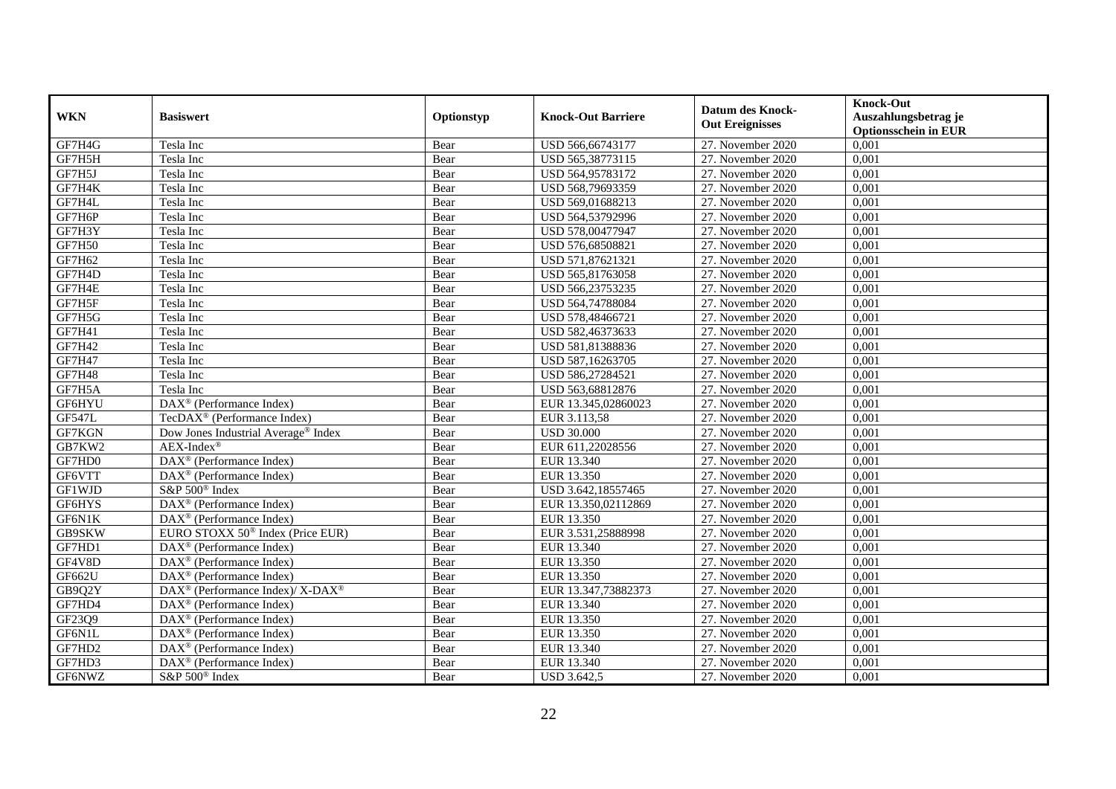| <b>WKN</b>    | <b>Basiswert</b>                                         | Optionstyp | <b>Knock-Out Barriere</b> | <b>Datum des Knock-</b><br><b>Out Ereignisses</b> | <b>Knock-Out</b><br>Auszahlungsbetrag je<br><b>Optionsschein in EUR</b> |
|---------------|----------------------------------------------------------|------------|---------------------------|---------------------------------------------------|-------------------------------------------------------------------------|
| GF7H4G        | Tesla Inc                                                | Bear       | USD 566,66743177          | 27. November 2020                                 | 0,001                                                                   |
| GF7H5H        | Tesla Inc                                                | Bear       | USD 565,38773115          | 27. November 2020                                 | 0,001                                                                   |
| GF7H5J        | Tesla Inc                                                | Bear       | USD 564,95783172          | 27. November 2020                                 | 0,001                                                                   |
| GF7H4K        | Tesla Inc                                                | Bear       | USD 568,79693359          | 27. November 2020                                 | 0,001                                                                   |
| GF7H4L        | Tesla Inc                                                | Bear       | USD 569,01688213          | 27. November 2020                                 | 0,001                                                                   |
| GF7H6P        | Tesla Inc                                                | Bear       | USD 564,53792996          | 27. November 2020                                 | 0,001                                                                   |
| GF7H3Y        | Tesla Inc                                                | Bear       | USD 578,00477947          | 27. November 2020                                 | 0,001                                                                   |
| <b>GF7H50</b> | Tesla Inc                                                | Bear       | USD 576,68508821          | 27. November 2020                                 | 0,001                                                                   |
| GF7H62        | Tesla Inc                                                | Bear       | USD 571,87621321          | 27. November 2020                                 | 0,001                                                                   |
| GF7H4D        | Tesla Inc                                                | Bear       | USD 565,81763058          | 27. November 2020                                 | 0,001                                                                   |
| GF7H4E        | Tesla Inc                                                | Bear       | USD 566,23753235          | 27. November 2020                                 | 0,001                                                                   |
| GF7H5F        | Tesla Inc                                                | Bear       | USD 564,74788084          | 27. November 2020                                 | 0,001                                                                   |
| GF7H5G        | Tesla Inc                                                | Bear       | USD 578,48466721          | 27. November 2020                                 | 0.001                                                                   |
| GF7H41        | Tesla Inc                                                | Bear       | USD 582,46373633          | 27. November 2020                                 | 0,001                                                                   |
| GF7H42        | Tesla Inc                                                | Bear       | USD 581,81388836          | 27. November 2020                                 | 0,001                                                                   |
| <b>GF7H47</b> | Tesla Inc                                                | Bear       | USD 587,16263705          | 27. November 2020                                 | 0,001                                                                   |
| <b>GF7H48</b> | Tesla Inc                                                | Bear       | USD 586,27284521          | 27. November 2020                                 | 0,001                                                                   |
| GF7H5A        | Tesla Inc                                                | Bear       | USD 563,68812876          | 27. November 2020                                 | 0,001                                                                   |
| GF6HYU        | DAX <sup>®</sup> (Performance Index)                     | Bear       | EUR 13.345,02860023       | 27. November 2020                                 | 0,001                                                                   |
| <b>GF547L</b> | TecDAX <sup>®</sup> (Performance Index)                  | Bear       | EUR 3.113,58              | 27. November 2020                                 | 0,001                                                                   |
| GF7KGN        | Dow Jones Industrial Average® Index                      | Bear       | <b>USD 30.000</b>         | 27. November 2020                                 | 0,001                                                                   |
| GB7KW2        | $AEX-Index^{\circledR}$                                  | Bear       | EUR 611,22028556          | 27. November 2020                                 | 0,001                                                                   |
| GF7HD0        | DAX <sup>®</sup> (Performance Index)                     | Bear       | EUR 13.340                | 27. November 2020                                 | 0,001                                                                   |
| GF6VTT        | $DAX^{\circledast}$ (Performance Index)                  | Bear       | EUR 13.350                | 27. November 2020                                 | 0,001                                                                   |
| GF1WJD        | $S\&P 500^{\circ}$ Index                                 | Bear       | USD 3.642,18557465        | 27. November 2020                                 | 0,001                                                                   |
| GF6HYS        | $DAX^{\circledast}$ (Performance Index)                  | Bear       | EUR 13.350,02112869       | 27. November 2020                                 | 0,001                                                                   |
| GF6N1K        | DAX <sup>®</sup> (Performance Index)                     | Bear       | EUR 13.350                | 27. November 2020                                 | 0,001                                                                   |
| GB9SKW        | EURO STOXX 50 <sup>®</sup> Index (Price EUR)             | Bear       | EUR 3.531,25888998        | 27. November 2020                                 | 0,001                                                                   |
| GF7HD1        | $DAX^{\circledast}$ (Performance Index)                  | Bear       | EUR 13.340                | 27. November 2020                                 | 0,001                                                                   |
| GF4V8D        | $DAX^{\circledast}$ (Performance Index)                  | Bear       | EUR 13.350                | 27. November 2020                                 | 0,001                                                                   |
| GF662U        | $\text{DAX}^{\textcircled{}}$ (Performance Index)        | Bear       | EUR 13.350                | 27. November 2020                                 | 0,001                                                                   |
| GB9Q2Y        | DAX <sup>®</sup> (Performance Index)/ X-DAX <sup>®</sup> | Bear       | EUR 13.347,73882373       | 27. November 2020                                 | 0,001                                                                   |
| GF7HD4        | DAX <sup>®</sup> (Performance Index)                     | Bear       | EUR 13.340                | 27. November 2020                                 | 0,001                                                                   |
| GF23Q9        | $\overline{\text{DAX}^{\otimes}}$ (Performance Index)    | Bear       | EUR 13.350                | 27. November 2020                                 | 0,001                                                                   |
| GF6N1L        | $\text{DAX}^{\textcircled{}}$ (Performance Index)        | Bear       | EUR 13.350                | 27. November 2020                                 | 0,001                                                                   |
| GF7HD2        | $\text{DAX}^{\textcircled{}}$ (Performance Index)        | Bear       | EUR 13.340                | 27. November 2020                                 | 0,001                                                                   |
| GF7HD3        | DAX <sup>®</sup> (Performance Index)                     | Bear       | EUR 13.340                | 27. November 2020                                 | 0,001                                                                   |
| GF6NWZ        | S&P 500 <sup>®</sup> Index                               | Bear       | USD 3.642,5               | 27. November 2020                                 | 0,001                                                                   |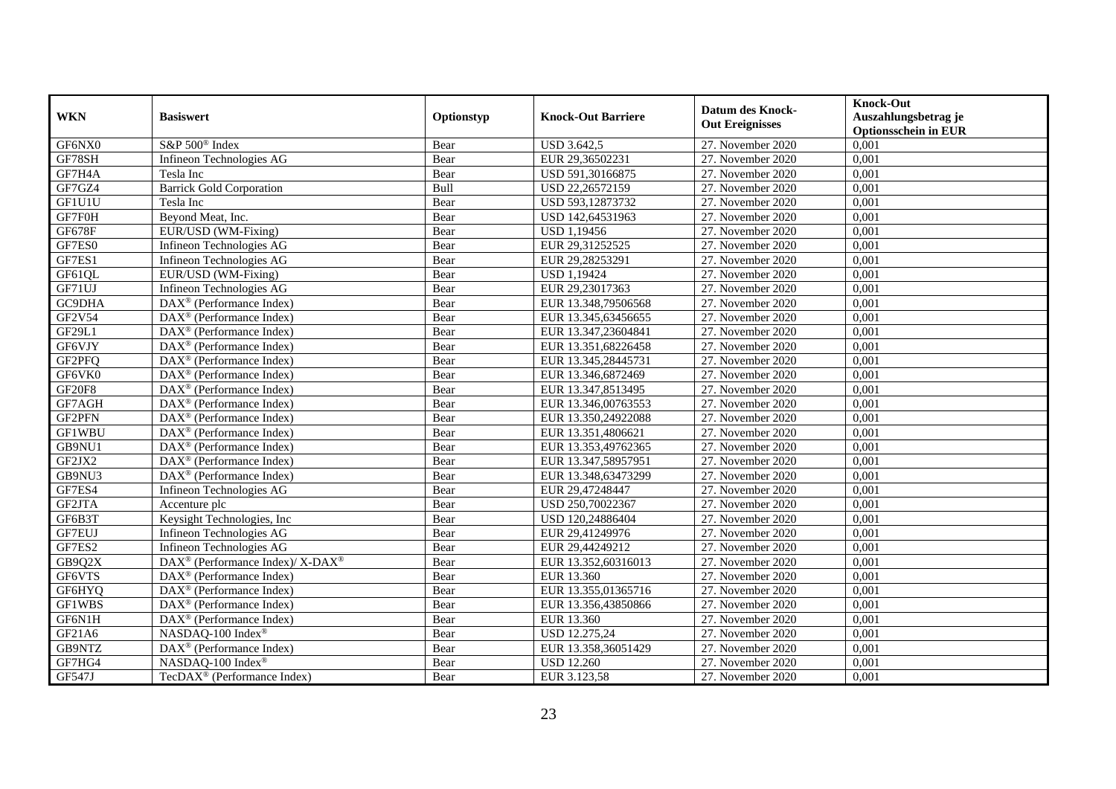| <b>WKN</b>    | <b>Basiswert</b>                                         | Optionstyp | <b>Knock-Out Barriere</b> | <b>Datum des Knock-</b><br><b>Out Ereignisses</b> | <b>Knock-Out</b><br>Auszahlungsbetrag je<br><b>Optionsschein in EUR</b> |
|---------------|----------------------------------------------------------|------------|---------------------------|---------------------------------------------------|-------------------------------------------------------------------------|
| GF6NX0        | S&P 500 <sup>®</sup> Index                               | Bear       | <b>USD 3.642,5</b>        | 27. November 2020                                 | 0,001                                                                   |
| GF78SH        | Infineon Technologies AG                                 | Bear       | EUR 29,36502231           | 27. November 2020                                 | 0,001                                                                   |
| GF7H4A        | Tesla Inc                                                | Bear       | USD 591,30166875          | 27. November 2020                                 | 0,001                                                                   |
| GF7GZ4        | <b>Barrick Gold Corporation</b>                          | Bull       | USD 22,26572159           | 27. November 2020                                 | 0,001                                                                   |
| GF1U1U        | Tesla Inc                                                | Bear       | USD 593,12873732          | 27. November 2020                                 | 0,001                                                                   |
| GF7F0H        | Beyond Meat, Inc.                                        | Bear       | USD 142,64531963          | 27. November 2020                                 | 0,001                                                                   |
| <b>GF678F</b> | EUR/USD (WM-Fixing)                                      | Bear       | USD 1,19456               | 27. November 2020                                 | 0,001                                                                   |
| GF7ES0        | Infineon Technologies AG                                 | Bear       | EUR 29,31252525           | 27. November 2020                                 | 0,001                                                                   |
| GF7ES1        | Infineon Technologies AG                                 | Bear       | EUR 29,28253291           | 27. November 2020                                 | 0,001                                                                   |
| GF61QL        | EUR/USD (WM-Fixing)                                      | Bear       | <b>USD 1,19424</b>        | 27. November 2020                                 | 0,001                                                                   |
| GF71UJ        | Infineon Technologies AG                                 | Bear       | EUR 29,23017363           | 27. November 2020                                 | 0,001                                                                   |
| GC9DHA        | DAX <sup>®</sup> (Performance Index)                     | Bear       | EUR 13.348,79506568       | 27. November 2020                                 | 0,001                                                                   |
| GF2V54        | $DAX^{\circledR}$ (Performance Index)                    | Bear       | EUR 13.345,63456655       | 27. November 2020                                 | 0.001                                                                   |
| GF29L1        | DAX <sup>®</sup> (Performance Index)                     | Bear       | EUR 13.347,23604841       | 27. November 2020                                 | 0,001                                                                   |
| GF6VJY        | DAX <sup>®</sup> (Performance Index)                     | Bear       | EUR 13.351,68226458       | 27. November 2020                                 | 0,001                                                                   |
| GF2PFQ        | DAX <sup>®</sup> (Performance Index)                     | Bear       | EUR 13.345,28445731       | 27. November 2020                                 | 0,001                                                                   |
| GF6VK0        | $\text{DAX}^{\textcircled{}}$ (Performance Index)        | Bear       | EUR 13.346,6872469        | 27. November 2020                                 | 0,001                                                                   |
| <b>GF20F8</b> | $\overline{\text{DAX}^{\otimes}}$ (Performance Index)    | Bear       | EUR 13.347,8513495        | 27. November 2020                                 | 0,001                                                                   |
| GF7AGH        | $\text{DAX}^{\otimes}$ (Performance Index)               | Bear       | EUR 13.346,00763553       | 27. November 2020                                 | 0,001                                                                   |
| GF2PFN        | $DAX^{\circledast}$ (Performance Index)                  | Bear       | EUR 13.350,24922088       | 27. November 2020                                 | 0,001                                                                   |
| <b>GF1WBU</b> | DAX <sup>®</sup> (Performance Index)                     | Bear       | EUR 13.351,4806621        | 27. November 2020                                 | 0,001                                                                   |
| GB9NU1        | $\overline{\text{DAX}^{\otimes}}$ (Performance Index)    | Bear       | EUR 13.353,49762365       | 27. November 2020                                 | 0,001                                                                   |
| GF2JX2        | DAX <sup>®</sup> (Performance Index)                     | Bear       | EUR 13.347,58957951       | 27. November 2020                                 | 0,001                                                                   |
| GB9NU3        | DAX <sup>®</sup> (Performance Index)                     | Bear       | EUR 13.348,63473299       | 27. November 2020                                 | 0,001                                                                   |
| GF7ES4        | Infineon Technologies AG                                 | Bear       | EUR 29,47248447           | 27. November 2020                                 | 0,001                                                                   |
| GF2JTA        | Accenture plc                                            | Bear       | USD 250,70022367          | 27. November 2020                                 | 0,001                                                                   |
| GF6B3T        | Keysight Technologies, Inc                               | Bear       | USD 120,24886404          | 27. November 2020                                 | 0,001                                                                   |
| GF7EUJ        | Infineon Technologies AG                                 | Bear       | EUR 29,41249976           | 27. November 2020                                 | 0,001                                                                   |
| GF7ES2        | Infineon Technologies AG                                 | Bear       | EUR 29,44249212           | 27. November 2020                                 | 0,001                                                                   |
| GB9Q2X        | DAX <sup>®</sup> (Performance Index)/ X-DAX <sup>®</sup> | Bear       | EUR 13.352,60316013       | 27. November 2020                                 | 0,001                                                                   |
| GF6VTS        | DAX <sup>®</sup> (Performance Index)                     | Bear       | EUR 13.360                | 27. November 2020                                 | 0,001                                                                   |
| GF6HYQ        | DAX <sup>®</sup> (Performance Index)                     | Bear       | EUR 13.355,01365716       | 27. November 2020                                 | 0,001                                                                   |
| GF1WBS        | $\overline{\text{DAX}^{\otimes}}$ (Performance Index)    | Bear       | EUR 13.356,43850866       | 27. November 2020                                 | 0,001                                                                   |
| GF6N1H        | $\text{DAX}^{\circledast}$ (Performance Index)           | Bear       | EUR 13.360                | 27. November 2020                                 | 0,001                                                                   |
| GF21A6        | NASDAQ-100 Index®                                        | Bear       | USD 12.275,24             | 27. November 2020                                 | 0,001                                                                   |
| GB9NTZ        | DAX <sup>®</sup> (Performance Index)                     | Bear       | EUR 13.358,36051429       | 27. November 2020                                 | 0,001                                                                   |
| GF7HG4        | NASDAQ-100 Index®                                        | Bear       | <b>USD 12.260</b>         | 27. November 2020                                 | 0,001                                                                   |
| <b>GF547J</b> | TecDAX <sup>®</sup> (Performance Index)                  | Bear       | EUR 3.123,58              | 27. November 2020                                 | 0,001                                                                   |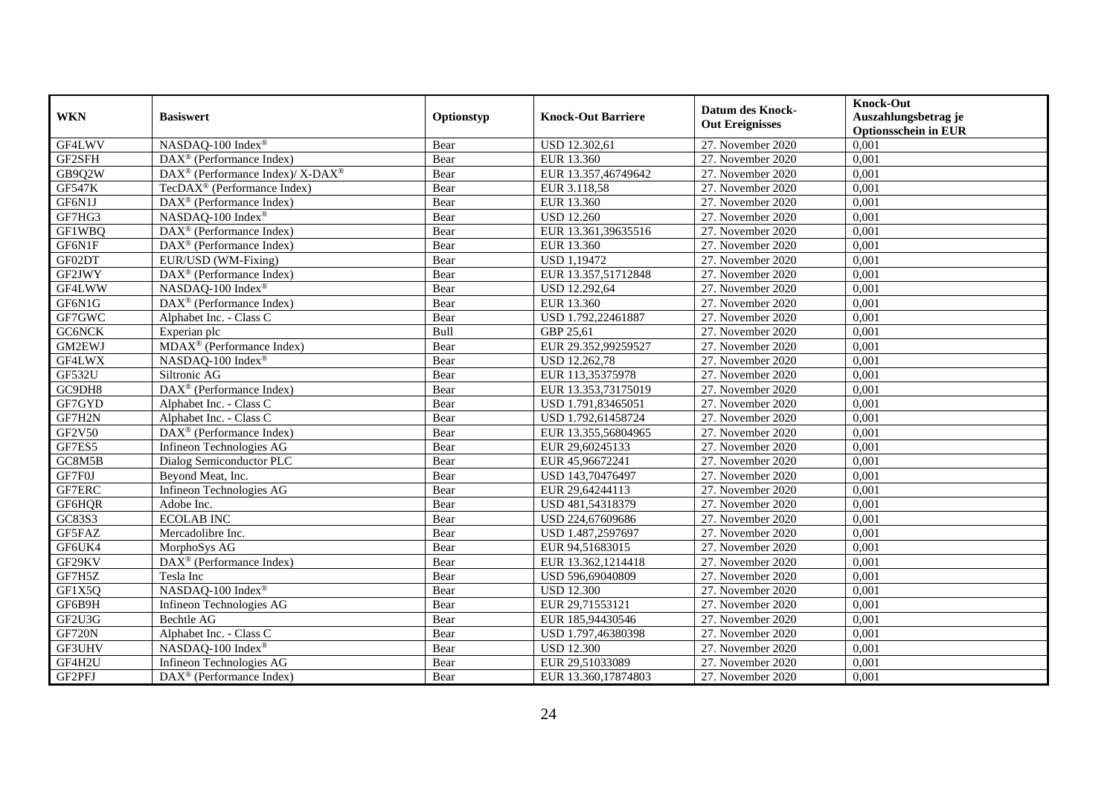| <b>WKN</b>    | <b>Basiswert</b>                                         | Optionstyp | <b>Knock-Out Barriere</b> | <b>Datum des Knock-</b><br><b>Out Ereignisses</b> | <b>Knock-Out</b><br>Auszahlungsbetrag je<br><b>Optionsschein in EUR</b> |
|---------------|----------------------------------------------------------|------------|---------------------------|---------------------------------------------------|-------------------------------------------------------------------------|
| GF4LWV        | NASDAQ-100 Index®                                        | Bear       | USD 12.302,61             | 27. November 2020                                 | 0,001                                                                   |
| GF2SFH        | $DAX^{\circledR}$ (Performance Index)                    | Bear       | EUR 13.360                | 27. November 2020                                 | 0,001                                                                   |
| GB9Q2W        | DAX <sup>®</sup> (Performance Index)/ X-DAX <sup>®</sup> | Bear       | EUR 13.357,46749642       | 27. November 2020                                 | 0,001                                                                   |
| <b>GF547K</b> | TecDAX <sup>®</sup> (Performance Index)                  | Bear       | EUR 3.118,58              | 27. November 2020                                 | 0,001                                                                   |
| GF6N1J        | DAX <sup>®</sup> (Performance Index)                     | Bear       | EUR 13.360                | 27. November 2020                                 | 0,001                                                                   |
| GF7HG3        | NASDAQ-100 Index®                                        | Bear       | <b>USD 12.260</b>         | 27. November 2020                                 | 0,001                                                                   |
| GF1WBQ        | DAX <sup>®</sup> (Performance Index)                     | Bear       | EUR 13.361,39635516       | 27. November 2020                                 | 0,001                                                                   |
| GF6N1F        | DAX <sup>®</sup> (Performance Index)                     | Bear       | EUR 13.360                | 27. November 2020                                 | 0,001                                                                   |
| GF02DT        | EUR/USD (WM-Fixing)                                      | Bear       | <b>USD 1,19472</b>        | 27. November 2020                                 | 0,001                                                                   |
| GF2JWY        | DAX <sup>®</sup> (Performance Index)                     | Bear       | EUR 13.357,51712848       | 27. November 2020                                 | 0,001                                                                   |
| GF4LWW        | NASDAQ-100 Index®                                        | Bear       | USD 12.292,64             | 27. November 2020                                 | 0,001                                                                   |
| GF6N1G        | DAX <sup>®</sup> (Performance Index)                     | Bear       | EUR 13.360                | 27. November 2020                                 | 0,001                                                                   |
| GF7GWC        | Alphabet Inc. - Class C                                  | Bear       | USD 1.792,22461887        | 27. November 2020                                 | 0,001                                                                   |
| GC6NCK        | Experian plc                                             | Bull       | GBP 25,61                 | 27. November 2020                                 | 0.001                                                                   |
| GM2EWJ        | MDAX <sup>®</sup> (Performance Index)                    | Bear       | EUR 29.352,99259527       | 27. November 2020                                 | 0,001                                                                   |
| GF4LWX        | NASDAQ-100 Index®                                        | Bear       | USD 12.262,78             | 27. November 2020                                 | 0,001                                                                   |
| <b>GF532U</b> | Siltronic AG                                             | Bear       | EUR 113,35375978          | 27. November 2020                                 | 0,001                                                                   |
| GC9DH8        | DAX <sup>®</sup> (Performance Index)                     | Bear       | EUR 13.353,73175019       | 27. November 2020                                 | 0,001                                                                   |
| GF7GYD        | Alphabet Inc. - Class C                                  | Bear       | USD 1.791,83465051        | 27. November 2020                                 | 0,001                                                                   |
| GF7H2N        | Alphabet Inc. - Class C                                  | Bear       | USD 1.792,61458724        | 27. November 2020                                 | 0,001                                                                   |
| GF2V50        | DAX <sup>®</sup> (Performance Index)                     | Bear       | EUR 13.355,56804965       | 27. November 2020                                 | 0,001                                                                   |
| GF7ES5        | Infineon Technologies AG                                 | Bear       | EUR 29,60245133           | 27. November 2020                                 | 0,001                                                                   |
| GC8M5B        | Dialog Semiconductor PLC                                 | Bear       | EUR 45,96672241           | 27. November 2020                                 | 0,001                                                                   |
| GF7F0J        | Beyond Meat, Inc.                                        | Bear       | USD 143,70476497          | 27. November 2020                                 | 0,001                                                                   |
| GF7ERC        | Infineon Technologies AG                                 | Bear       | EUR 29,64244113           | 27. November 2020                                 | 0,001                                                                   |
| GF6HQR        | Adobe Inc.                                               | Bear       | USD 481,54318379          | 27. November 2020                                 | 0,001                                                                   |
| GC83S3        | <b>ECOLAB INC</b>                                        | Bear       | USD 224,67609686          | 27. November 2020                                 | 0,001                                                                   |
| GF5FAZ        | Mercadolibre Inc.                                        | Bear       | USD 1.487,2597697         | 27. November 2020                                 | 0,001                                                                   |
| GF6UK4        | MorphoSys AG                                             | Bear       | EUR 94,51683015           | 27. November 2020                                 | 0,001                                                                   |
| GF29KV        | $DAX^{\circledast}$ (Performance Index)                  | Bear       | EUR 13.362,1214418        | 27. November 2020                                 | 0.001                                                                   |
| GF7H5Z        | Tesla Inc                                                | Bear       | USD 596,69040809          | 27. November 2020                                 | 0,001                                                                   |
| GF1X5Q        | NASDAQ-100 Index®                                        | Bear       | <b>USD 12.300</b>         | 27. November 2020                                 | 0,001                                                                   |
| GF6B9H        | Infineon Technologies AG                                 | Bear       | EUR 29,71553121           | 27. November 2020                                 | 0,001                                                                   |
| GF2U3G        | Bechtle AG                                               | Bear       | EUR 185,94430546          | 27. November 2020                                 | 0,001                                                                   |
| <b>GF720N</b> | Alphabet Inc. - Class C                                  | Bear       | USD 1.797,46380398        | 27. November 2020                                 | 0,001                                                                   |
| GF3UHV        | NASDAQ-100 Index®                                        | Bear       | <b>USD 12.300</b>         | 27. November 2020                                 | 0,001                                                                   |
| GF4H2U        | Infineon Technologies AG                                 | Bear       | EUR 29,51033089           | 27. November 2020                                 | 0,001                                                                   |
| GF2PFJ        | $DAX^{\circledast}$ (Performance Index)                  | Bear       | EUR 13.360,17874803       | 27. November 2020                                 | 0,001                                                                   |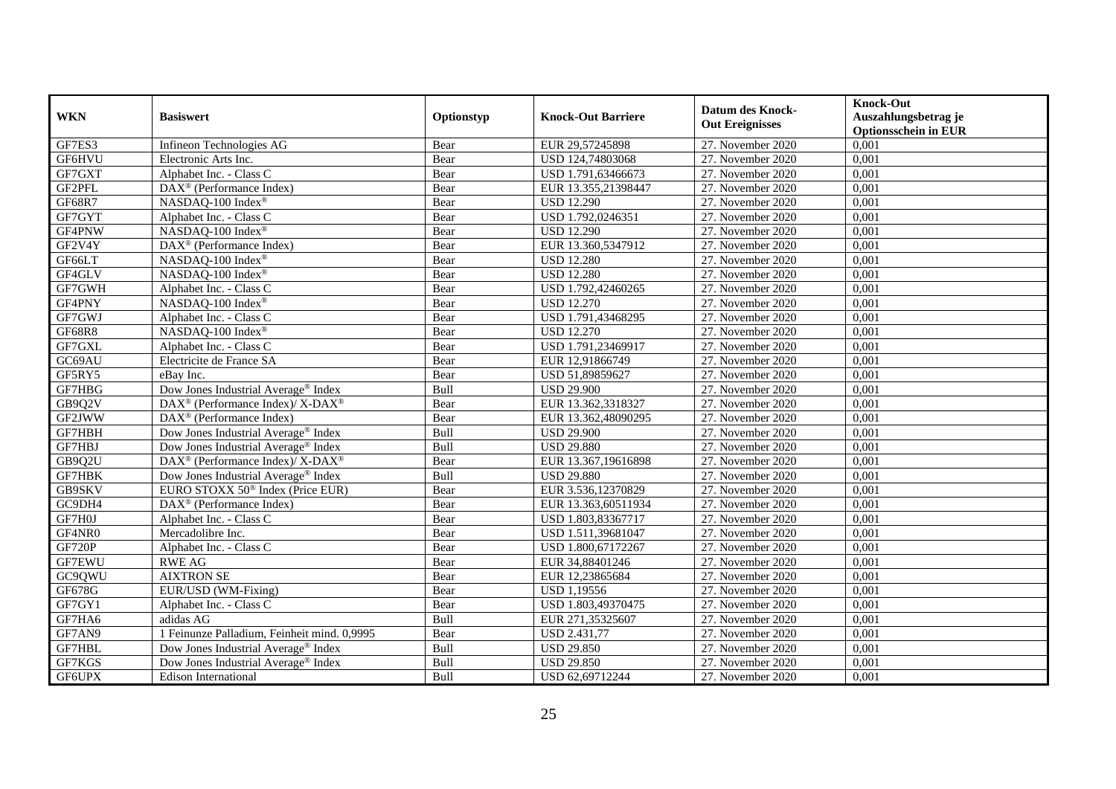| <b>WKN</b>    | <b>Basiswert</b>                                         | Optionstyp | <b>Knock-Out Barriere</b> | <b>Datum des Knock-</b><br><b>Out Ereignisses</b> | <b>Knock-Out</b><br>Auszahlungsbetrag je<br><b>Optionsschein in EUR</b> |
|---------------|----------------------------------------------------------|------------|---------------------------|---------------------------------------------------|-------------------------------------------------------------------------|
| GF7ES3        | Infineon Technologies AG                                 | Bear       | EUR 29,57245898           | 27. November 2020                                 | 0,001                                                                   |
| GF6HVU        | Electronic Arts Inc.                                     | Bear       | USD 124,74803068          | 27. November 2020                                 | 0.001                                                                   |
| GF7GXT        | Alphabet Inc. - Class C                                  | Bear       | USD 1.791,63466673        | 27. November 2020                                 | 0,001                                                                   |
| GF2PFL        | $\text{DAX}^{\circledast}$ (Performance Index)           | Bear       | EUR 13.355,21398447       | 27. November 2020                                 | 0,001                                                                   |
| <b>GF68R7</b> | NASDAQ-100 Index <sup>®</sup>                            | Bear       | <b>USD 12.290</b>         | 27. November 2020                                 | 0,001                                                                   |
| GF7GYT        | Alphabet Inc. - Class C                                  | Bear       | USD 1.792,0246351         | 27. November 2020                                 | 0,001                                                                   |
| GF4PNW        | NASDAQ-100 Index®                                        | Bear       | <b>USD 12.290</b>         | 27. November 2020                                 | 0,001                                                                   |
| GF2V4Y        | DAX <sup>®</sup> (Performance Index)                     | Bear       | EUR 13.360,5347912        | 27. November 2020                                 | 0,001                                                                   |
| GF66LT        | NASDAQ-100 Index®                                        | Bear       | <b>USD 12.280</b>         | 27. November 2020                                 | 0,001                                                                   |
| GF4GLV        | NASDAQ-100 Index®                                        | Bear       | <b>USD 12.280</b>         | 27. November 2020                                 | 0,001                                                                   |
| GF7GWH        | Alphabet Inc. - Class C                                  | Bear       | USD 1.792,42460265        | 27. November 2020                                 | 0,001                                                                   |
| GF4PNY        | NASDAQ-100 Index®                                        | Bear       | <b>USD 12.270</b>         | 27. November 2020                                 | 0,001                                                                   |
| GF7GWJ        | Alphabet Inc. - Class C                                  | Bear       | USD 1.791,43468295        | 27. November 2020                                 | 0,001                                                                   |
| <b>GF68R8</b> | NASDAQ-100 Index®                                        | Bear       | <b>USD 12.270</b>         | 27. November 2020                                 | 0,001                                                                   |
| GF7GXL        | Alphabet Inc. - Class C                                  | Bear       | USD 1.791,23469917        | 27. November 2020                                 | 0,001                                                                   |
| GC69AU        | Electricite de France SA                                 | Bear       | EUR 12,91866749           | 27. November 2020                                 | 0,001                                                                   |
| GF5RY5        | eBay Inc.                                                | Bear       | USD 51,89859627           | 27. November 2020                                 | 0,001                                                                   |
| GF7HBG        | Dow Jones Industrial Average <sup>®</sup> Index          | Bull       | <b>USD 29.900</b>         | 27. November 2020                                 | 0.001                                                                   |
| GB9Q2V        | DAX <sup>®</sup> (Performance Index)/ X-DAX <sup>®</sup> | Bear       | EUR 13.362,3318327        | 27. November 2020                                 | 0,001                                                                   |
| GF2JWW        | DAX <sup>®</sup> (Performance Index)                     | Bear       | EUR 13.362,48090295       | 27. November 2020                                 | 0,001                                                                   |
| GF7HBH        | Dow Jones Industrial Average® Index                      | Bull       | <b>USD 29.900</b>         | 27. November 2020                                 | 0,001                                                                   |
| GF7HBJ        | Dow Jones Industrial Average® Index                      | Bull       | <b>USD 29.880</b>         | 27. November 2020                                 | 0,001                                                                   |
| GB9Q2U        | DAX <sup>®</sup> (Performance Index)/ X-DAX <sup>®</sup> | Bear       | EUR 13.367,19616898       | 27. November 2020                                 | 0,001                                                                   |
| GF7HBK        | Dow Jones Industrial Average® Index                      | Bull       | <b>USD 29.880</b>         | 27. November 2020                                 | 0,001                                                                   |
| GB9SKV        | EURO STOXX 50 <sup>®</sup> Index (Price EUR)             | Bear       | EUR 3.536,12370829        | 27. November 2020                                 | 0,001                                                                   |
| GC9DH4        | $\overline{\text{DAX}^{\otimes}}$ (Performance Index)    | Bear       | EUR 13.363,60511934       | 27. November 2020                                 | 0,001                                                                   |
| GF7H0J        | Alphabet Inc. - Class C                                  | Bear       | USD 1.803,83367717        | 27. November 2020                                 | 0,001                                                                   |
| GF4NR0        | Mercadolibre Inc.                                        | Bear       | USD 1.511,39681047        | 27. November 2020                                 | 0,001                                                                   |
| <b>GF720P</b> | Alphabet Inc. - Class C                                  | Bear       | USD 1.800,67172267        | 27. November 2020                                 | 0,001                                                                   |
| GF7EWU        | <b>RWE AG</b>                                            | Bear       | EUR 34,88401246           | 27. November 2020                                 | 0,001                                                                   |
| GC9QWU        | <b>AIXTRON SE</b>                                        | Bear       | EUR 12,23865684           | 27. November 2020                                 | 0,001                                                                   |
| GF678G        | EUR/USD (WM-Fixing)                                      | Bear       | USD 1,19556               | 27. November 2020                                 | 0,001                                                                   |
| GF7GY1        | Alphabet Inc. - Class C                                  | Bear       | USD 1.803,49370475        | 27. November 2020                                 | 0,001                                                                   |
| GF7HA6        | adidas AG                                                | Bull       | EUR 271,35325607          | 27. November 2020                                 | 0,001                                                                   |
| GF7AN9        | 1 Feinunze Palladium, Feinheit mind. 0,9995              | Bear       | <b>USD 2.431,77</b>       | 27. November 2020                                 | 0,001                                                                   |
| GF7HBL        | Dow Jones Industrial Average <sup>®</sup> Index          | Bull       | <b>USD 29.850</b>         | 27. November 2020                                 | 0,001                                                                   |
| GF7KGS        | Dow Jones Industrial Average® Index                      | Bull       | <b>USD 29.850</b>         | 27. November 2020                                 | 0,001                                                                   |
| GF6UPX        | <b>Edison International</b>                              | Bull       | USD 62,69712244           | 27. November 2020                                 | 0,001                                                                   |